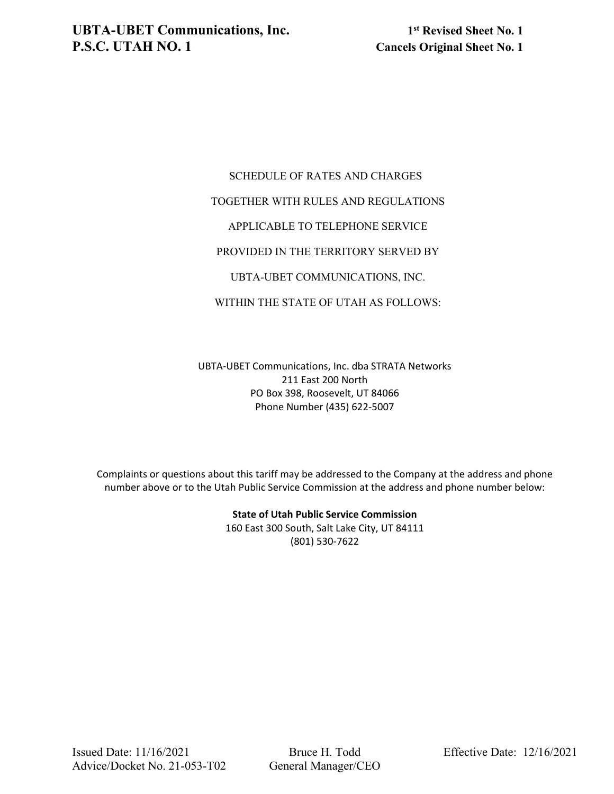## SCHEDULE OF RATES AND CHARGES TOGETHER WITH RULES AND REGULATIONS APPLICABLE TO TELEPHONE SERVICE PROVIDED IN THE TERRITORY SERVED BY UBTA-UBET COMMUNICATIONS, INC.

WITHIN THE STATE OF UTAH AS FOLLOWS:

UBTA-UBET Communications, Inc. dba STRATA Networks 211 East 200 North PO Box 398, Roosevelt, UT 84066 Phone Number (435) 622-5007

Complaints or questions about this tariff may be addressed to the Company at the address and phone number above or to the Utah Public Service Commission at the address and phone number below:

> **State of Utah Public Service Commission** 160 East 300 South, Salt Lake City, UT 84111 (801) 530-7622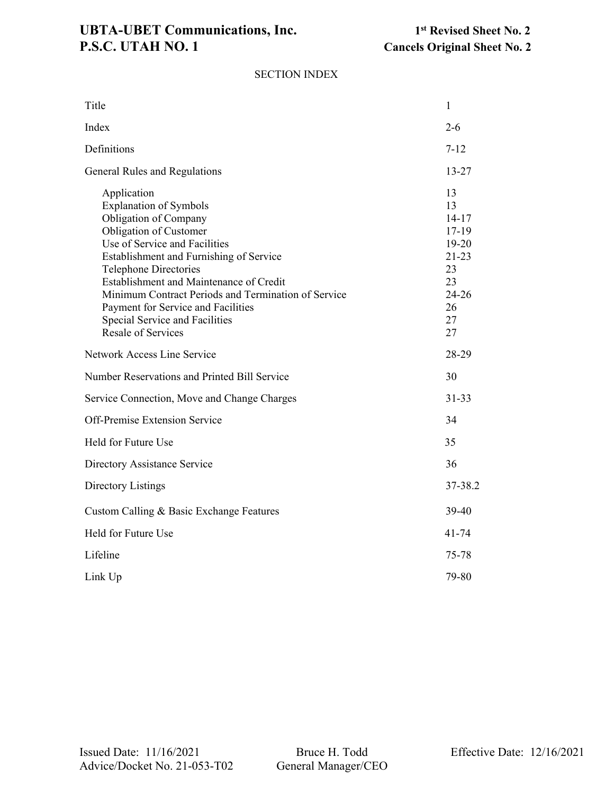# UBTA-UBET Communications, Inc.<br> **1st** Revised Sheet No. 2<br> **1st** Revised Sheet No. 2<br> **1st** Revised Sheet No. 2

### SECTION INDEX

| Title                                                                                                                                                                                                                                                                                                                                                                                                              | 1                                                                                               |
|--------------------------------------------------------------------------------------------------------------------------------------------------------------------------------------------------------------------------------------------------------------------------------------------------------------------------------------------------------------------------------------------------------------------|-------------------------------------------------------------------------------------------------|
| Index                                                                                                                                                                                                                                                                                                                                                                                                              | $2 - 6$                                                                                         |
| Definitions                                                                                                                                                                                                                                                                                                                                                                                                        | $7 - 12$                                                                                        |
| General Rules and Regulations                                                                                                                                                                                                                                                                                                                                                                                      | 13-27                                                                                           |
| Application<br><b>Explanation of Symbols</b><br>Obligation of Company<br>Obligation of Customer<br>Use of Service and Facilities<br>Establishment and Furnishing of Service<br><b>Telephone Directories</b><br>Establishment and Maintenance of Credit<br>Minimum Contract Periods and Termination of Service<br>Payment for Service and Facilities<br>Special Service and Facilities<br><b>Resale of Services</b> | 13<br>13<br>$14 - 17$<br>17-19<br>19-20<br>$21 - 23$<br>23<br>23<br>$24 - 26$<br>26<br>27<br>27 |
| Network Access Line Service                                                                                                                                                                                                                                                                                                                                                                                        | 28-29                                                                                           |
| Number Reservations and Printed Bill Service                                                                                                                                                                                                                                                                                                                                                                       | 30                                                                                              |
|                                                                                                                                                                                                                                                                                                                                                                                                                    |                                                                                                 |
| Service Connection, Move and Change Charges                                                                                                                                                                                                                                                                                                                                                                        | $31 - 33$                                                                                       |
| Off-Premise Extension Service                                                                                                                                                                                                                                                                                                                                                                                      | 34                                                                                              |
| Held for Future Use                                                                                                                                                                                                                                                                                                                                                                                                | 35                                                                                              |
| Directory Assistance Service                                                                                                                                                                                                                                                                                                                                                                                       | 36                                                                                              |
| Directory Listings                                                                                                                                                                                                                                                                                                                                                                                                 | 37-38.2                                                                                         |
| Custom Calling & Basic Exchange Features                                                                                                                                                                                                                                                                                                                                                                           | 39-40                                                                                           |
| Held for Future Use                                                                                                                                                                                                                                                                                                                                                                                                | $41 - 74$                                                                                       |
| Lifeline                                                                                                                                                                                                                                                                                                                                                                                                           | 75-78                                                                                           |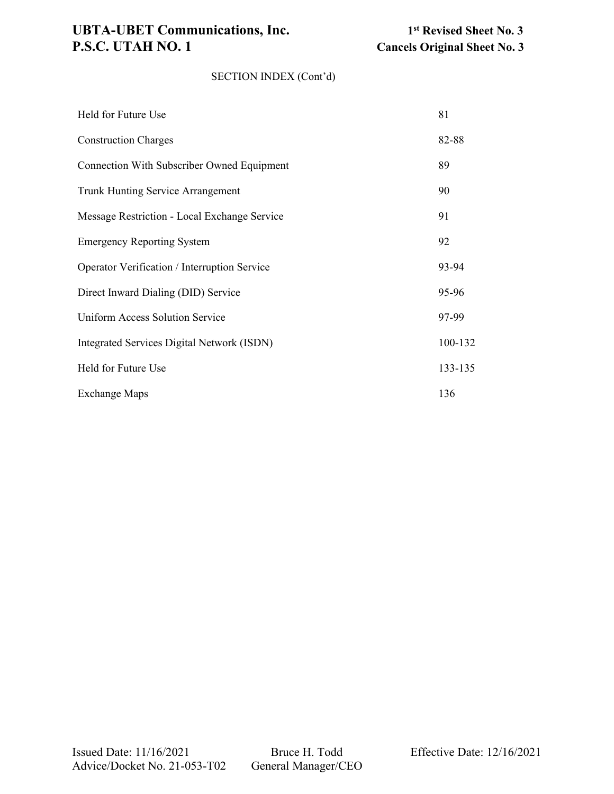## UBTA-UBET Communications, Inc.<br> **1st** Revised Sheet No. 3<br> **1st** Revised Sheet No. 3<br> **1st** Revised Sheet No. 3<br> **1st** Revised Sheet No. 3

### SECTION INDEX (Cont'd)

| Held for Future Use                          | 81      |
|----------------------------------------------|---------|
| <b>Construction Charges</b>                  | 82-88   |
| Connection With Subscriber Owned Equipment   | 89      |
| Trunk Hunting Service Arrangement            | 90      |
| Message Restriction - Local Exchange Service | 91      |
| <b>Emergency Reporting System</b>            | 92      |
| Operator Verification / Interruption Service | 93-94   |
| Direct Inward Dialing (DID) Service          | 95-96   |
| Uniform Access Solution Service              | 97-99   |
| Integrated Services Digital Network (ISDN)   | 100-132 |
| Held for Future Use                          | 133-135 |
| <b>Exchange Maps</b>                         | 136     |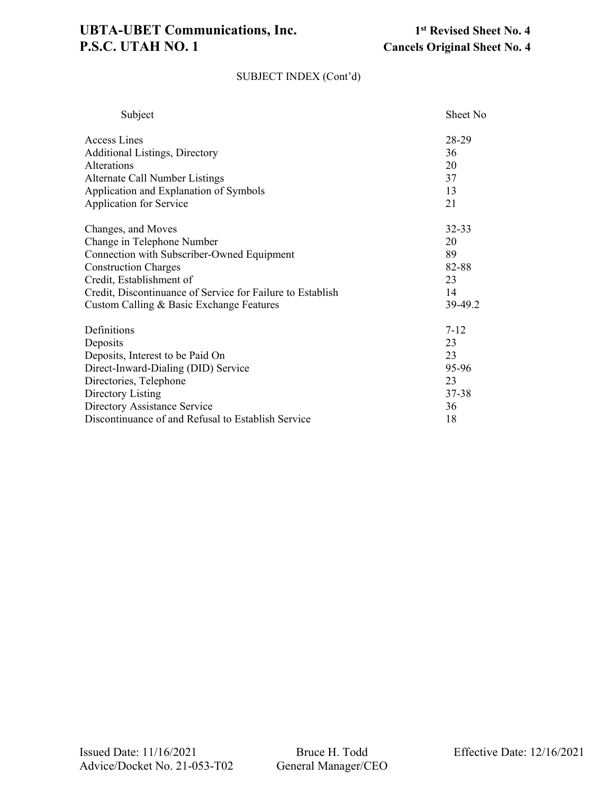# **UBTA-UBET Communications, Inc.** 1st Revised Sheet No. 4<br>**P.S.C. UTAH NO. 1** Cancels Original Sheet No. 4

### SUBJECT INDEX (Cont'd)

| Subject                                                    | Sheet No |
|------------------------------------------------------------|----------|
| Access Lines                                               | 28-29    |
| <b>Additional Listings, Directory</b>                      | 36       |
| Alterations                                                | 20       |
| Alternate Call Number Listings                             | 37       |
| Application and Explanation of Symbols                     | 13       |
| Application for Service                                    | 21       |
| Changes, and Moves                                         | 32-33    |
| Change in Telephone Number                                 | 20       |
| Connection with Subscriber-Owned Equipment                 | 89       |
| <b>Construction Charges</b>                                | 82-88    |
| Credit, Establishment of                                   | 23       |
| Credit, Discontinuance of Service for Failure to Establish | 14       |
| Custom Calling & Basic Exchange Features                   | 39-49.2  |
| Definitions                                                | $7 - 12$ |
| Deposits                                                   | 23       |
| Deposits, Interest to be Paid On                           | 23       |
| Direct-Inward-Dialing (DID) Service                        | 95-96    |
| Directories, Telephone                                     | 23       |
| Directory Listing                                          | 37-38    |
| Directory Assistance Service                               | 36       |
| Discontinuance of and Refusal to Establish Service         | 18       |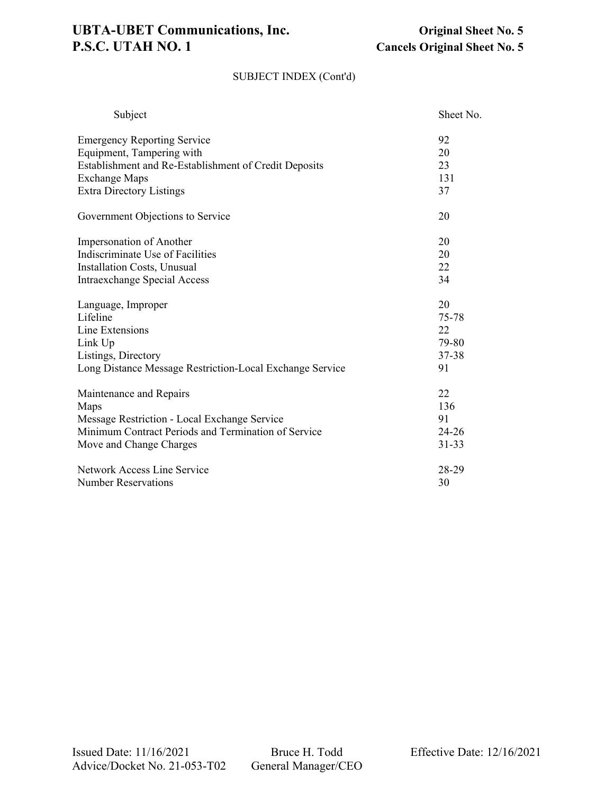# **UBTA-UBET Communications, Inc. Original Sheet No. 5**<br>**P.S.C. UTAH NO. 1 Cancels Original Sheet No. 5**

### SUBJECT INDEX (Cont'd)

| Subject                                                  | Sheet No. |
|----------------------------------------------------------|-----------|
| <b>Emergency Reporting Service</b>                       | 92        |
| Equipment, Tampering with                                | 20        |
| Establishment and Re-Establishment of Credit Deposits    | 23        |
| <b>Exchange Maps</b>                                     | 131       |
| <b>Extra Directory Listings</b>                          | 37        |
| Government Objections to Service                         | 20        |
| Impersonation of Another                                 | 20        |
| Indiscriminate Use of Facilities                         | 20        |
| <b>Installation Costs, Unusual</b>                       | 22        |
| Intraexchange Special Access                             | 34        |
| Language, Improper                                       | 20        |
| Lifeline                                                 | 75-78     |
| Line Extensions                                          | 22        |
| Link Up                                                  | 79-80     |
| Listings, Directory                                      | 37-38     |
| Long Distance Message Restriction-Local Exchange Service | 91        |
| Maintenance and Repairs                                  | 22        |
| Maps                                                     | 136       |
| Message Restriction - Local Exchange Service             | 91        |
| Minimum Contract Periods and Termination of Service      | $24 - 26$ |
| Move and Change Charges                                  | $31 - 33$ |
| Network Access Line Service                              | 28-29     |
| <b>Number Reservations</b>                               | 30        |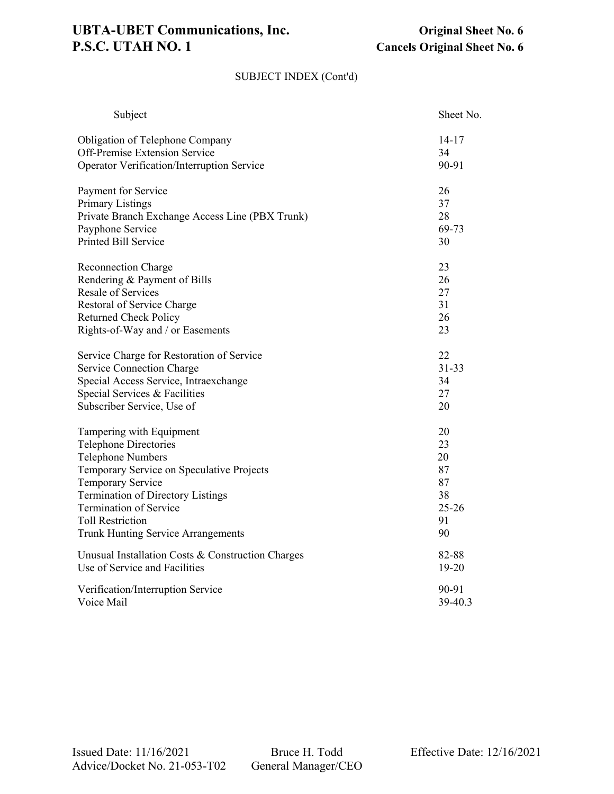# UBTA-UBET Communications, Inc.<br> **P.S.C. UTAH NO. 1** Cancels Original Sheet No. 6

### SUBJECT INDEX (Cont'd)

| Subject                                           | Sheet No. |
|---------------------------------------------------|-----------|
| Obligation of Telephone Company                   | $14 - 17$ |
| Off-Premise Extension Service                     | 34        |
| Operator Verification/Interruption Service        | 90-91     |
| Payment for Service                               | 26        |
| <b>Primary Listings</b>                           | 37        |
| Private Branch Exchange Access Line (PBX Trunk)   | 28        |
| Payphone Service                                  | 69-73     |
| <b>Printed Bill Service</b>                       | 30        |
| <b>Reconnection Charge</b>                        | 23        |
| Rendering & Payment of Bills                      | 26        |
| Resale of Services                                | 27        |
| Restoral of Service Charge                        | 31        |
| <b>Returned Check Policy</b>                      | 26        |
| Rights-of-Way and / or Easements                  | 23        |
| Service Charge for Restoration of Service         | 22        |
| <b>Service Connection Charge</b>                  | $31 - 33$ |
| Special Access Service, Intraexchange             | 34        |
| Special Services & Facilities                     | 27        |
| Subscriber Service, Use of                        | 20        |
| Tampering with Equipment                          | 20        |
| <b>Telephone Directories</b>                      | 23        |
| <b>Telephone Numbers</b>                          | 20        |
| Temporary Service on Speculative Projects         | 87        |
| <b>Temporary Service</b>                          | 87        |
| <b>Termination of Directory Listings</b>          | 38        |
| <b>Termination of Service</b>                     | $25 - 26$ |
| <b>Toll Restriction</b>                           | 91        |
| <b>Trunk Hunting Service Arrangements</b>         | 90        |
| Unusual Installation Costs & Construction Charges | 82-88     |
| Use of Service and Facilities                     | 19-20     |
| Verification/Interruption Service                 | 90-91     |
| Voice Mail                                        | 39-40.3   |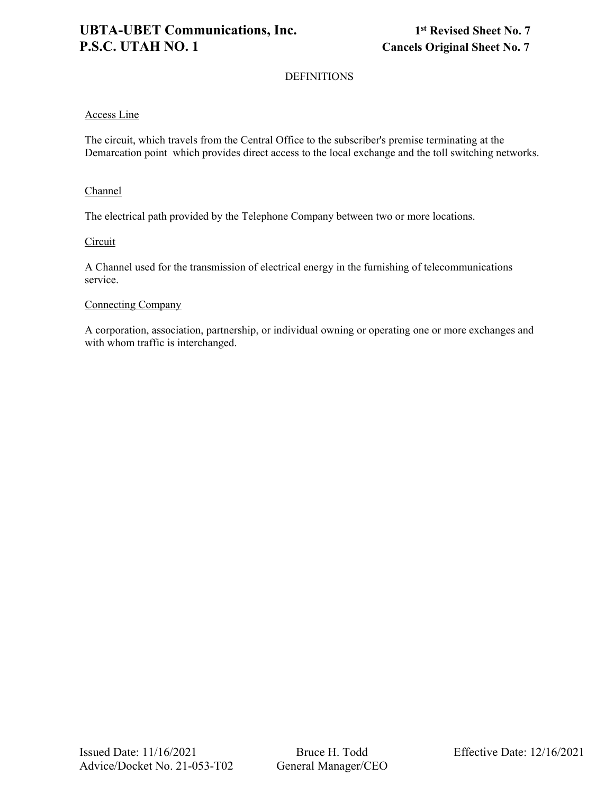### DEFINITIONS

### Access Line

The circuit, which travels from the Central Office to the subscriber's premise terminating at the Demarcation point which provides direct access to the local exchange and the toll switching networks.

### **Channel**

The electrical path provided by the Telephone Company between two or more locations.

### **Circuit**

A Channel used for the transmission of electrical energy in the furnishing of telecommunications service.

### Connecting Company

A corporation, association, partnership, or individual owning or operating one or more exchanges and with whom traffic is interchanged.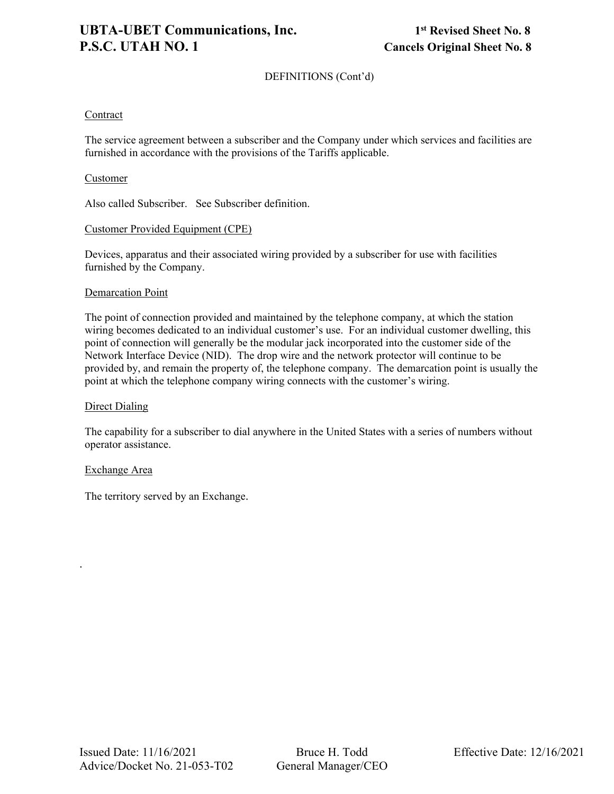### Contract

The service agreement between a subscriber and the Company under which services and facilities are furnished in accordance with the provisions of the Tariffs applicable.

### Customer

Also called Subscriber. See Subscriber definition.

### Customer Provided Equipment (CPE)

Devices, apparatus and their associated wiring provided by a subscriber for use with facilities furnished by the Company.

### **Demarcation Point**

The point of connection provided and maintained by the telephone company, at which the station wiring becomes dedicated to an individual customer's use. For an individual customer dwelling, this point of connection will generally be the modular jack incorporated into the customer side of the Network Interface Device (NID). The drop wire and the network protector will continue to be provided by, and remain the property of, the telephone company. The demarcation point is usually the point at which the telephone company wiring connects with the customer's wiring.

### Direct Dialing

The capability for a subscriber to dial anywhere in the United States with a series of numbers without operator assistance.

### Exchange Area

.

The territory served by an Exchange.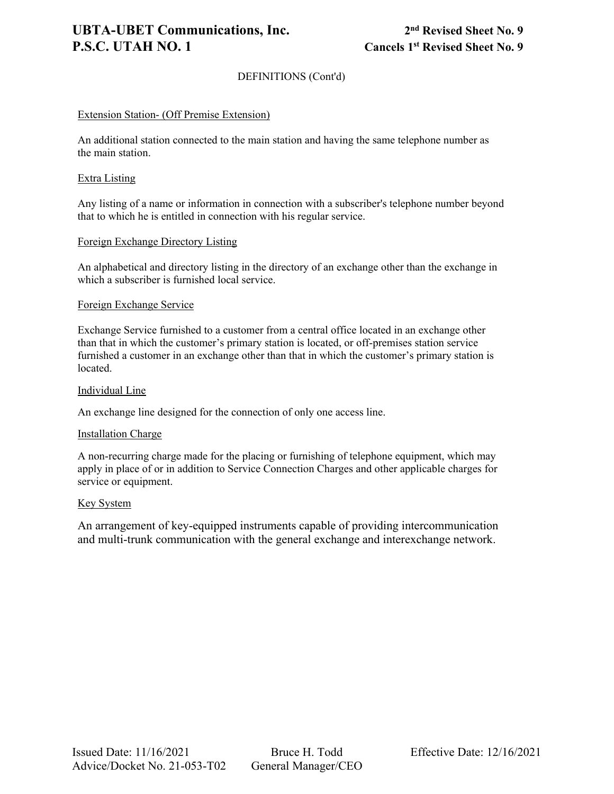### **UBTA-UBET Communications, Inc. 2nd Revised Sheet No. 9 P.S.C. UTAH NO. 1** Cancels 1<sup>st</sup> Revised Sheet No. 9

### DEFINITIONS (Cont'd)

### Extension Station- (Off Premise Extension)

An additional station connected to the main station and having the same telephone number as the main station.

### Extra Listing

Any listing of a name or information in connection with a subscriber's telephone number beyond that to which he is entitled in connection with his regular service.

### Foreign Exchange Directory Listing

An alphabetical and directory listing in the directory of an exchange other than the exchange in which a subscriber is furnished local service.

### Foreign Exchange Service

Exchange Service furnished to a customer from a central office located in an exchange other than that in which the customer's primary station is located, or off-premises station service furnished a customer in an exchange other than that in which the customer's primary station is located.

### Individual Line

An exchange line designed for the connection of only one access line.

### Installation Charge

A non-recurring charge made for the placing or furnishing of telephone equipment, which may apply in place of or in addition to Service Connection Charges and other applicable charges for service or equipment.

### Key System

An arrangement of key-equipped instruments capable of providing intercommunication and multi-trunk communication with the general exchange and interexchange network.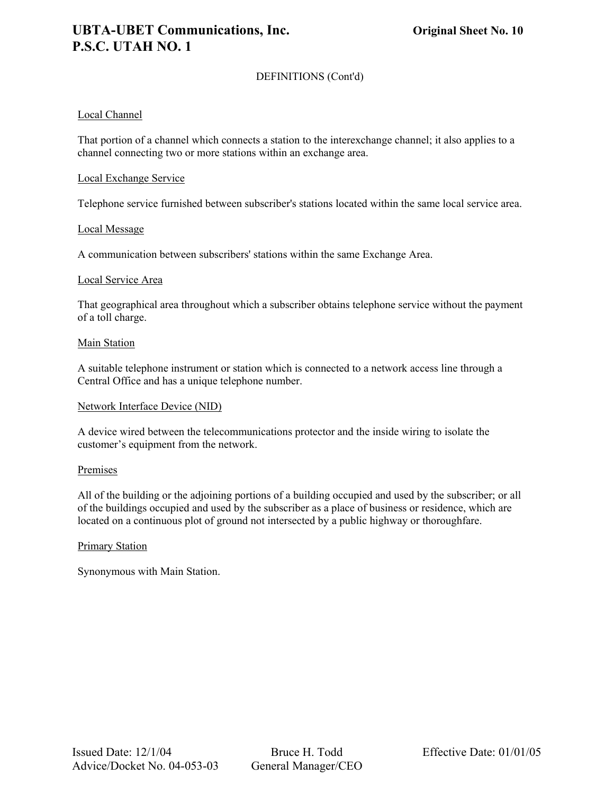### Local Channel

That portion of a channel which connects a station to the interexchange channel; it also applies to a channel connecting two or more stations within an exchange area.

### Local Exchange Service

Telephone service furnished between subscriber's stations located within the same local service area.

### Local Message

A communication between subscribers' stations within the same Exchange Area.

### Local Service Area

That geographical area throughout which a subscriber obtains telephone service without the payment of a toll charge.

### Main Station

A suitable telephone instrument or station which is connected to a network access line through a Central Office and has a unique telephone number.

### Network Interface Device (NID)

A device wired between the telecommunications protector and the inside wiring to isolate the customer's equipment from the network.

### **Premises**

All of the building or the adjoining portions of a building occupied and used by the subscriber; or all of the buildings occupied and used by the subscriber as a place of business or residence, which are located on a continuous plot of ground not intersected by a public highway or thoroughfare.

### Primary Station

Synonymous with Main Station.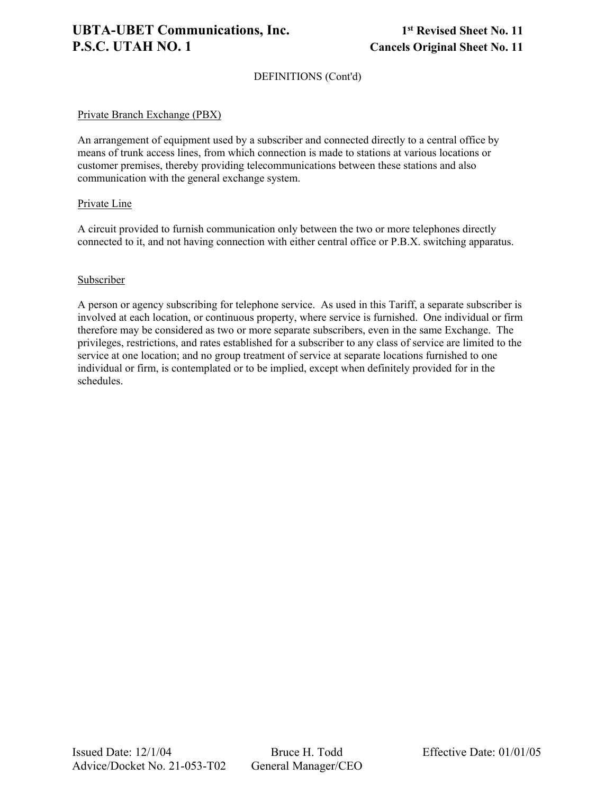### Private Branch Exchange (PBX)

An arrangement of equipment used by a subscriber and connected directly to a central office by means of trunk access lines, from which connection is made to stations at various locations or customer premises, thereby providing telecommunications between these stations and also communication with the general exchange system.

### Private Line

A circuit provided to furnish communication only between the two or more telephones directly connected to it, and not having connection with either central office or P.B.X. switching apparatus.

### Subscriber

A person or agency subscribing for telephone service. As used in this Tariff, a separate subscriber is involved at each location, or continuous property, where service is furnished. One individual or firm therefore may be considered as two or more separate subscribers, even in the same Exchange. The privileges, restrictions, and rates established for a subscriber to any class of service are limited to the service at one location; and no group treatment of service at separate locations furnished to one individual or firm, is contemplated or to be implied, except when definitely provided for in the schedules.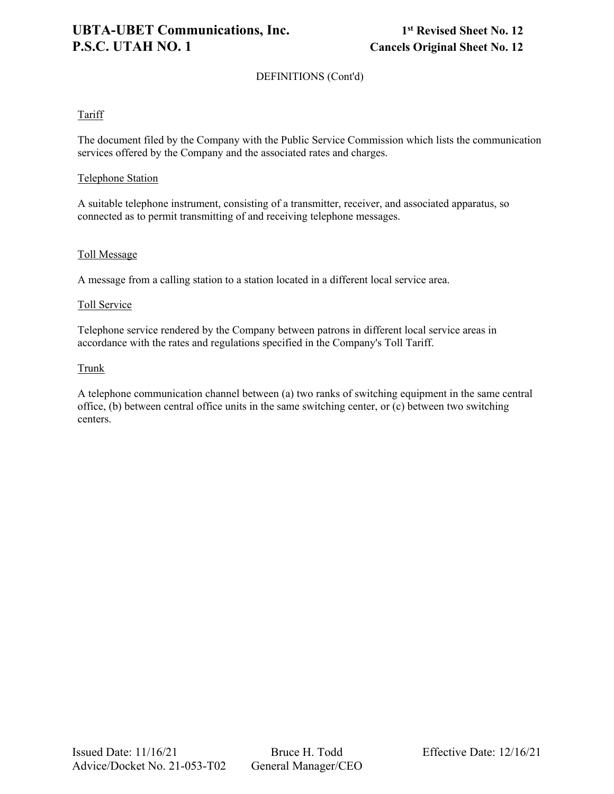### Tariff

The document filed by the Company with the Public Service Commission which lists the communication services offered by the Company and the associated rates and charges.

### Telephone Station

A suitable telephone instrument, consisting of a transmitter, receiver, and associated apparatus, so connected as to permit transmitting of and receiving telephone messages.

### Toll Message

A message from a calling station to a station located in a different local service area.

### Toll Service

Telephone service rendered by the Company between patrons in different local service areas in accordance with the rates and regulations specified in the Company's Toll Tariff.

### **Trunk**

A telephone communication channel between (a) two ranks of switching equipment in the same central office, (b) between central office units in the same switching center, or (c) between two switching centers.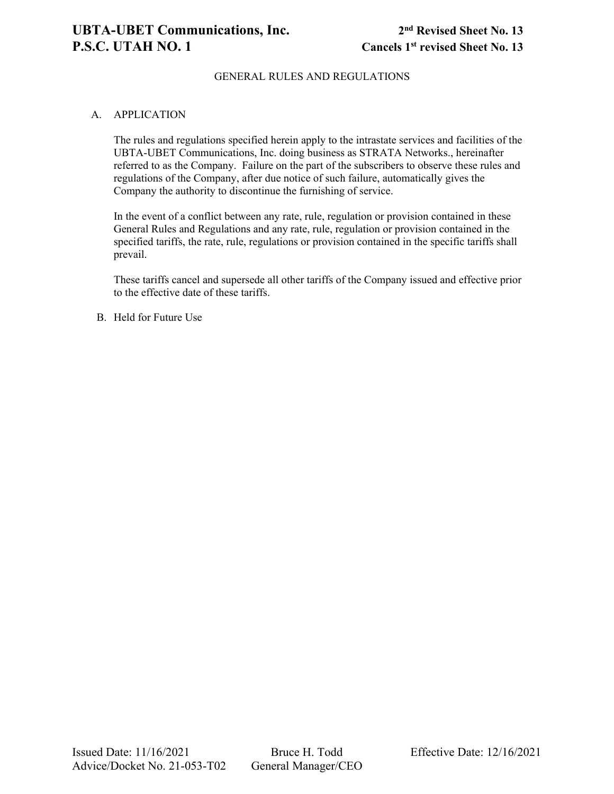### GENERAL RULES AND REGULATIONS

### A. APPLICATION

The rules and regulations specified herein apply to the intrastate services and facilities of the UBTA-UBET Communications, Inc. doing business as STRATA Networks., hereinafter referred to as the Company. Failure on the part of the subscribers to observe these rules and regulations of the Company, after due notice of such failure, automatically gives the Company the authority to discontinue the furnishing of service.

In the event of a conflict between any rate, rule, regulation or provision contained in these General Rules and Regulations and any rate, rule, regulation or provision contained in the specified tariffs, the rate, rule, regulations or provision contained in the specific tariffs shall prevail.

These tariffs cancel and supersede all other tariffs of the Company issued and effective prior to the effective date of these tariffs.

B. Held for Future Use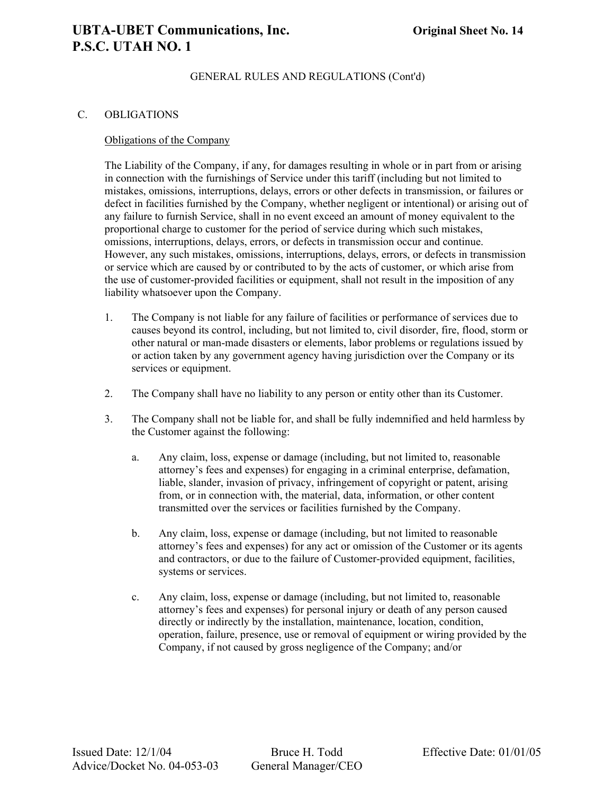### C. OBLIGATIONS

### Obligations of the Company

The Liability of the Company, if any, for damages resulting in whole or in part from or arising in connection with the furnishings of Service under this tariff (including but not limited to mistakes, omissions, interruptions, delays, errors or other defects in transmission, or failures or defect in facilities furnished by the Company, whether negligent or intentional) or arising out of any failure to furnish Service, shall in no event exceed an amount of money equivalent to the proportional charge to customer for the period of service during which such mistakes, omissions, interruptions, delays, errors, or defects in transmission occur and continue. However, any such mistakes, omissions, interruptions, delays, errors, or defects in transmission or service which are caused by or contributed to by the acts of customer, or which arise from the use of customer-provided facilities or equipment, shall not result in the imposition of any liability whatsoever upon the Company.

- 1. The Company is not liable for any failure of facilities or performance of services due to causes beyond its control, including, but not limited to, civil disorder, fire, flood, storm or other natural or man-made disasters or elements, labor problems or regulations issued by or action taken by any government agency having jurisdiction over the Company or its services or equipment.
- 2. The Company shall have no liability to any person or entity other than its Customer.
- 3. The Company shall not be liable for, and shall be fully indemnified and held harmless by the Customer against the following:
	- a. Any claim, loss, expense or damage (including, but not limited to, reasonable attorney's fees and expenses) for engaging in a criminal enterprise, defamation, liable, slander, invasion of privacy, infringement of copyright or patent, arising from, or in connection with, the material, data, information, or other content transmitted over the services or facilities furnished by the Company.
	- b. Any claim, loss, expense or damage (including, but not limited to reasonable attorney's fees and expenses) for any act or omission of the Customer or its agents and contractors, or due to the failure of Customer-provided equipment, facilities, systems or services.
	- c. Any claim, loss, expense or damage (including, but not limited to, reasonable attorney's fees and expenses) for personal injury or death of any person caused directly or indirectly by the installation, maintenance, location, condition, operation, failure, presence, use or removal of equipment or wiring provided by the Company, if not caused by gross negligence of the Company; and/or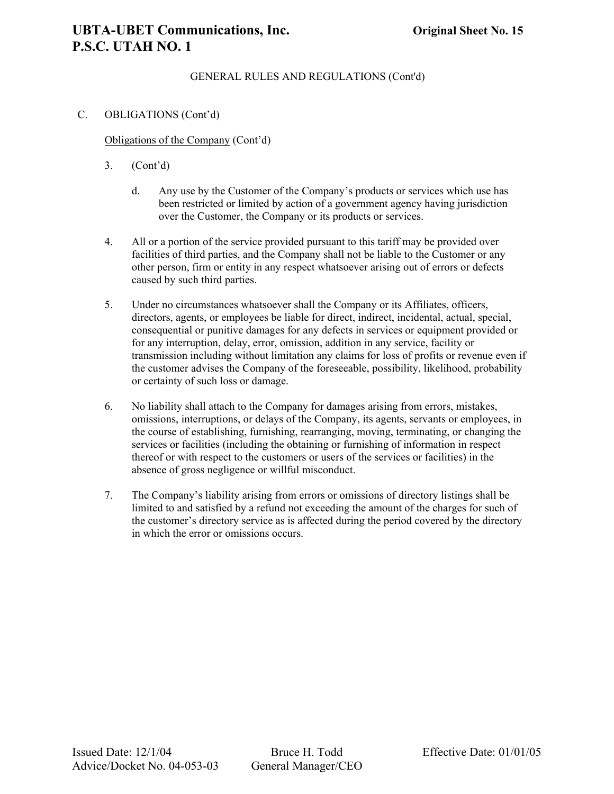### **UBTA-UBET Communications, Inc. Original Sheet No. 15 P.S.C. UTAH NO. 1**

### GENERAL RULES AND REGULATIONS (Cont'd)

### C. OBLIGATIONS (Cont'd)

Obligations of the Company (Cont'd)

- 3. (Cont'd)
	- d. Any use by the Customer of the Company's products or services which use has been restricted or limited by action of a government agency having jurisdiction over the Customer, the Company or its products or services.
- 4. All or a portion of the service provided pursuant to this tariff may be provided over facilities of third parties, and the Company shall not be liable to the Customer or any other person, firm or entity in any respect whatsoever arising out of errors or defects caused by such third parties.
- 5. Under no circumstances whatsoever shall the Company or its Affiliates, officers, directors, agents, or employees be liable for direct, indirect, incidental, actual, special, consequential or punitive damages for any defects in services or equipment provided or for any interruption, delay, error, omission, addition in any service, facility or transmission including without limitation any claims for loss of profits or revenue even if the customer advises the Company of the foreseeable, possibility, likelihood, probability or certainty of such loss or damage.
- 6. No liability shall attach to the Company for damages arising from errors, mistakes, omissions, interruptions, or delays of the Company, its agents, servants or employees, in the course of establishing, furnishing, rearranging, moving, terminating, or changing the services or facilities (including the obtaining or furnishing of information in respect thereof or with respect to the customers or users of the services or facilities) in the absence of gross negligence or willful misconduct.
- 7. The Company's liability arising from errors or omissions of directory listings shall be limited to and satisfied by a refund not exceeding the amount of the charges for such of the customer's directory service as is affected during the period covered by the directory in which the error or omissions occurs.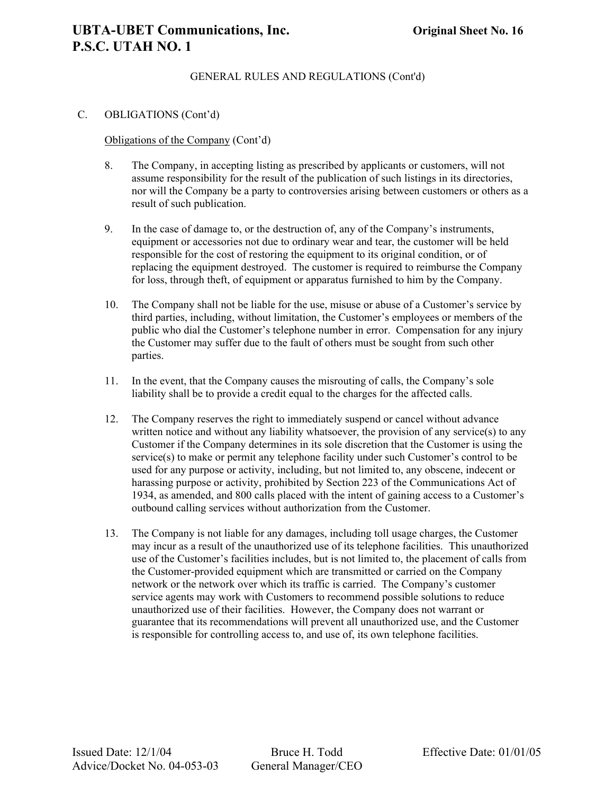### C. OBLIGATIONS (Cont'd)

### Obligations of the Company (Cont'd)

- 8. The Company, in accepting listing as prescribed by applicants or customers, will not assume responsibility for the result of the publication of such listings in its directories, nor will the Company be a party to controversies arising between customers or others as a result of such publication.
- 9. In the case of damage to, or the destruction of, any of the Company's instruments, equipment or accessories not due to ordinary wear and tear, the customer will be held responsible for the cost of restoring the equipment to its original condition, or of replacing the equipment destroyed. The customer is required to reimburse the Company for loss, through theft, of equipment or apparatus furnished to him by the Company.
- 10. The Company shall not be liable for the use, misuse or abuse of a Customer's service by third parties, including, without limitation, the Customer's employees or members of the public who dial the Customer's telephone number in error. Compensation for any injury the Customer may suffer due to the fault of others must be sought from such other parties.
- 11. In the event, that the Company causes the misrouting of calls, the Company's sole liability shall be to provide a credit equal to the charges for the affected calls.
- 12. The Company reserves the right to immediately suspend or cancel without advance written notice and without any liability whatsoever, the provision of any service(s) to any Customer if the Company determines in its sole discretion that the Customer is using the  $s$ ervice $(s)$  to make or permit any telephone facility under such Customer's control to be used for any purpose or activity, including, but not limited to, any obscene, indecent or harassing purpose or activity, prohibited by Section 223 of the Communications Act of 1934, as amended, and 800 calls placed with the intent of gaining access to a Customer's outbound calling services without authorization from the Customer.
- 13. The Company is not liable for any damages, including toll usage charges, the Customer may incur as a result of the unauthorized use of its telephone facilities. This unauthorized use of the Customer's facilities includes, but is not limited to, the placement of calls from the Customer-provided equipment which are transmitted or carried on the Company network or the network over which its traffic is carried. The Company's customer service agents may work with Customers to recommend possible solutions to reduce unauthorized use of their facilities. However, the Company does not warrant or guarantee that its recommendations will prevent all unauthorized use, and the Customer is responsible for controlling access to, and use of, its own telephone facilities.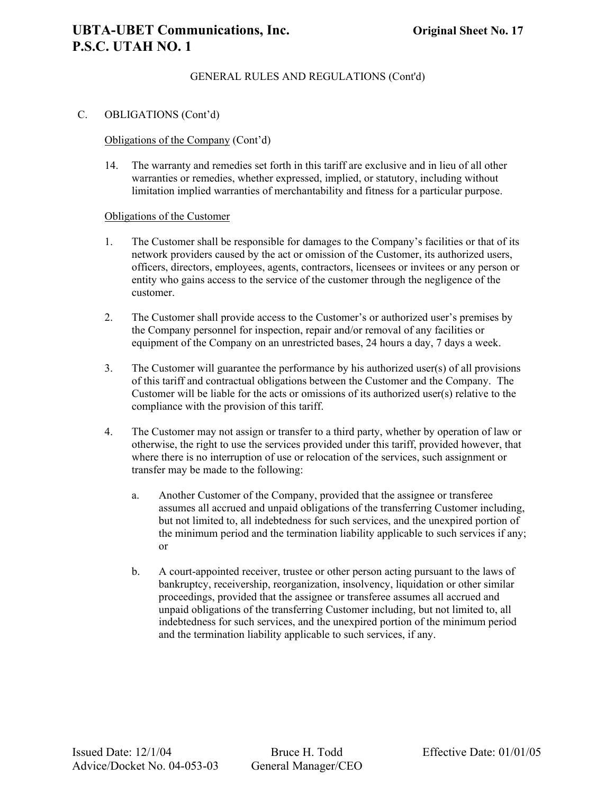### C. OBLIGATIONS (Cont'd)

### Obligations of the Company (Cont'd)

14. The warranty and remedies set forth in this tariff are exclusive and in lieu of all other warranties or remedies, whether expressed, implied, or statutory, including without limitation implied warranties of merchantability and fitness for a particular purpose.

### Obligations of the Customer

- 1. The Customer shall be responsible for damages to the Company's facilities or that of its network providers caused by the act or omission of the Customer, its authorized users, officers, directors, employees, agents, contractors, licensees or invitees or any person or entity who gains access to the service of the customer through the negligence of the customer.
- 2. The Customer shall provide access to the Customer's or authorized user's premises by the Company personnel for inspection, repair and/or removal of any facilities or equipment of the Company on an unrestricted bases, 24 hours a day, 7 days a week.
- 3. The Customer will guarantee the performance by his authorized user(s) of all provisions of this tariff and contractual obligations between the Customer and the Company. The Customer will be liable for the acts or omissions of its authorized user(s) relative to the compliance with the provision of this tariff.
- 4. The Customer may not assign or transfer to a third party, whether by operation of law or otherwise, the right to use the services provided under this tariff, provided however, that where there is no interruption of use or relocation of the services, such assignment or transfer may be made to the following:
	- a. Another Customer of the Company, provided that the assignee or transferee assumes all accrued and unpaid obligations of the transferring Customer including, but not limited to, all indebtedness for such services, and the unexpired portion of the minimum period and the termination liability applicable to such services if any; or
	- b. A court-appointed receiver, trustee or other person acting pursuant to the laws of bankruptcy, receivership, reorganization, insolvency, liquidation or other similar proceedings, provided that the assignee or transferee assumes all accrued and unpaid obligations of the transferring Customer including, but not limited to, all indebtedness for such services, and the unexpired portion of the minimum period and the termination liability applicable to such services, if any.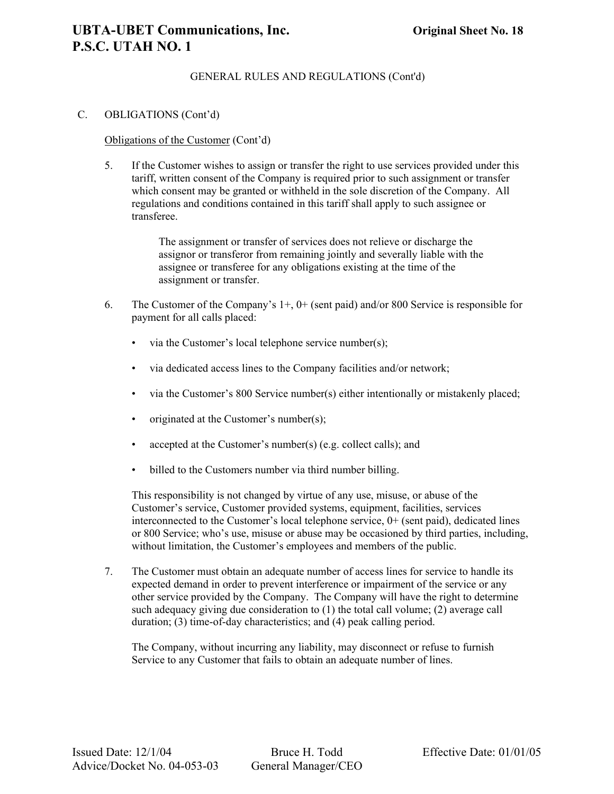### C. OBLIGATIONS (Cont'd)

### Obligations of the Customer (Cont'd)

5. If the Customer wishes to assign or transfer the right to use services provided under this tariff, written consent of the Company is required prior to such assignment or transfer which consent may be granted or withheld in the sole discretion of the Company. All regulations and conditions contained in this tariff shall apply to such assignee or transferee.

> The assignment or transfer of services does not relieve or discharge the assignor or transferor from remaining jointly and severally liable with the assignee or transferee for any obligations existing at the time of the assignment or transfer.

- 6. The Customer of the Company's  $1+$ ,  $0+$  (sent paid) and/or 800 Service is responsible for payment for all calls placed:
	- via the Customer's local telephone service number(s);
	- via dedicated access lines to the Company facilities and/or network;
	- via the Customer's 800 Service number(s) either intentionally or mistakenly placed;
	- originated at the Customer's number(s);
	- accepted at the Customer's number(s) (e.g. collect calls); and
	- billed to the Customers number via third number billing.

This responsibility is not changed by virtue of any use, misuse, or abuse of the Customer's service, Customer provided systems, equipment, facilities, services interconnected to the Customer's local telephone service, 0+ (sent paid), dedicated lines or 800 Service; who's use, misuse or abuse may be occasioned by third parties, including, without limitation, the Customer's employees and members of the public.

7. The Customer must obtain an adequate number of access lines for service to handle its expected demand in order to prevent interference or impairment of the service or any other service provided by the Company. The Company will have the right to determine such adequacy giving due consideration to (1) the total call volume; (2) average call duration; (3) time-of-day characteristics; and (4) peak calling period.

The Company, without incurring any liability, may disconnect or refuse to furnish Service to any Customer that fails to obtain an adequate number of lines.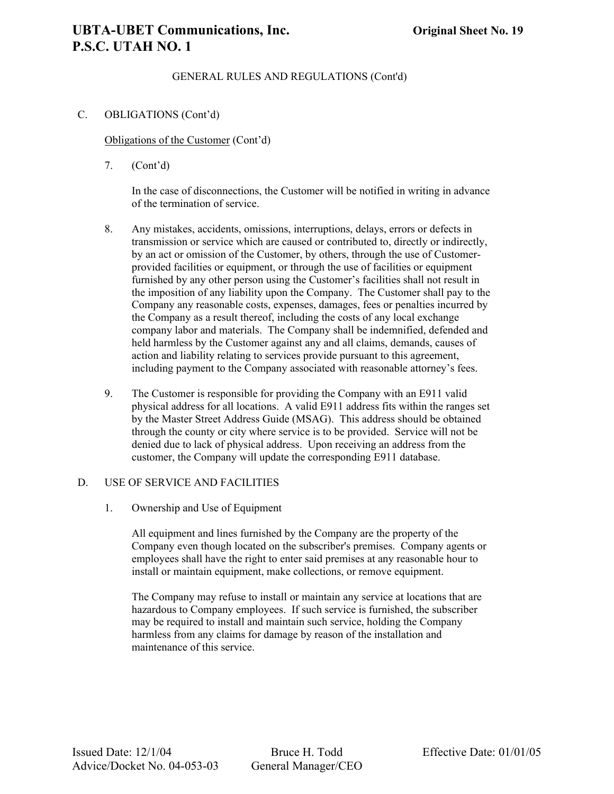### **UBTA-UBET Communications, Inc. Original Sheet No. 19 P.S.C. UTAH NO. 1**

### GENERAL RULES AND REGULATIONS (Cont'd)

### C. OBLIGATIONS (Cont'd)

Obligations of the Customer (Cont'd)

7. (Cont'd)

In the case of disconnections, the Customer will be notified in writing in advance of the termination of service.

- 8. Any mistakes, accidents, omissions, interruptions, delays, errors or defects in transmission or service which are caused or contributed to, directly or indirectly, by an act or omission of the Customer, by others, through the use of Customerprovided facilities or equipment, or through the use of facilities or equipment furnished by any other person using the Customer's facilities shall not result in the imposition of any liability upon the Company. The Customer shall pay to the Company any reasonable costs, expenses, damages, fees or penalties incurred by the Company as a result thereof, including the costs of any local exchange company labor and materials. The Company shall be indemnified, defended and held harmless by the Customer against any and all claims, demands, causes of action and liability relating to services provide pursuant to this agreement, including payment to the Company associated with reasonable attorney's fees.
- 9. The Customer is responsible for providing the Company with an E911 valid physical address for all locations. A valid E911 address fits within the ranges set by the Master Street Address Guide (MSAG). This address should be obtained through the county or city where service is to be provided. Service will not be denied due to lack of physical address. Upon receiving an address from the customer, the Company will update the corresponding E911 database.

### D. USE OF SERVICE AND FACILITIES

1. Ownership and Use of Equipment

All equipment and lines furnished by the Company are the property of the Company even though located on the subscriber's premises. Company agents or employees shall have the right to enter said premises at any reasonable hour to install or maintain equipment, make collections, or remove equipment.

The Company may refuse to install or maintain any service at locations that are hazardous to Company employees. If such service is furnished, the subscriber may be required to install and maintain such service, holding the Company harmless from any claims for damage by reason of the installation and maintenance of this service.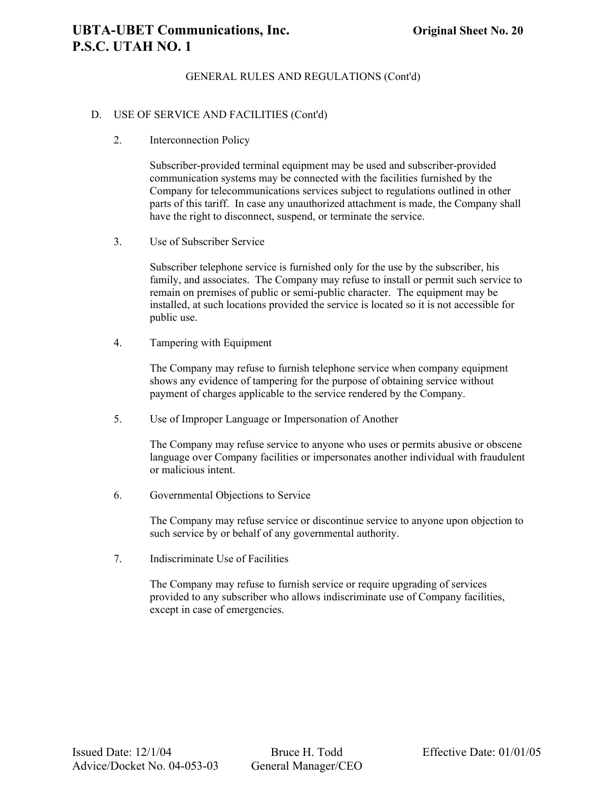### D. USE OF SERVICE AND FACILITIES (Cont'd)

2. Interconnection Policy

Subscriber-provided terminal equipment may be used and subscriber-provided communication systems may be connected with the facilities furnished by the Company for telecommunications services subject to regulations outlined in other parts of this tariff. In case any unauthorized attachment is made, the Company shall have the right to disconnect, suspend, or terminate the service.

3. Use of Subscriber Service

Subscriber telephone service is furnished only for the use by the subscriber, his family, and associates. The Company may refuse to install or permit such service to remain on premises of public or semi-public character. The equipment may be installed, at such locations provided the service is located so it is not accessible for public use.

4. Tampering with Equipment

The Company may refuse to furnish telephone service when company equipment shows any evidence of tampering for the purpose of obtaining service without payment of charges applicable to the service rendered by the Company.

5. Use of Improper Language or Impersonation of Another

The Company may refuse service to anyone who uses or permits abusive or obscene language over Company facilities or impersonates another individual with fraudulent or malicious intent.

6. Governmental Objections to Service

The Company may refuse service or discontinue service to anyone upon objection to such service by or behalf of any governmental authority.

7. Indiscriminate Use of Facilities

The Company may refuse to furnish service or require upgrading of services provided to any subscriber who allows indiscriminate use of Company facilities, except in case of emergencies.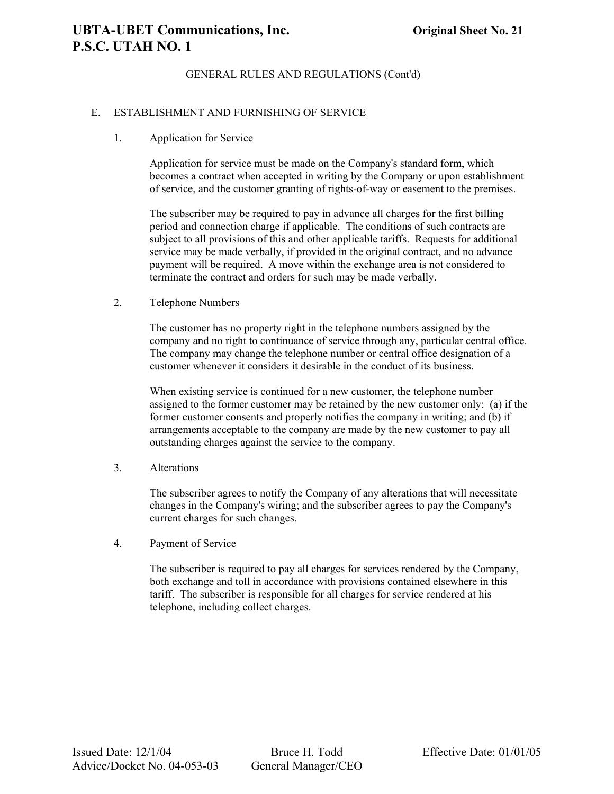### E. ESTABLISHMENT AND FURNISHING OF SERVICE

1. Application for Service

Application for service must be made on the Company's standard form, which becomes a contract when accepted in writing by the Company or upon establishment of service, and the customer granting of rights-of-way or easement to the premises.

The subscriber may be required to pay in advance all charges for the first billing period and connection charge if applicable. The conditions of such contracts are subject to all provisions of this and other applicable tariffs. Requests for additional service may be made verbally, if provided in the original contract, and no advance payment will be required. A move within the exchange area is not considered to terminate the contract and orders for such may be made verbally.

2. Telephone Numbers

The customer has no property right in the telephone numbers assigned by the company and no right to continuance of service through any, particular central office. The company may change the telephone number or central office designation of a customer whenever it considers it desirable in the conduct of its business.

When existing service is continued for a new customer, the telephone number assigned to the former customer may be retained by the new customer only: (a) if the former customer consents and properly notifies the company in writing; and (b) if arrangements acceptable to the company are made by the new customer to pay all outstanding charges against the service to the company.

3. Alterations

The subscriber agrees to notify the Company of any alterations that will necessitate changes in the Company's wiring; and the subscriber agrees to pay the Company's current charges for such changes.

4. Payment of Service

The subscriber is required to pay all charges for services rendered by the Company, both exchange and toll in accordance with provisions contained elsewhere in this tariff. The subscriber is responsible for all charges for service rendered at his telephone, including collect charges.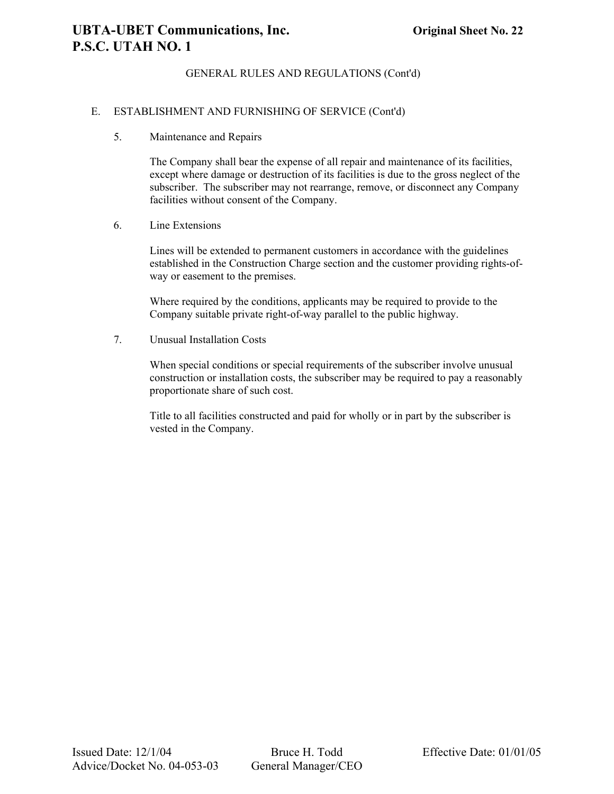### E. ESTABLISHMENT AND FURNISHING OF SERVICE (Cont'd)

5. Maintenance and Repairs

The Company shall bear the expense of all repair and maintenance of its facilities, except where damage or destruction of its facilities is due to the gross neglect of the subscriber. The subscriber may not rearrange, remove, or disconnect any Company facilities without consent of the Company.

6. Line Extensions

Lines will be extended to permanent customers in accordance with the guidelines established in the Construction Charge section and the customer providing rights-ofway or easement to the premises.

Where required by the conditions, applicants may be required to provide to the Company suitable private right-of-way parallel to the public highway.

7. Unusual Installation Costs

When special conditions or special requirements of the subscriber involve unusual construction or installation costs, the subscriber may be required to pay a reasonably proportionate share of such cost.

Title to all facilities constructed and paid for wholly or in part by the subscriber is vested in the Company.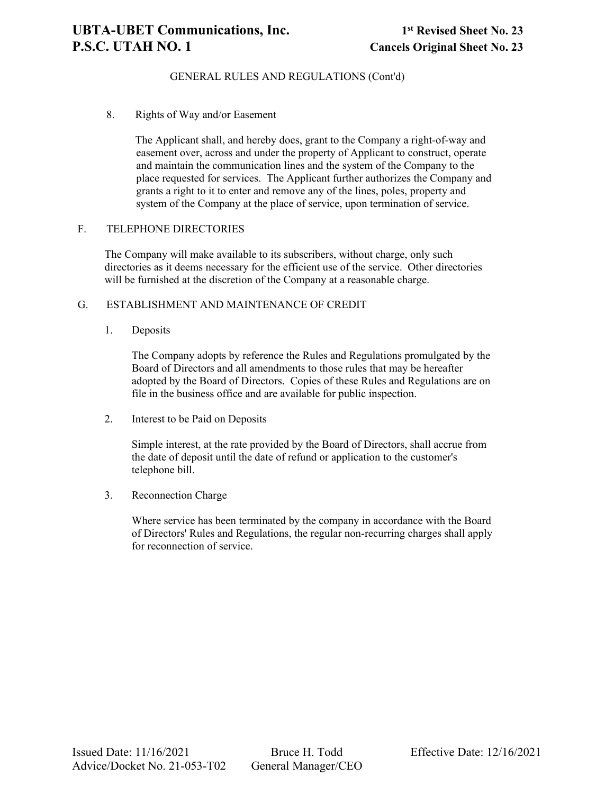### **UBTA-UBET Communications, Inc. 1st Revised Sheet No. 23 P.S.C. UTAH NO. 1** Cancels Original Sheet No. 23

### GENERAL RULES AND REGULATIONS (Cont'd)

8. Rights of Way and/or Easement

The Applicant shall, and hereby does, grant to the Company a right-of-way and easement over, across and under the property of Applicant to construct, operate and maintain the communication lines and the system of the Company to the place requested for services. The Applicant further authorizes the Company and grants a right to it to enter and remove any of the lines, poles, property and system of the Company at the place of service, upon termination of service.

### F. TELEPHONE DIRECTORIES

The Company will make available to its subscribers, without charge, only such directories as it deems necessary for the efficient use of the service. Other directories will be furnished at the discretion of the Company at a reasonable charge.

### G. ESTABLISHMENT AND MAINTENANCE OF CREDIT

1. Deposits

The Company adopts by reference the Rules and Regulations promulgated by the Board of Directors and all amendments to those rules that may be hereafter adopted by the Board of Directors. Copies of these Rules and Regulations are on file in the business office and are available for public inspection.

2. Interest to be Paid on Deposits

Simple interest, at the rate provided by the Board of Directors, shall accrue from the date of deposit until the date of refund or application to the customer's telephone bill.

3. Reconnection Charge

Where service has been terminated by the company in accordance with the Board of Directors' Rules and Regulations, the regular non-recurring charges shall apply for reconnection of service.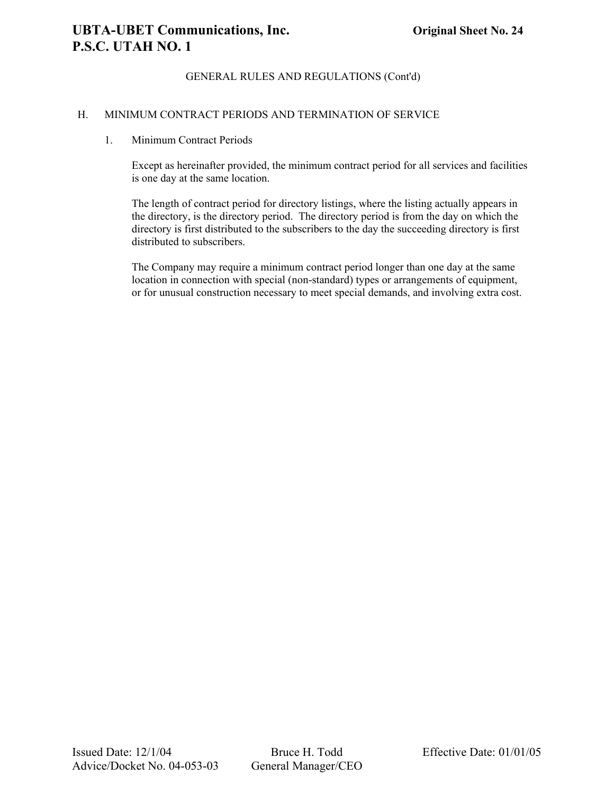### H. MINIMUM CONTRACT PERIODS AND TERMINATION OF SERVICE

### 1. Minimum Contract Periods

Except as hereinafter provided, the minimum contract period for all services and facilities is one day at the same location.

The length of contract period for directory listings, where the listing actually appears in the directory, is the directory period. The directory period is from the day on which the directory is first distributed to the subscribers to the day the succeeding directory is first distributed to subscribers.

The Company may require a minimum contract period longer than one day at the same location in connection with special (non-standard) types or arrangements of equipment, or for unusual construction necessary to meet special demands, and involving extra cost.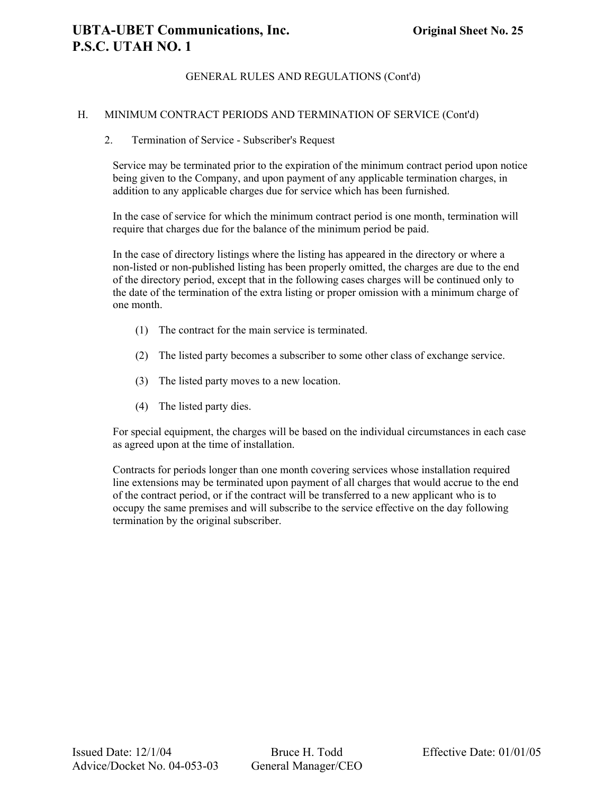### H. MINIMUM CONTRACT PERIODS AND TERMINATION OF SERVICE (Cont'd)

### 2. Termination of Service - Subscriber's Request

Service may be terminated prior to the expiration of the minimum contract period upon notice being given to the Company, and upon payment of any applicable termination charges, in addition to any applicable charges due for service which has been furnished.

In the case of service for which the minimum contract period is one month, termination will require that charges due for the balance of the minimum period be paid.

In the case of directory listings where the listing has appeared in the directory or where a non-listed or non-published listing has been properly omitted, the charges are due to the end of the directory period, except that in the following cases charges will be continued only to the date of the termination of the extra listing or proper omission with a minimum charge of one month.

- (1) The contract for the main service is terminated.
- (2) The listed party becomes a subscriber to some other class of exchange service.
- (3) The listed party moves to a new location.
- (4) The listed party dies.

For special equipment, the charges will be based on the individual circumstances in each case as agreed upon at the time of installation.

Contracts for periods longer than one month covering services whose installation required line extensions may be terminated upon payment of all charges that would accrue to the end of the contract period, or if the contract will be transferred to a new applicant who is to occupy the same premises and will subscribe to the service effective on the day following termination by the original subscriber.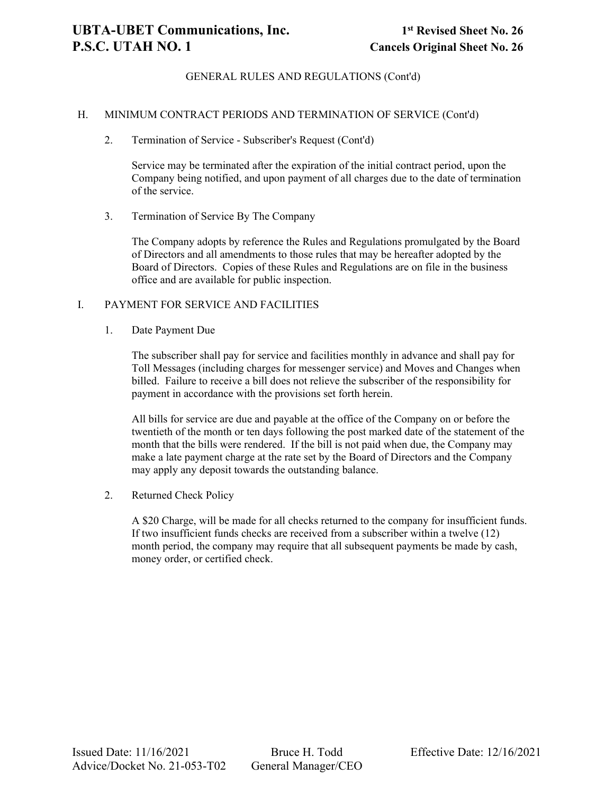### H. MINIMUM CONTRACT PERIODS AND TERMINATION OF SERVICE (Cont'd)

2. Termination of Service - Subscriber's Request (Cont'd)

Service may be terminated after the expiration of the initial contract period, upon the Company being notified, and upon payment of all charges due to the date of termination of the service.

3. Termination of Service By The Company

The Company adopts by reference the Rules and Regulations promulgated by the Board of Directors and all amendments to those rules that may be hereafter adopted by the Board of Directors. Copies of these Rules and Regulations are on file in the business office and are available for public inspection.

### I. PAYMENT FOR SERVICE AND FACILITIES

1. Date Payment Due

The subscriber shall pay for service and facilities monthly in advance and shall pay for Toll Messages (including charges for messenger service) and Moves and Changes when billed. Failure to receive a bill does not relieve the subscriber of the responsibility for payment in accordance with the provisions set forth herein.

All bills for service are due and payable at the office of the Company on or before the twentieth of the month or ten days following the post marked date of the statement of the month that the bills were rendered. If the bill is not paid when due, the Company may make a late payment charge at the rate set by the Board of Directors and the Company may apply any deposit towards the outstanding balance.

2. Returned Check Policy

A \$20 Charge, will be made for all checks returned to the company for insufficient funds. If two insufficient funds checks are received from a subscriber within a twelve (12) month period, the company may require that all subsequent payments be made by cash, money order, or certified check.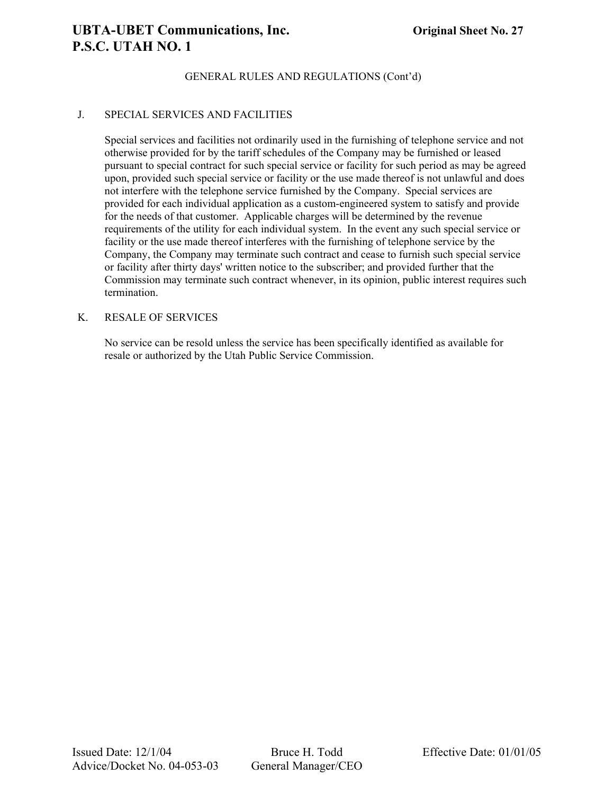### **UBTA-UBET Communications, Inc. Original Sheet No. 27 P.S.C. UTAH NO. 1**

### GENERAL RULES AND REGULATIONS (Cont'd)

### J. SPECIAL SERVICES AND FACILITIES

Special services and facilities not ordinarily used in the furnishing of telephone service and not otherwise provided for by the tariff schedules of the Company may be furnished or leased pursuant to special contract for such special service or facility for such period as may be agreed upon, provided such special service or facility or the use made thereof is not unlawful and does not interfere with the telephone service furnished by the Company. Special services are provided for each individual application as a custom-engineered system to satisfy and provide for the needs of that customer. Applicable charges will be determined by the revenue requirements of the utility for each individual system. In the event any such special service or facility or the use made thereof interferes with the furnishing of telephone service by the Company, the Company may terminate such contract and cease to furnish such special service or facility after thirty days' written notice to the subscriber; and provided further that the Commission may terminate such contract whenever, in its opinion, public interest requires such termination.

### K. RESALE OF SERVICES

No service can be resold unless the service has been specifically identified as available for resale or authorized by the Utah Public Service Commission.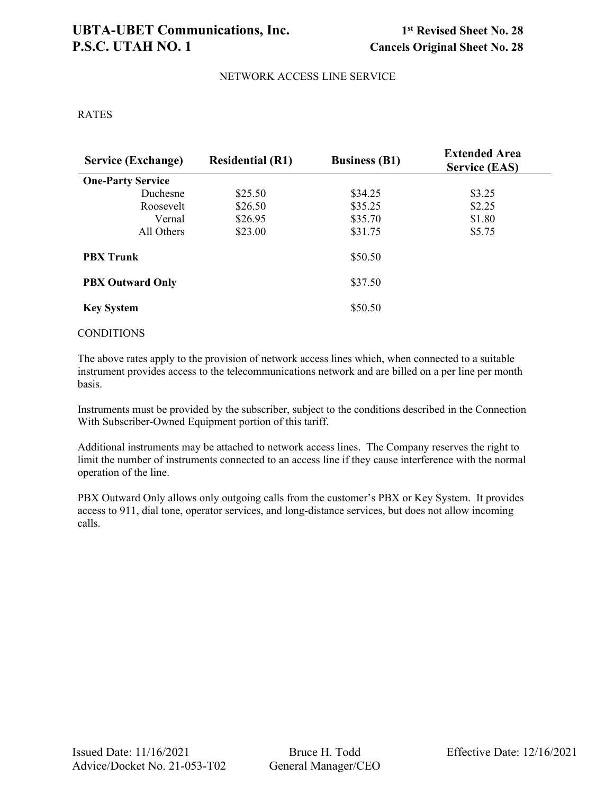### **UBTA-UBET Communications, Inc. 1st Revised Sheet No. 28** P.S.C. UTAH NO. 1 Cancels Original Sheet No. 28

### NETWORK ACCESS LINE SERVICE

### RATES

| <b>Service (Exchange)</b> | <b>Residential (R1)</b> | <b>Business (B1)</b> | <b>Extended Area</b><br><b>Service (EAS)</b> |
|---------------------------|-------------------------|----------------------|----------------------------------------------|
| <b>One-Party Service</b>  |                         |                      |                                              |
| Duchesne                  | \$25.50                 | \$34.25              | \$3.25                                       |
| Roosevelt                 | \$26.50                 | \$35.25              | \$2.25                                       |
| Vernal                    | \$26.95                 | \$35.70              | \$1.80                                       |
| All Others                | \$23.00                 | \$31.75              | \$5.75                                       |
| <b>PBX Trunk</b>          |                         | \$50.50              |                                              |
| <b>PBX Outward Only</b>   |                         | \$37.50              |                                              |
| <b>Key System</b>         |                         | \$50.50              |                                              |

### **CONDITIONS**

The above rates apply to the provision of network access lines which, when connected to a suitable instrument provides access to the telecommunications network and are billed on a per line per month basis.

Instruments must be provided by the subscriber, subject to the conditions described in the Connection With Subscriber-Owned Equipment portion of this tariff.

Additional instruments may be attached to network access lines. The Company reserves the right to limit the number of instruments connected to an access line if they cause interference with the normal operation of the line.

PBX Outward Only allows only outgoing calls from the customer's PBX or Key System. It provides access to 911, dial tone, operator services, and long-distance services, but does not allow incoming calls.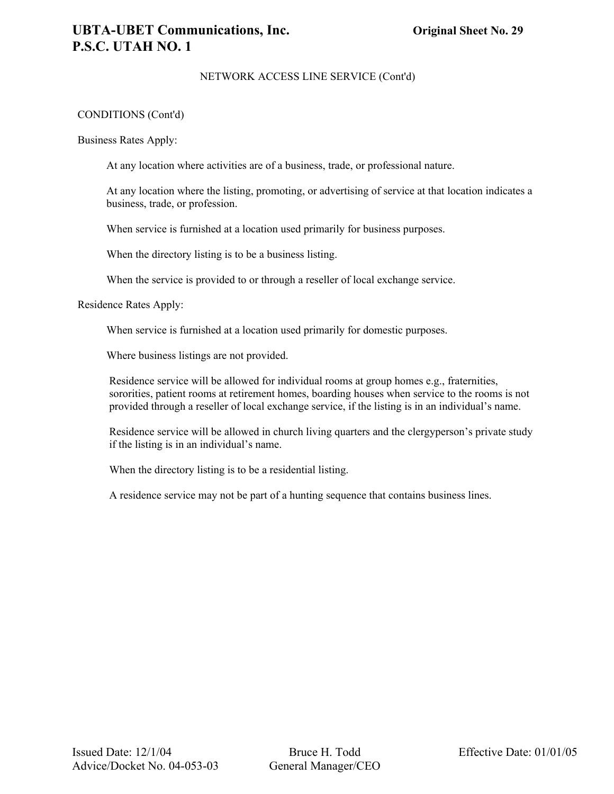### NETWORK ACCESS LINE SERVICE (Cont'd)

### CONDITIONS (Cont'd)

Business Rates Apply:

At any location where activities are of a business, trade, or professional nature.

At any location where the listing, promoting, or advertising of service at that location indicates a business, trade, or profession.

When service is furnished at a location used primarily for business purposes.

When the directory listing is to be a business listing.

When the service is provided to or through a reseller of local exchange service.

Residence Rates Apply:

When service is furnished at a location used primarily for domestic purposes.

Where business listings are not provided.

Residence service will be allowed for individual rooms at group homes e.g., fraternities, sororities, patient rooms at retirement homes, boarding houses when service to the rooms is not provided through a reseller of local exchange service, if the listing is in an individual's name.

Residence service will be allowed in church living quarters and the clergyperson's private study if the listing is in an individual's name.

When the directory listing is to be a residential listing.

A residence service may not be part of a hunting sequence that contains business lines.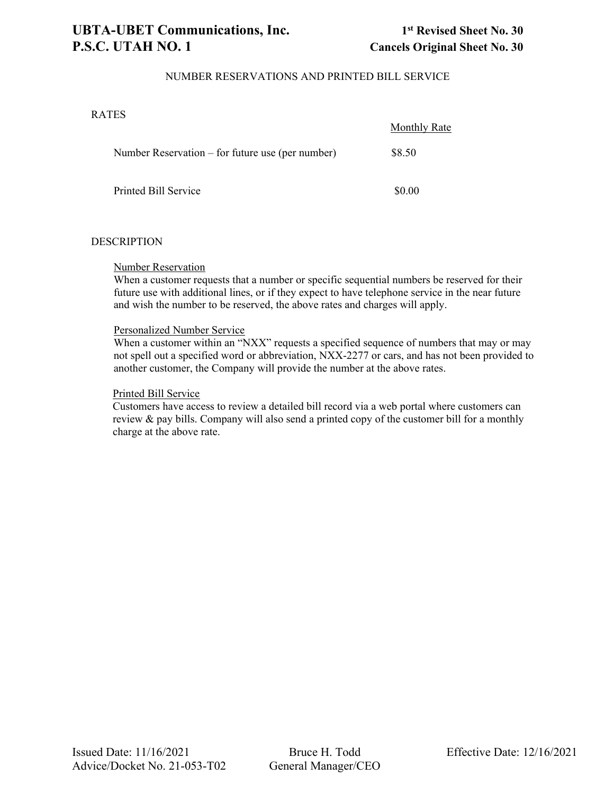### NUMBER RESERVATIONS AND PRINTED BILL SERVICE

### RATES

|                                                    | <b>Monthly Rate</b> |
|----------------------------------------------------|---------------------|
| Number Reservation $-$ for future use (per number) | \$8.50              |
| Printed Bill Service                               | \$0.00              |

### **DESCRIPTION**

### Number Reservation

When a customer requests that a number or specific sequential numbers be reserved for their future use with additional lines, or if they expect to have telephone service in the near future and wish the number to be reserved, the above rates and charges will apply.

### Personalized Number Service

When a customer within an "NXX" requests a specified sequence of numbers that may or may not spell out a specified word or abbreviation, NXX-2277 or cars, and has not been provided to another customer, the Company will provide the number at the above rates.

### Printed Bill Service

Customers have access to review a detailed bill record via a web portal where customers can review & pay bills. Company will also send a printed copy of the customer bill for a monthly charge at the above rate.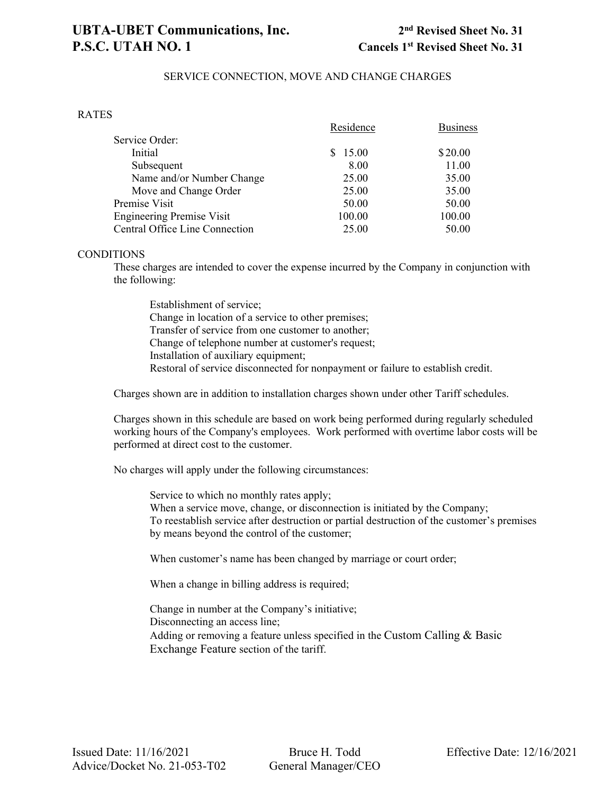### SERVICE CONNECTION, MOVE AND CHANGE CHARGES

### RATES

|                                  | Residence | <b>Business</b> |
|----------------------------------|-----------|-----------------|
| Service Order:                   |           |                 |
| Initial                          | \$15.00   | \$20.00         |
| Subsequent                       | 8.00      | 11.00           |
| Name and/or Number Change        | 25.00     | 35.00           |
| Move and Change Order            | 25.00     | 35.00           |
| Premise Visit                    | 50.00     | 50.00           |
| <b>Engineering Premise Visit</b> | 100.00    | 100.00          |
| Central Office Line Connection   | 25.00     | 50.00           |

### **CONDITIONS**

These charges are intended to cover the expense incurred by the Company in conjunction with the following:

Establishment of service; Change in location of a service to other premises; Transfer of service from one customer to another; Change of telephone number at customer's request; Installation of auxiliary equipment; Restoral of service disconnected for nonpayment or failure to establish credit.

Charges shown are in addition to installation charges shown under other Tariff schedules.

Charges shown in this schedule are based on work being performed during regularly scheduled working hours of the Company's employees. Work performed with overtime labor costs will be performed at direct cost to the customer.

No charges will apply under the following circumstances:

Service to which no monthly rates apply; When a service move, change, or disconnection is initiated by the Company; To reestablish service after destruction or partial destruction of the customer's premises by means beyond the control of the customer;

When customer's name has been changed by marriage or court order;

When a change in billing address is required;

Change in number at the Company's initiative; Disconnecting an access line; Adding or removing a feature unless specified in the Custom Calling & Basic Exchange Feature section of the tariff.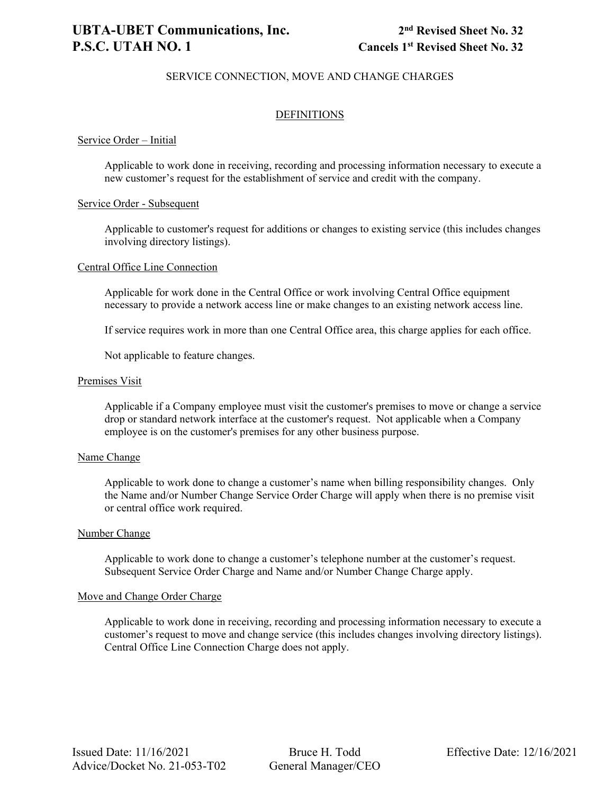### SERVICE CONNECTION, MOVE AND CHANGE CHARGES

### **DEFINITIONS**

### Service Order – Initial

Applicable to work done in receiving, recording and processing information necessary to execute a new customer's request for the establishment of service and credit with the company.

### Service Order - Subsequent

Applicable to customer's request for additions or changes to existing service (this includes changes involving directory listings).

#### Central Office Line Connection

Applicable for work done in the Central Office or work involving Central Office equipment necessary to provide a network access line or make changes to an existing network access line.

If service requires work in more than one Central Office area, this charge applies for each office.

Not applicable to feature changes.

#### Premises Visit

Applicable if a Company employee must visit the customer's premises to move or change a service drop or standard network interface at the customer's request. Not applicable when a Company employee is on the customer's premises for any other business purpose.

#### Name Change

Applicable to work done to change a customer's name when billing responsibility changes. Only the Name and/or Number Change Service Order Charge will apply when there is no premise visit or central office work required.

#### Number Change

Applicable to work done to change a customer's telephone number at the customer's request. Subsequent Service Order Charge and Name and/or Number Change Charge apply.

#### Move and Change Order Charge

Applicable to work done in receiving, recording and processing information necessary to execute a customer's request to move and change service (this includes changes involving directory listings). Central Office Line Connection Charge does not apply.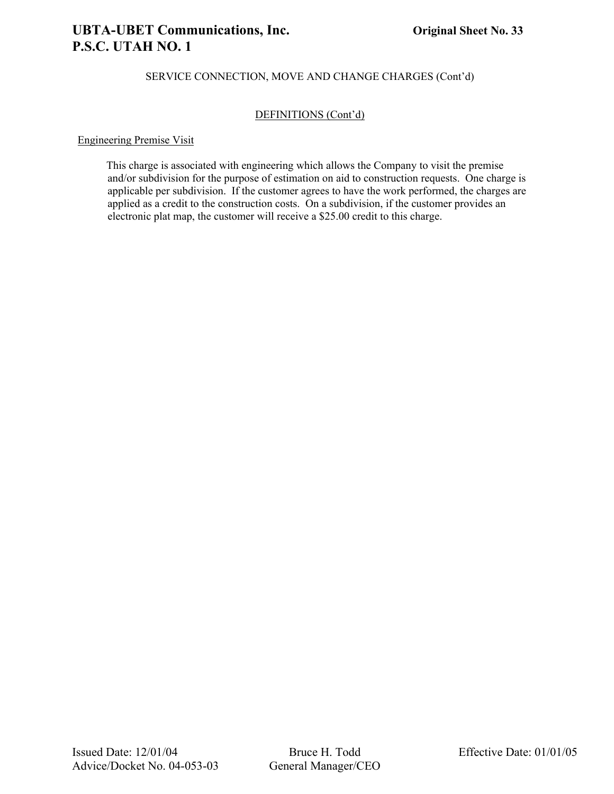### **UBTA-UBET Communications, Inc. Original Sheet No. 33 P.S.C. UTAH NO. 1**

### SERVICE CONNECTION, MOVE AND CHANGE CHARGES (Cont'd)

### DEFINITIONS (Cont'd)

### Engineering Premise Visit

This charge is associated with engineering which allows the Company to visit the premise and/or subdivision for the purpose of estimation on aid to construction requests. One charge is applicable per subdivision. If the customer agrees to have the work performed, the charges are applied as a credit to the construction costs. On a subdivision, if the customer provides an electronic plat map, the customer will receive a \$25.00 credit to this charge.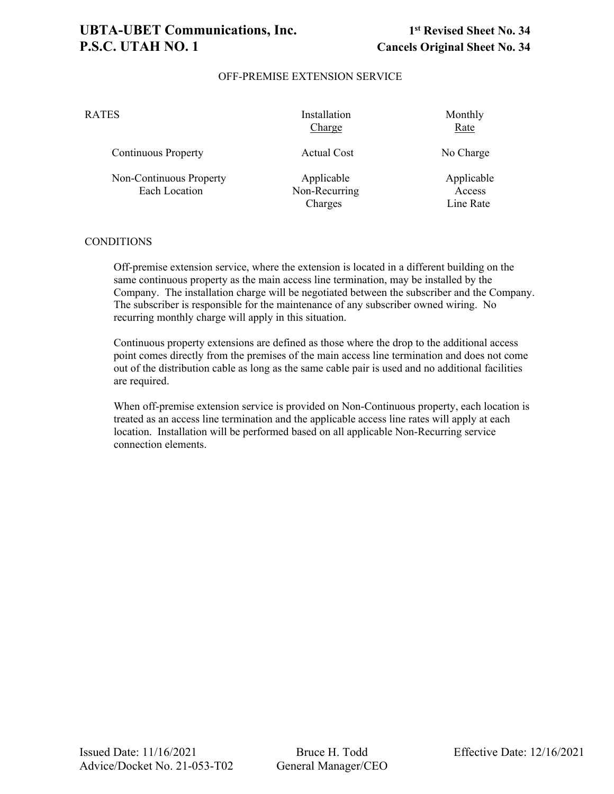### **UBTA-UBET Communications, Inc. 1st Revised Sheet No. 34 P.S.C. UTAH NO. 1 Cancels Original Sheet No. 34**

### OFF-PREMISE EXTENSION SERVICE

| RATES                                           | Installation<br>Charge                 | Monthly<br>Rate                   |
|-------------------------------------------------|----------------------------------------|-----------------------------------|
| <b>Continuous Property</b>                      | <b>Actual Cost</b>                     | No Charge                         |
| Non-Continuous Property<br><b>Each Location</b> | Applicable<br>Non-Recurring<br>Charges | Applicable<br>Access<br>Line Rate |

### **CONDITIONS**

Off-premise extension service, where the extension is located in a different building on the same continuous property as the main access line termination, may be installed by the Company. The installation charge will be negotiated between the subscriber and the Company. The subscriber is responsible for the maintenance of any subscriber owned wiring. No recurring monthly charge will apply in this situation.

Continuous property extensions are defined as those where the drop to the additional access point comes directly from the premises of the main access line termination and does not come out of the distribution cable as long as the same cable pair is used and no additional facilities are required.

When off-premise extension service is provided on Non-Continuous property, each location is treated as an access line termination and the applicable access line rates will apply at each location. Installation will be performed based on all applicable Non-Recurring service connection elements.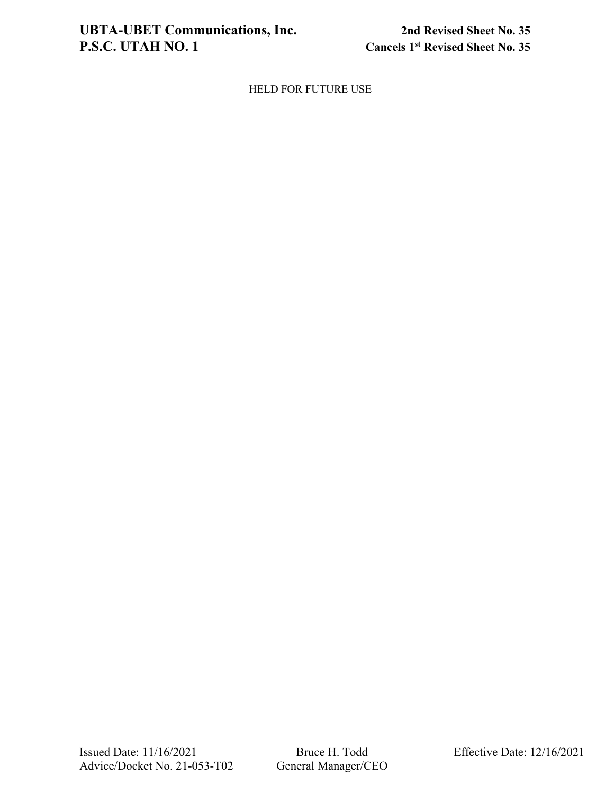HELD FOR FUTURE USE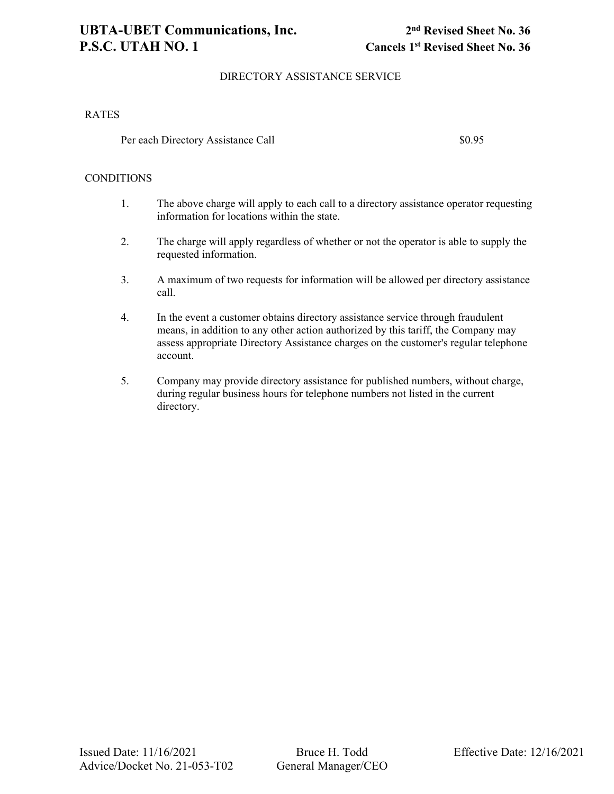### DIRECTORY ASSISTANCE SERVICE

### RATES

Per each Directory Assistance Call  $$0.95$ 

### **CONDITIONS**

- 1. The above charge will apply to each call to a directory assistance operator requesting information for locations within the state.
- 2. The charge will apply regardless of whether or not the operator is able to supply the requested information.
- 3. A maximum of two requests for information will be allowed per directory assistance call.
- 4. In the event a customer obtains directory assistance service through fraudulent means, in addition to any other action authorized by this tariff, the Company may assess appropriate Directory Assistance charges on the customer's regular telephone account.
- 5. Company may provide directory assistance for published numbers, without charge, during regular business hours for telephone numbers not listed in the current directory.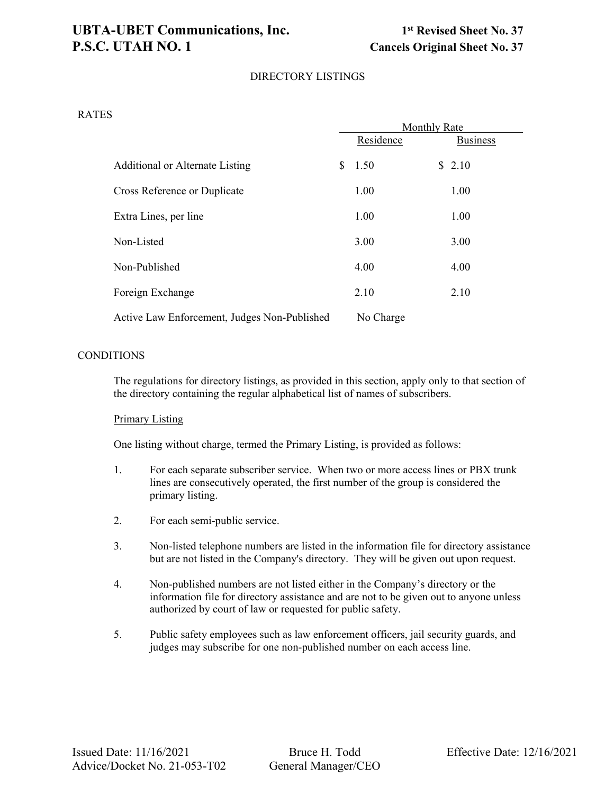### **UBTA-UBET Communications, Inc. 1st Revised Sheet No. 37 P.S.C. UTAH NO. 1** Cancels Original Sheet No. 37

### DIRECTORY LISTINGS

#### RATES

|                                              | <b>Monthly Rate</b> |    |                 |  |  |  |
|----------------------------------------------|---------------------|----|-----------------|--|--|--|
|                                              | Residence           |    | <b>Business</b> |  |  |  |
| Additional or Alternate Listing              | \$<br>1.50          | S. | 2.10            |  |  |  |
| Cross Reference or Duplicate                 | 1.00                |    | 1.00            |  |  |  |
| Extra Lines, per line                        | 1.00                |    | 1.00            |  |  |  |
| Non-Listed                                   | 3.00                |    | 3.00            |  |  |  |
| Non-Published                                | 4.00                |    | 4.00            |  |  |  |
| Foreign Exchange                             | 2.10                |    | 2.10            |  |  |  |
| Active Law Enforcement, Judges Non-Published | No Charge           |    |                 |  |  |  |

#### **CONDITIONS**

The regulations for directory listings, as provided in this section, apply only to that section of the directory containing the regular alphabetical list of names of subscribers.

#### Primary Listing

One listing without charge, termed the Primary Listing, is provided as follows:

- 1. For each separate subscriber service. When two or more access lines or PBX trunk lines are consecutively operated, the first number of the group is considered the primary listing.
- 2. For each semi-public service.
- 3. Non-listed telephone numbers are listed in the information file for directory assistance but are not listed in the Company's directory. They will be given out upon request.
- 4. Non-published numbers are not listed either in the Company's directory or the information file for directory assistance and are not to be given out to anyone unless authorized by court of law or requested for public safety.
- 5. Public safety employees such as law enforcement officers, jail security guards, and judges may subscribe for one non-published number on each access line.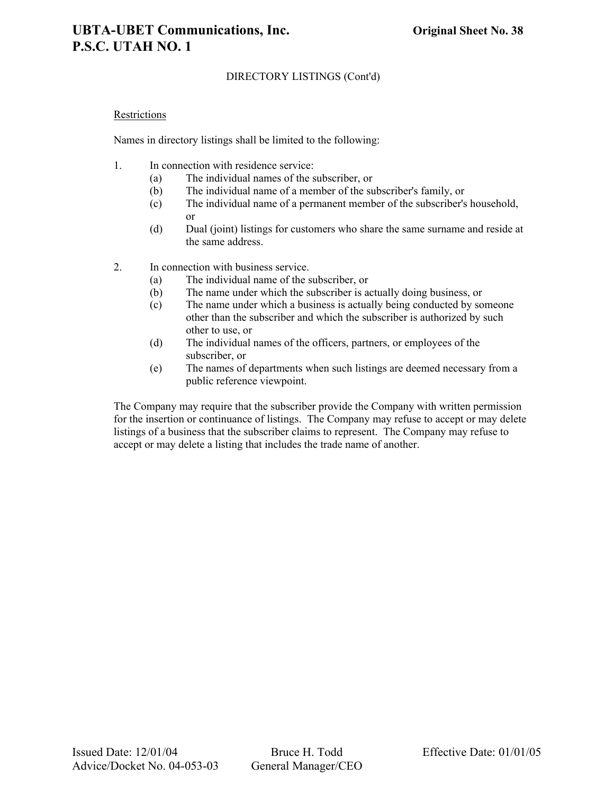### DIRECTORY LISTINGS (Cont'd)

#### Restrictions

Names in directory listings shall be limited to the following:

- 1. In connection with residence service:
	- (a) The individual names of the subscriber, or
	- (b) The individual name of a member of the subscriber's family, or
	- (c) The individual name of a permanent member of the subscriber's household, or
	- (d) Dual (joint) listings for customers who share the same surname and reside at the same address.
- 2. In connection with business service.
	- (a) The individual name of the subscriber, or
	- (b) The name under which the subscriber is actually doing business, or
	- (c) The name under which a business is actually being conducted by someone other than the subscriber and which the subscriber is authorized by such other to use, or
	- (d) The individual names of the officers, partners, or employees of the subscriber, or
	- (e) The names of departments when such listings are deemed necessary from a public reference viewpoint.

The Company may require that the subscriber provide the Company with written permission for the insertion or continuance of listings. The Company may refuse to accept or may delete listings of a business that the subscriber claims to represent. The Company may refuse to accept or may delete a listing that includes the trade name of another.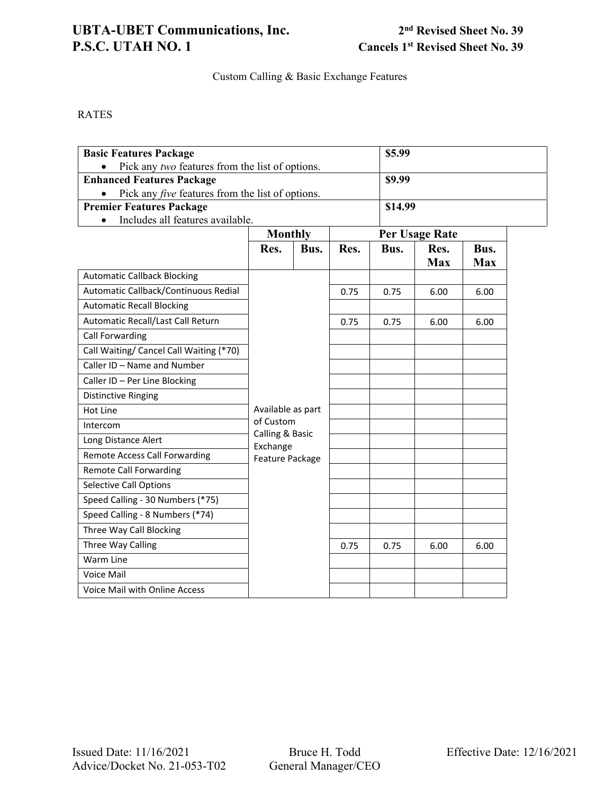### UBTA-UBET Communications, Inc.<br> **2nd** Revised Sheet No. 39<br> **2nd** Revised Sheet No. 39<br>
Cancels 1<sup>st</sup> Revised Sheet No. 39

**Cancels 1st Revised Sheet No. 39** 

Custom Calling & Basic Exchange Features

RATES

| <b>Basic Features Package</b>                           |                             |      |      |                | \$5.99             |                    |  |  |
|---------------------------------------------------------|-----------------------------|------|------|----------------|--------------------|--------------------|--|--|
| Pick any two features from the list of options.         |                             |      |      |                |                    |                    |  |  |
| <b>Enhanced Features Package</b>                        |                             |      |      |                | \$9.99             |                    |  |  |
| Pick any <i>five</i> features from the list of options. |                             |      |      |                |                    |                    |  |  |
| <b>Premier Features Package</b>                         |                             |      |      |                | \$14.99            |                    |  |  |
| Includes all features available.                        |                             |      |      |                |                    |                    |  |  |
|                                                         | <b>Monthly</b>              |      |      | Per Usage Rate |                    |                    |  |  |
|                                                         | Res.                        | Bus. | Res. | Bus.           | Res.<br><b>Max</b> | Bus.<br><b>Max</b> |  |  |
| <b>Automatic Callback Blocking</b>                      |                             |      |      |                |                    |                    |  |  |
| Automatic Callback/Continuous Redial                    |                             |      | 0.75 | 0.75           | 6.00               | 6.00               |  |  |
| <b>Automatic Recall Blocking</b>                        |                             |      |      |                |                    |                    |  |  |
| Automatic Recall/Last Call Return                       |                             |      | 0.75 | 0.75           | 6.00               | 6.00               |  |  |
| Call Forwarding                                         |                             |      |      |                |                    |                    |  |  |
| Call Waiting/ Cancel Call Waiting (*70)                 |                             |      |      |                |                    |                    |  |  |
| Caller ID - Name and Number                             |                             |      |      |                |                    |                    |  |  |
| Caller ID - Per Line Blocking                           |                             |      |      |                |                    |                    |  |  |
| <b>Distinctive Ringing</b>                              |                             |      |      |                |                    |                    |  |  |
| Hot Line                                                | Available as part           |      |      |                |                    |                    |  |  |
| Intercom                                                | of Custom                   |      |      |                |                    |                    |  |  |
| Long Distance Alert                                     | Calling & Basic<br>Exchange |      |      |                |                    |                    |  |  |
| <b>Remote Access Call Forwarding</b>                    | Feature Package             |      |      |                |                    |                    |  |  |
| <b>Remote Call Forwarding</b>                           |                             |      |      |                |                    |                    |  |  |
| <b>Selective Call Options</b>                           |                             |      |      |                |                    |                    |  |  |
| Speed Calling - 30 Numbers (*75)                        |                             |      |      |                |                    |                    |  |  |
| Speed Calling - 8 Numbers (*74)                         |                             |      |      |                |                    |                    |  |  |
| Three Way Call Blocking                                 |                             |      |      |                |                    |                    |  |  |
| Three Way Calling                                       |                             |      | 0.75 | 0.75           | 6.00               | 6.00               |  |  |
| Warm Line                                               |                             |      |      |                |                    |                    |  |  |
| Voice Mail                                              |                             |      |      |                |                    |                    |  |  |
| Voice Mail with Online Access                           |                             |      |      |                |                    |                    |  |  |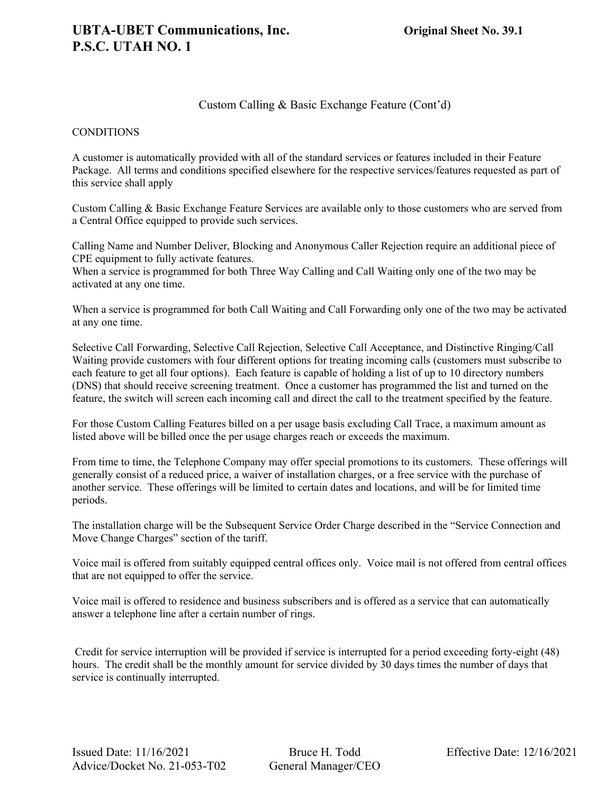#### **CONDITIONS**

A customer is automatically provided with all of the standard services or features included in their Feature Package. All terms and conditions specified elsewhere for the respective services/features requested as part of this service shall apply

Custom Calling & Basic Exchange Feature Services are available only to those customers who are served from a Central Office equipped to provide such services.

Calling Name and Number Deliver, Blocking and Anonymous Caller Rejection require an additional piece of CPE equipment to fully activate features.

When a service is programmed for both Three Way Calling and Call Waiting only one of the two may be activated at any one time.

When a service is programmed for both Call Waiting and Call Forwarding only one of the two may be activated at any one time.

Selective Call Forwarding, Selective Call Rejection, Selective Call Acceptance, and Distinctive Ringing/Call Waiting provide customers with four different options for treating incoming calls (customers must subscribe to each feature to get all four options). Each feature is capable of holding a list of up to 10 directory numbers (DNS) that should receive screening treatment. Once a customer has programmed the list and turned on the feature, the switch will screen each incoming call and direct the call to the treatment specified by the feature.

For those Custom Calling Features billed on a per usage basis excluding Call Trace, a maximum amount as listed above will be billed once the per usage charges reach or exceeds the maximum.

From time to time, the Telephone Company may offer special promotions to its customers. These offerings will generally consist of a reduced price, a waiver of installation charges, or a free service with the purchase of another service. These offerings will be limited to certain dates and locations, and will be for limited time periods.

The installation charge will be the Subsequent Service Order Charge described in the "Service Connection and Move Change Charges" section of the tariff.

Voice mail is offered from suitably equipped central offices only. Voice mail is not offered from central offices that are not equipped to offer the service.

Voice mail is offered to residence and business subscribers and is offered as a service that can automatically answer a telephone line after a certain number of rings.

Credit for service interruption will be provided if service is interrupted for a period exceeding forty-eight (48) hours. The credit shall be the monthly amount for service divided by 30 days times the number of days that service is continually interrupted.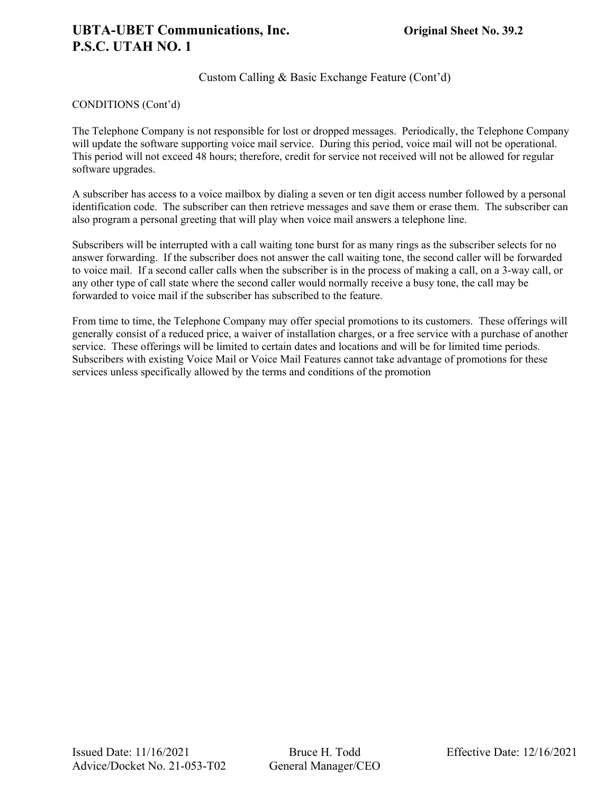### CONDITIONS (Cont'd)

The Telephone Company is not responsible for lost or dropped messages. Periodically, the Telephone Company will update the software supporting voice mail service. During this period, voice mail will not be operational. This period will not exceed 48 hours; therefore, credit for service not received will not be allowed for regular software upgrades.

A subscriber has access to a voice mailbox by dialing a seven or ten digit access number followed by a personal identification code. The subscriber can then retrieve messages and save them or erase them. The subscriber can also program a personal greeting that will play when voice mail answers a telephone line.

Subscribers will be interrupted with a call waiting tone burst for as many rings as the subscriber selects for no answer forwarding. If the subscriber does not answer the call waiting tone, the second caller will be forwarded to voice mail. If a second caller calls when the subscriber is in the process of making a call, on a 3-way call, or any other type of call state where the second caller would normally receive a busy tone, the call may be forwarded to voice mail if the subscriber has subscribed to the feature.

From time to time, the Telephone Company may offer special promotions to its customers. These offerings will generally consist of a reduced price, a waiver of installation charges, or a free service with a purchase of another service. These offerings will be limited to certain dates and locations and will be for limited time periods. Subscribers with existing Voice Mail or Voice Mail Features cannot take advantage of promotions for these services unless specifically allowed by the terms and conditions of the promotion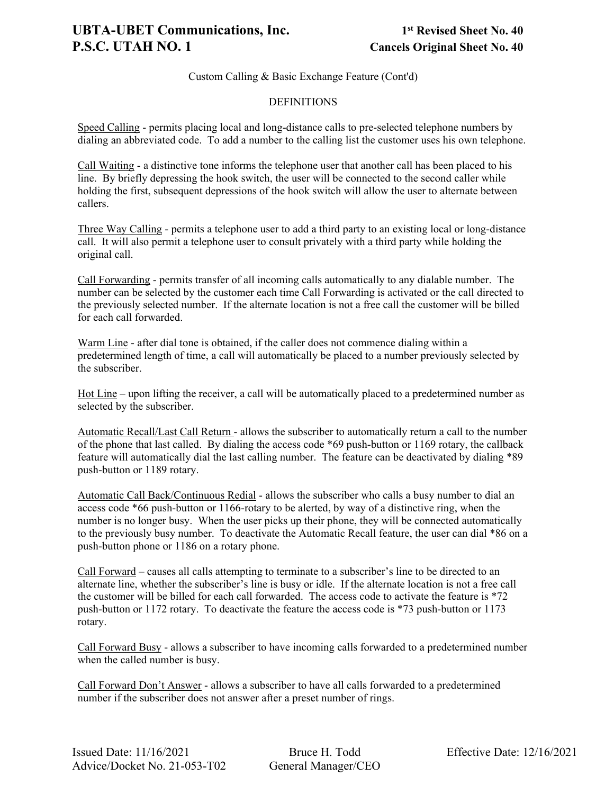#### DEFINITIONS

Speed Calling - permits placing local and long-distance calls to pre-selected telephone numbers by dialing an abbreviated code. To add a number to the calling list the customer uses his own telephone.

Call Waiting - a distinctive tone informs the telephone user that another call has been placed to his line. By briefly depressing the hook switch, the user will be connected to the second caller while holding the first, subsequent depressions of the hook switch will allow the user to alternate between callers.

Three Way Calling - permits a telephone user to add a third party to an existing local or long-distance call. It will also permit a telephone user to consult privately with a third party while holding the original call.

Call Forwarding - permits transfer of all incoming calls automatically to any dialable number. The number can be selected by the customer each time Call Forwarding is activated or the call directed to the previously selected number. If the alternate location is not a free call the customer will be billed for each call forwarded.

Warm Line - after dial tone is obtained, if the caller does not commence dialing within a predetermined length of time, a call will automatically be placed to a number previously selected by the subscriber.

Hot Line – upon lifting the receiver, a call will be automatically placed to a predetermined number as selected by the subscriber.

Automatic Recall/Last Call Return - allows the subscriber to automatically return a call to the number of the phone that last called. By dialing the access code \*69 push-button or 1169 rotary, the callback feature will automatically dial the last calling number. The feature can be deactivated by dialing \*89 push-button or 1189 rotary.

Automatic Call Back/Continuous Redial - allows the subscriber who calls a busy number to dial an access code \*66 push-button or 1166-rotary to be alerted, by way of a distinctive ring, when the number is no longer busy. When the user picks up their phone, they will be connected automatically to the previously busy number. To deactivate the Automatic Recall feature, the user can dial \*86 on a push-button phone or 1186 on a rotary phone.

Call Forward – causes all calls attempting to terminate to a subscriber's line to be directed to an alternate line, whether the subscriber's line is busy or idle. If the alternate location is not a free call the customer will be billed for each call forwarded. The access code to activate the feature is \*72 push-button or 1172 rotary. To deactivate the feature the access code is \*73 push-button or 1173 rotary.

Call Forward Busy - allows a subscriber to have incoming calls forwarded to a predetermined number when the called number is busy.

Call Forward Don't Answer - allows a subscriber to have all calls forwarded to a predetermined number if the subscriber does not answer after a preset number of rings.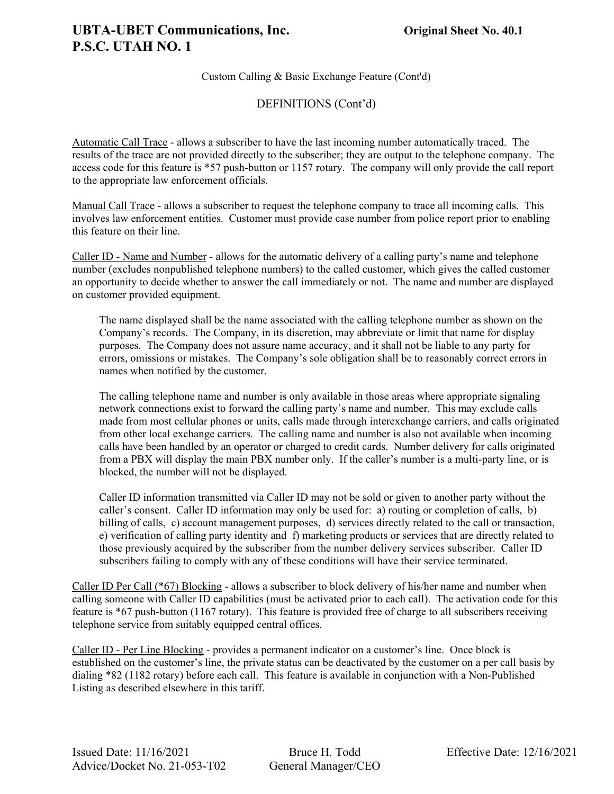DEFINITIONS (Cont'd)

Automatic Call Trace - allows a subscriber to have the last incoming number automatically traced. The results of the trace are not provided directly to the subscriber; they are output to the telephone company. The access code for this feature is \*57 push-button or 1157 rotary. The company will only provide the call report to the appropriate law enforcement officials.

Manual Call Trace - allows a subscriber to request the telephone company to trace all incoming calls. This involves law enforcement entities. Customer must provide case number from police report prior to enabling this feature on their line.

Caller ID - Name and Number - allows for the automatic delivery of a calling party's name and telephone number (excludes nonpublished telephone numbers) to the called customer, which gives the called customer an opportunity to decide whether to answer the call immediately or not. The name and number are displayed on customer provided equipment.

The name displayed shall be the name associated with the calling telephone number as shown on the Company's records. The Company, in its discretion, may abbreviate or limit that name for display purposes. The Company does not assure name accuracy, and it shall not be liable to any party for errors, omissions or mistakes. The Company's sole obligation shall be to reasonably correct errors in names when notified by the customer.

The calling telephone name and number is only available in those areas where appropriate signaling network connections exist to forward the calling party's name and number. This may exclude calls made from most cellular phones or units, calls made through interexchange carriers, and calls originated from other local exchange carriers. The calling name and number is also not available when incoming calls have been handled by an operator or charged to credit cards. Number delivery for calls originated from a PBX will display the main PBX number only. If the caller's number is a multi-party line, or is blocked, the number will not be displayed.

Caller ID information transmitted via Caller ID may not be sold or given to another party without the caller's consent. Caller ID information may only be used for: a) routing or completion of calls, b) billing of calls, c) account management purposes, d) services directly related to the call or transaction, e) verification of calling party identity and f) marketing products or services that are directly related to those previously acquired by the subscriber from the number delivery services subscriber. Caller ID subscribers failing to comply with any of these conditions will have their service terminated.

Caller ID Per Call (\*67) Blocking - allows a subscriber to block delivery of his/her name and number when calling someone with Caller ID capabilities (must be activated prior to each call). The activation code for this feature is \*67 push-button (1167 rotary). This feature is provided free of charge to all subscribers receiving telephone service from suitably equipped central offices.

Caller ID - Per Line Blocking - provides a permanent indicator on a customer's line. Once block is established on the customer's line, the private status can be deactivated by the customer on a per call basis by dialing \*82 (1182 rotary) before each call. This feature is available in conjunction with a Non-Published Listing as described elsewhere in this tariff.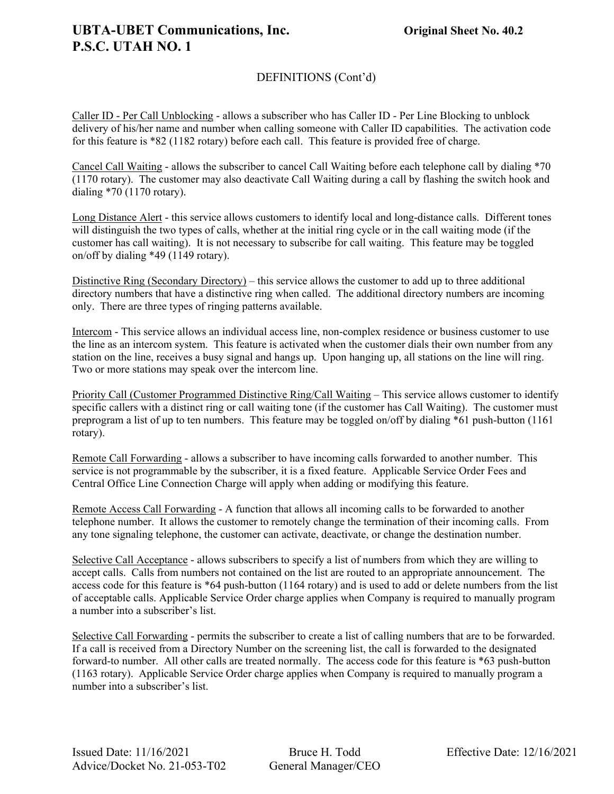### **UBTA-UBET Communications, Inc. Original Sheet No. 40.2 P.S.C. UTAH NO. 1**

### DEFINITIONS (Cont'd)

Caller ID - Per Call Unblocking - allows a subscriber who has Caller ID - Per Line Blocking to unblock delivery of his/her name and number when calling someone with Caller ID capabilities. The activation code for this feature is \*82 (1182 rotary) before each call. This feature is provided free of charge.

Cancel Call Waiting - allows the subscriber to cancel Call Waiting before each telephone call by dialing \*70 (1170 rotary). The customer may also deactivate Call Waiting during a call by flashing the switch hook and dialing \*70 (1170 rotary).

Long Distance Alert - this service allows customers to identify local and long-distance calls. Different tones will distinguish the two types of calls, whether at the initial ring cycle or in the call waiting mode (if the customer has call waiting). It is not necessary to subscribe for call waiting. This feature may be toggled on/off by dialing \*49 (1149 rotary).

Distinctive Ring (Secondary Directory) – this service allows the customer to add up to three additional directory numbers that have a distinctive ring when called. The additional directory numbers are incoming only. There are three types of ringing patterns available.

Intercom - This service allows an individual access line, non-complex residence or business customer to use the line as an intercom system. This feature is activated when the customer dials their own number from any station on the line, receives a busy signal and hangs up. Upon hanging up, all stations on the line will ring. Two or more stations may speak over the intercom line.

Priority Call (Customer Programmed Distinctive Ring/Call Waiting - This service allows customer to identify specific callers with a distinct ring or call waiting tone (if the customer has Call Waiting). The customer must preprogram a list of up to ten numbers. This feature may be toggled on/off by dialing \*61 push-button (1161 rotary).

Remote Call Forwarding - allows a subscriber to have incoming calls forwarded to another number. This service is not programmable by the subscriber, it is a fixed feature. Applicable Service Order Fees and Central Office Line Connection Charge will apply when adding or modifying this feature.

Remote Access Call Forwarding - A function that allows all incoming calls to be forwarded to another telephone number. It allows the customer to remotely change the termination of their incoming calls. From any tone signaling telephone, the customer can activate, deactivate, or change the destination number.

Selective Call Acceptance - allows subscribers to specify a list of numbers from which they are willing to accept calls. Calls from numbers not contained on the list are routed to an appropriate announcement. The access code for this feature is \*64 push-button (1164 rotary) and is used to add or delete numbers from the list of acceptable calls. Applicable Service Order charge applies when Company is required to manually program a number into a subscriber's list.

Selective Call Forwarding - permits the subscriber to create a list of calling numbers that are to be forwarded. If a call is received from a Directory Number on the screening list, the call is forwarded to the designated forward-to number. All other calls are treated normally. The access code for this feature is \*63 push-button (1163 rotary). Applicable Service Order charge applies when Company is required to manually program a number into a subscriber's list.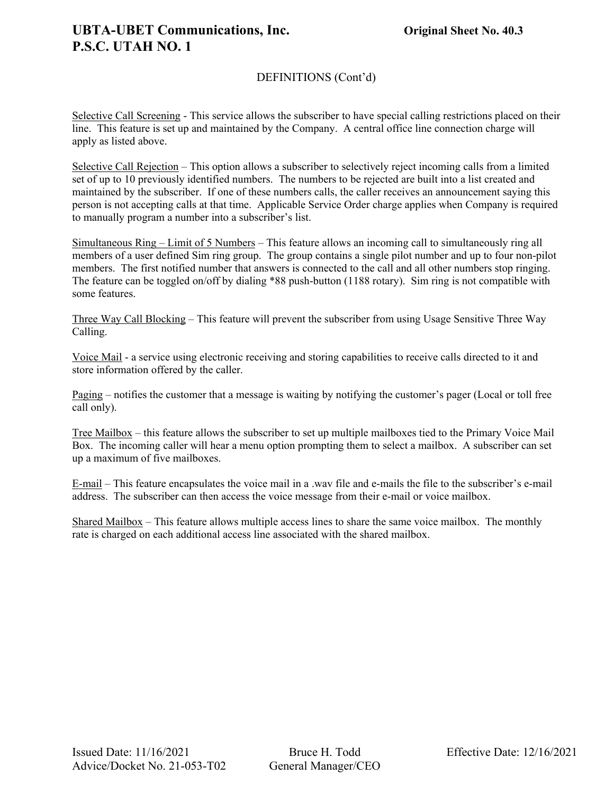### DEFINITIONS (Cont'd)

Selective Call Screening - This service allows the subscriber to have special calling restrictions placed on their line. This feature is set up and maintained by the Company. A central office line connection charge will apply as listed above.

Selective Call Rejection – This option allows a subscriber to selectively reject incoming calls from a limited set of up to 10 previously identified numbers. The numbers to be rejected are built into a list created and maintained by the subscriber. If one of these numbers calls, the caller receives an announcement saying this person is not accepting calls at that time. Applicable Service Order charge applies when Company is required to manually program a number into a subscriber's list.

Simultaneous Ring – Limit of 5 Numbers – This feature allows an incoming call to simultaneously ring all members of a user defined Sim ring group. The group contains a single pilot number and up to four non-pilot members. The first notified number that answers is connected to the call and all other numbers stop ringing. The feature can be toggled on/off by dialing \*88 push-button (1188 rotary). Sim ring is not compatible with some features.

Three Way Call Blocking – This feature will prevent the subscriber from using Usage Sensitive Three Way Calling.

Voice Mail - a service using electronic receiving and storing capabilities to receive calls directed to it and store information offered by the caller.

Paging – notifies the customer that a message is waiting by notifying the customer's pager (Local or toll free call only).

Tree Mailbox – this feature allows the subscriber to set up multiple mailboxes tied to the Primary Voice Mail Box. The incoming caller will hear a menu option prompting them to select a mailbox. A subscriber can set up a maximum of five mailboxes.

E-mail – This feature encapsulates the voice mail in a .wav file and e-mails the file to the subscriber's e-mail address. The subscriber can then access the voice message from their e-mail or voice mailbox.

Shared Mailbox – This feature allows multiple access lines to share the same voice mailbox. The monthly rate is charged on each additional access line associated with the shared mailbox.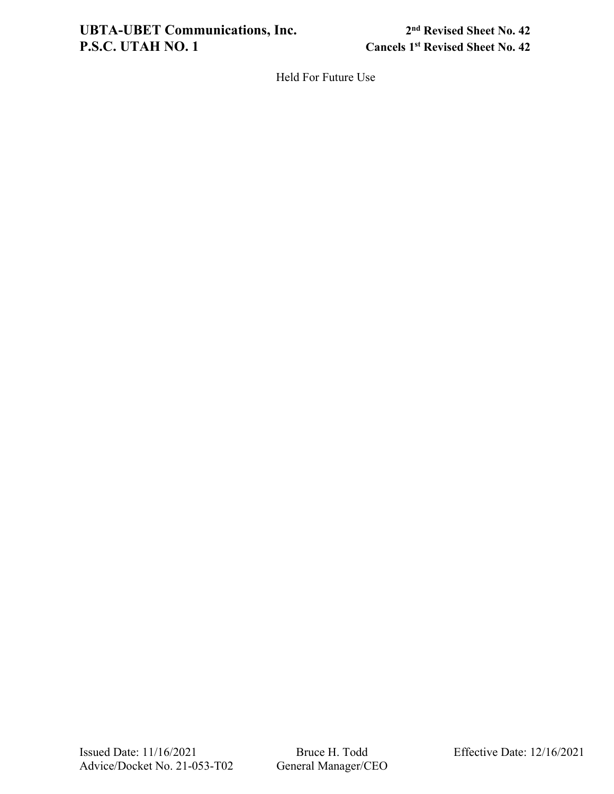# **UBTA-UBET Communications, Inc.** 2<sup>nd</sup> Revised Sheet No. 42<br>**P.S.C. UTAH NO. 1** Cancels 1<sup>st</sup> Revised Sheet No. 42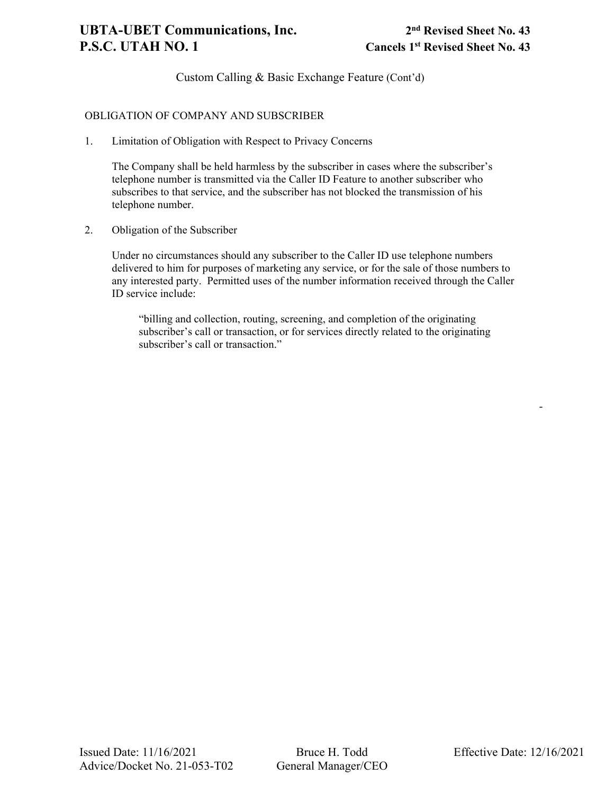### OBLIGATION OF COMPANY AND SUBSCRIBER

1. Limitation of Obligation with Respect to Privacy Concerns

The Company shall be held harmless by the subscriber in cases where the subscriber's telephone number is transmitted via the Caller ID Feature to another subscriber who subscribes to that service, and the subscriber has not blocked the transmission of his telephone number.

2. Obligation of the Subscriber

Under no circumstances should any subscriber to the Caller ID use telephone numbers delivered to him for purposes of marketing any service, or for the sale of those numbers to any interested party. Permitted uses of the number information received through the Caller ID service include:

"billing and collection, routing, screening, and completion of the originating subscriber's call or transaction, or for services directly related to the originating subscriber's call or transaction."

-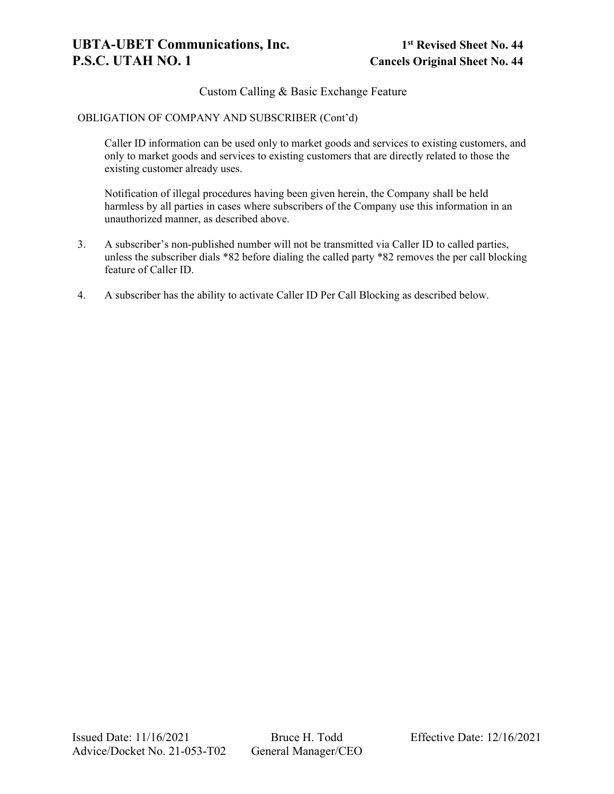### Custom Calling & Basic Exchange Feature

#### OBLIGATION OF COMPANY AND SUBSCRIBER (Cont'd)

Caller ID information can be used only to market goods and services to existing customers, and only to market goods and services to existing customers that are directly related to those the existing customer already uses.

Notification of illegal procedures having been given herein, the Company shall be held harmless by all parties in cases where subscribers of the Company use this information in an unauthorized manner, as described above.

- 3. A subscriber's non-published number will not be transmitted via Caller ID to called parties, unless the subscriber dials \*82 before dialing the called party \*82 removes the per call blocking feature of Caller ID.
- 4. A subscriber has the ability to activate Caller ID Per Call Blocking as described below.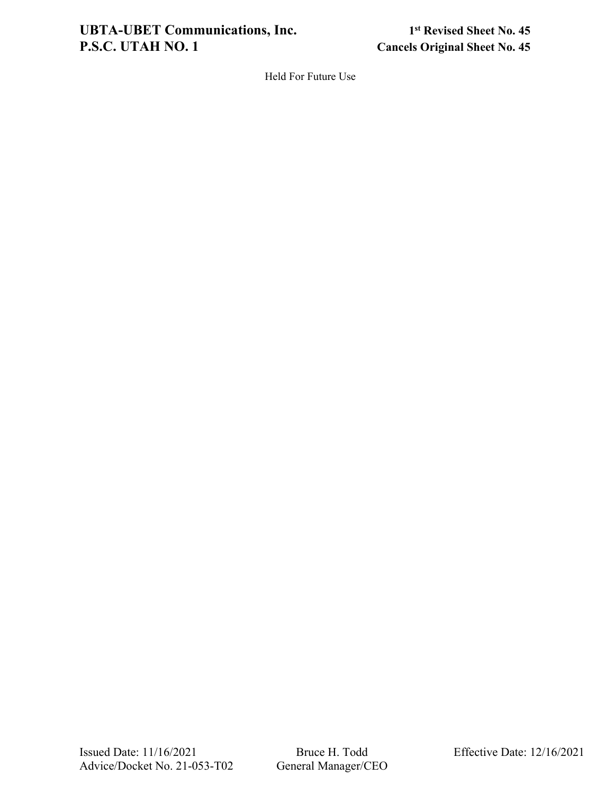# **UBTA-UBET Communications, Inc.** 1st Revised Sheet No. 45<br>P.S.C. UTAH NO. 1 Cancels Original Sheet No. 45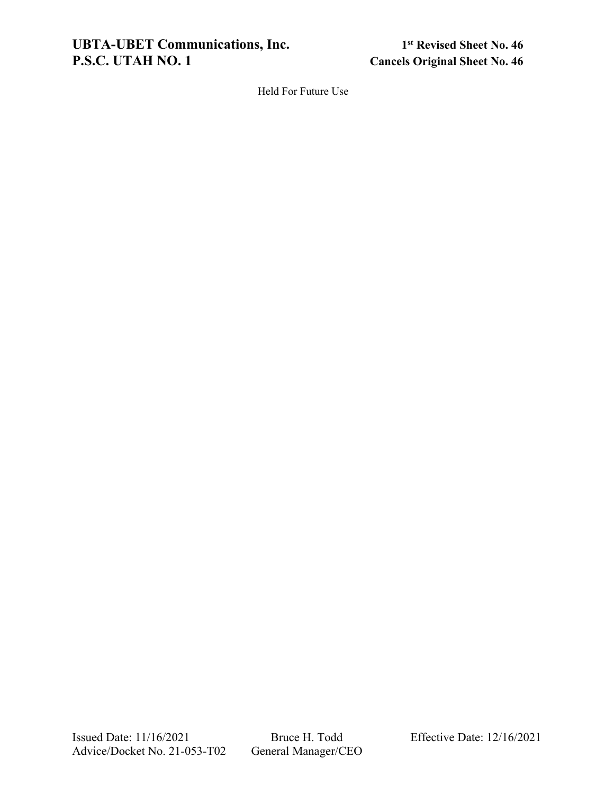**UBTA-UBET Communications, Inc.** 1st Revised Sheet No. 46<br>P.S.C. UTAH NO. 1 Cancels Original Sheet No. 46

**Cancels Original Sheet No. 46**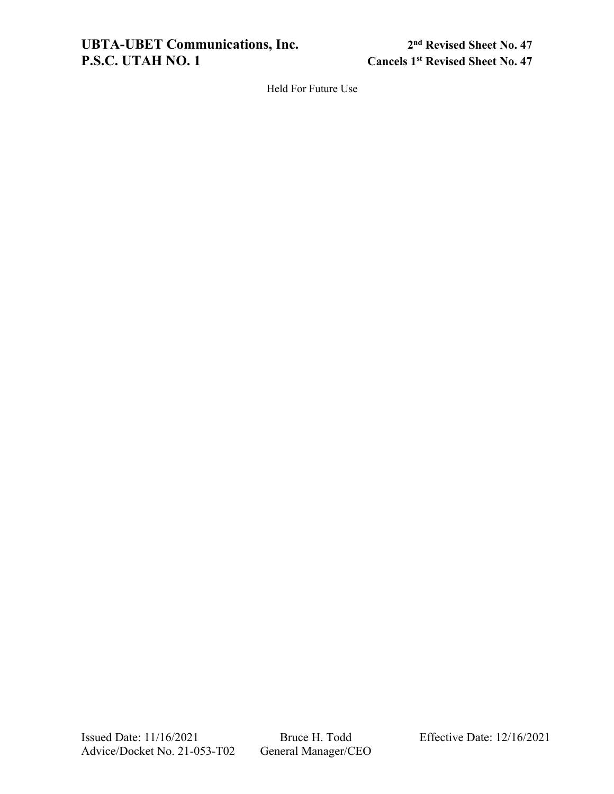### **UBTA-UBET Communications, Inc.** 2<sup>nd</sup> Revised Sheet No. 47<br>**P.S.C. UTAH NO. 1** Cancels 1<sup>st</sup> Revised Sheet No. 47

**P.S.A.C. Cancels 1st Revised Sheet No. 47**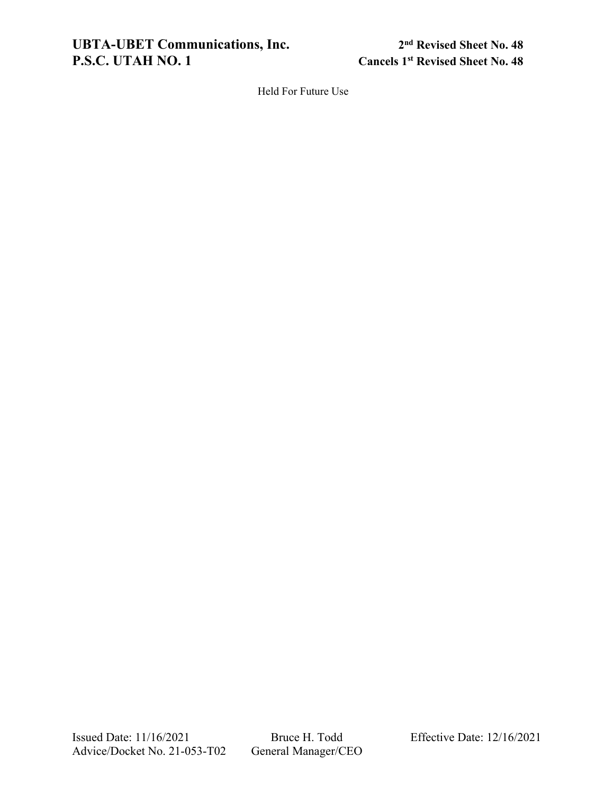**UBTA-UBET Communications, Inc.** 2<sup>nd</sup> Revised Sheet No. 48<br>**P.S.C. UTAH NO. 1** Cancels 1<sup>st</sup> Revised Sheet No. 48

**Cancels 1st Revised Sheet No. 48**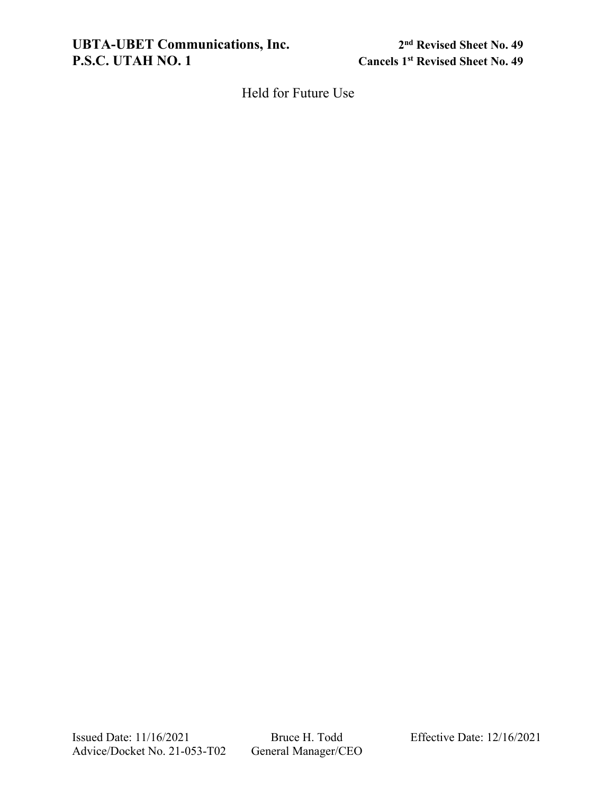**UBTA-UBET Communications, Inc.** 2<sup>nd</sup> Revised Sheet No. 49<br>**P.S.C. UTAH NO. 1** Cancels 1<sup>st</sup> Revised Sheet No. 49

**Cancels 1st Revised Sheet No. 49**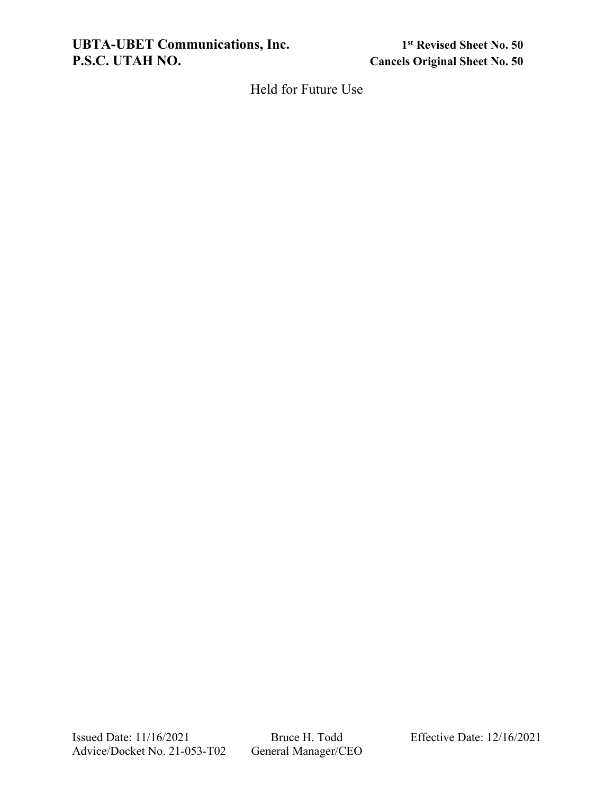**UBTA-UBET Communications, Inc.** 1<sup>st</sup> Revised Sheet No. 50<br>P.S.C. UTAH NO. Cancels Original Sheet No. 50

**Cancels Original Sheet No. 50** 

Held for Future Use

Issued Date: 11/16/2021 Bruce H. Todd Effective Date: 12/16/2021<br>Advice/Docket No. 21-053-T02 General Manager/CEO Advice/Docket No. 21-053-T02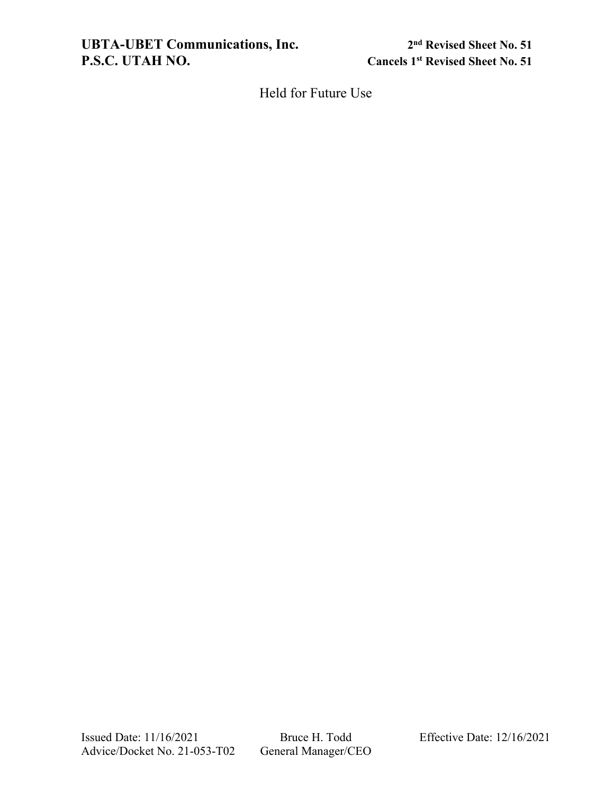**UBTA-UBET Communications, Inc.** 2<sup>nd</sup> Revised Sheet No. 51<br>P.S.C. UTAH NO. Cancels 1<sup>st</sup> Revised Sheet No. 51

**P.S.A.C. Cancels 1st Revised Sheet No. 51**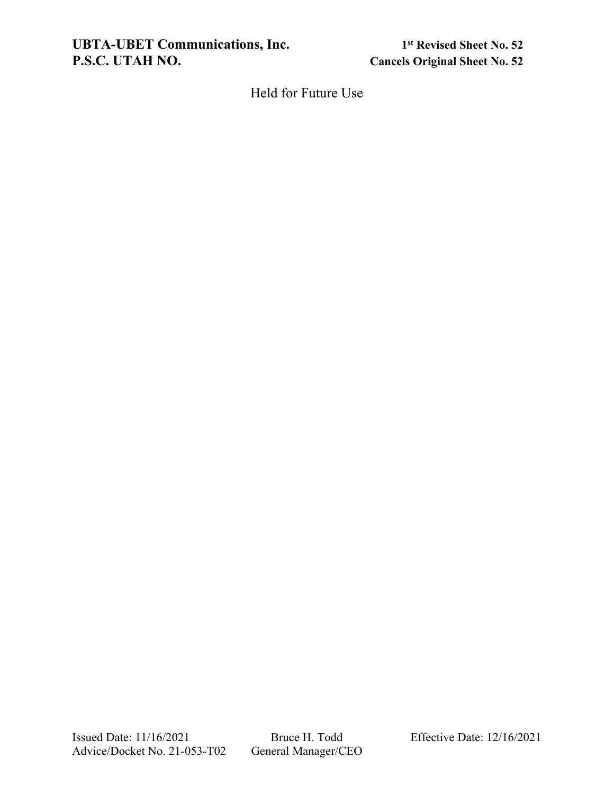**UBTA-UBET Communications, Inc.** 1st Revised Sheet No. 52<br>P.S.C. UTAH NO. 62<br>Cancels Original Sheet No. 52

**Cancels Original Sheet No. 52**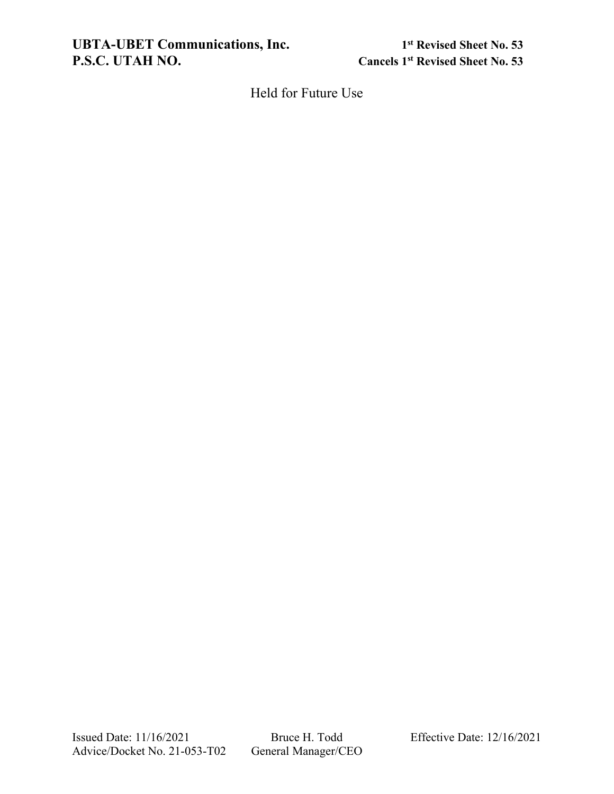**UBTA-UBET Communications, Inc.** 1<sup>st</sup> Revised Sheet No. 53<br>P.S.C. UTAH NO. 63

**P.S.A.C. Cancels 1st Revised Sheet No. 53**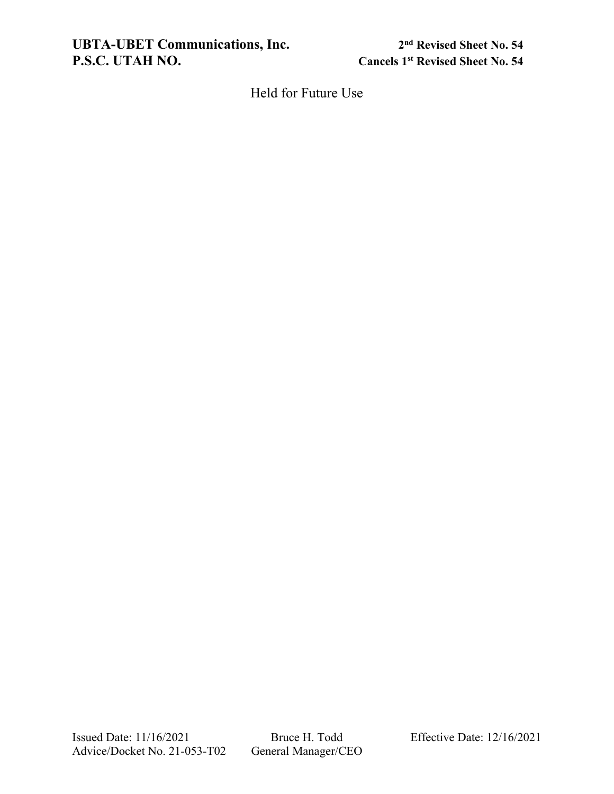**UBTA-UBET Communications, Inc.** 2<sup>nd</sup> Revised Sheet No. 54<br>P.S.C. UTAH NO. <br>Cancels 1<sup>st</sup> Revised Sheet No. 54

**Cancels 1st Revised Sheet No. 54**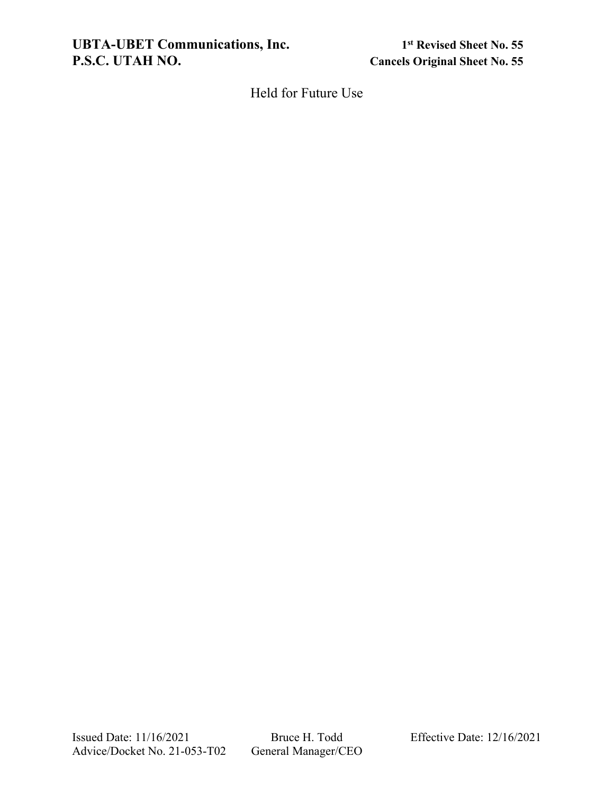**UBTA-UBET Communications, Inc.** 1st Revised Sheet No. 55<br>P.S.C. UTAH NO. 65

**Cancels Original Sheet No. 55**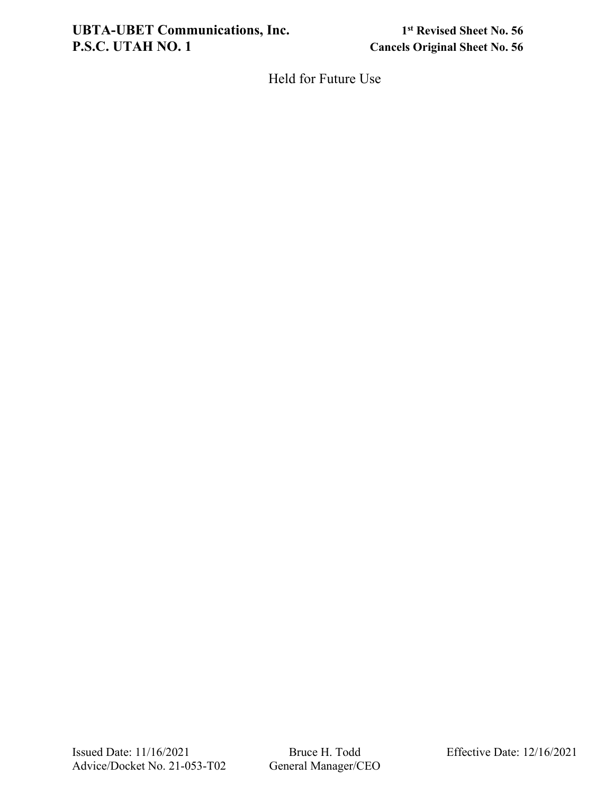### **UBTA-UBET Communications, Inc.** 1st Revised Sheet No. 56<br>P.S.C. UTAH NO. 1 Cancels Original Sheet No. 56

**Cancels Original Sheet No. 56**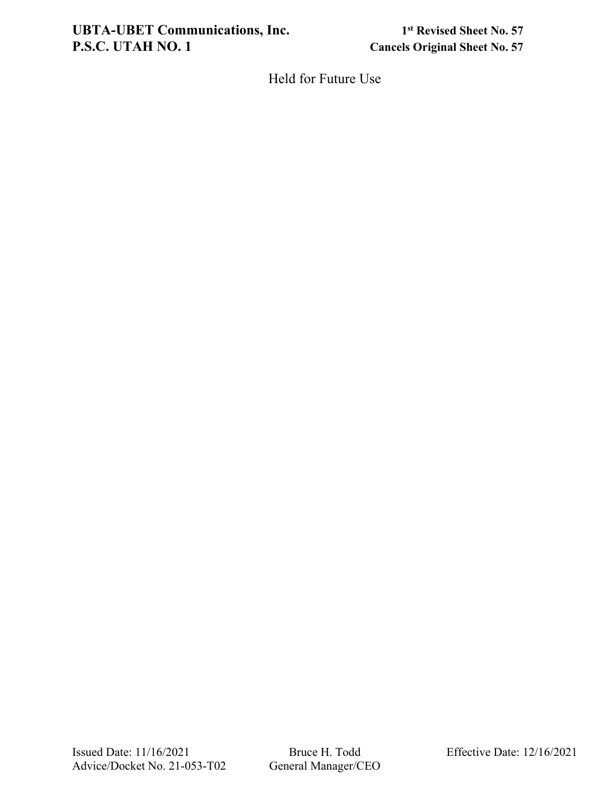### **UBTA-UBET Communications, Inc.** 1st Revised Sheet No. 57<br>P.S.C. UTAH NO. 1 Cancels Original Sheet No. 57

**Cancels Original Sheet No. 57**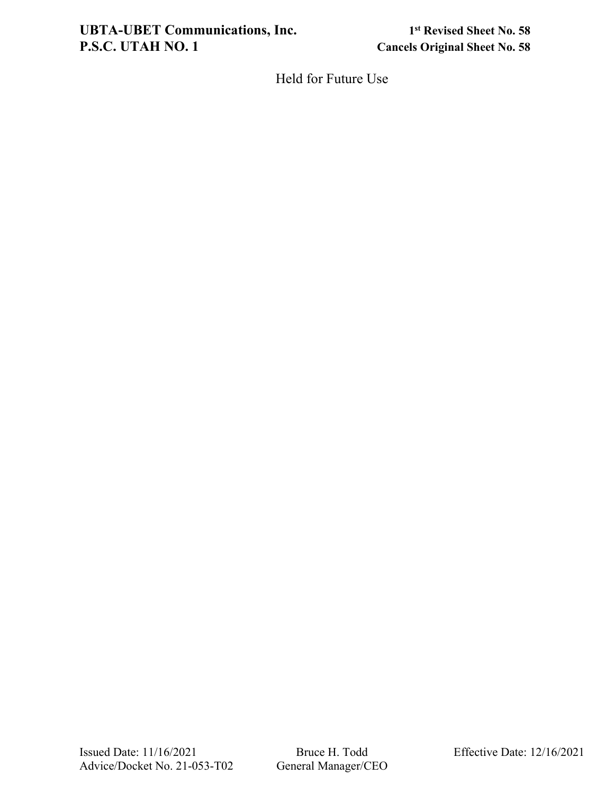# UBTA-UBET Communications, Inc.<br> **1st** Revised Sheet No. 58<br> **1st** Revised Sheet No. 58<br> **1st** Revised Sheet No. 58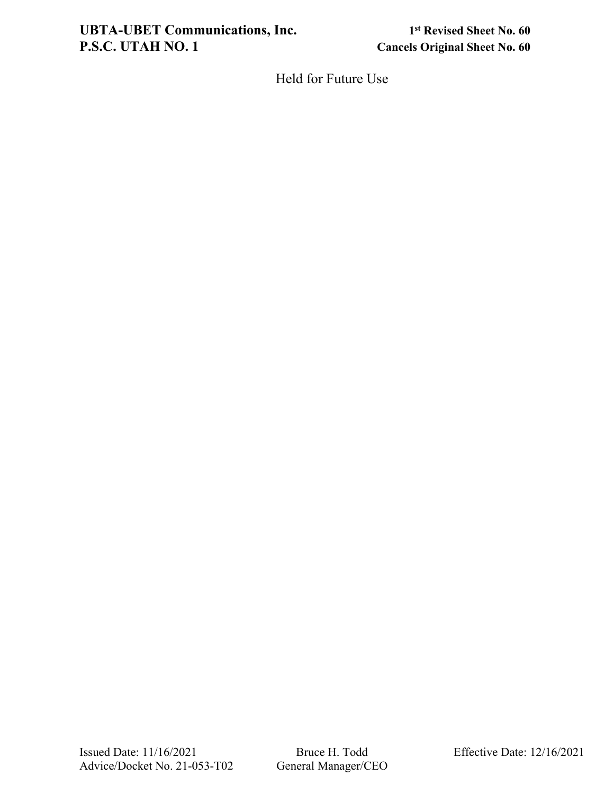# **UBTA-UBET Communications, Inc.** 1st Revised Sheet No. 60<br>P.S.C. UTAH NO. 1 Cancels Original Sheet No. 60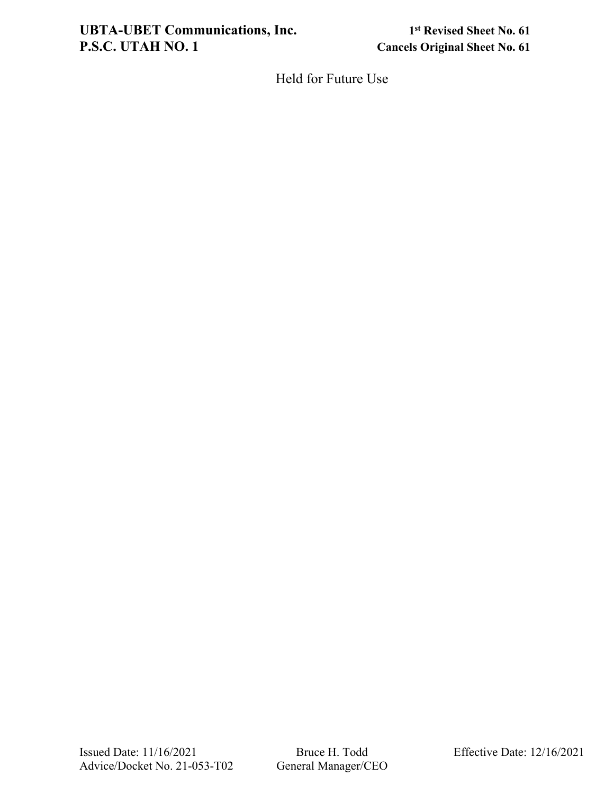# **UBTA-UBET Communications, Inc.** 1st Revised Sheet No. 61<br>P.S.C. UTAH NO. 1 Cancels Original Sheet No. 61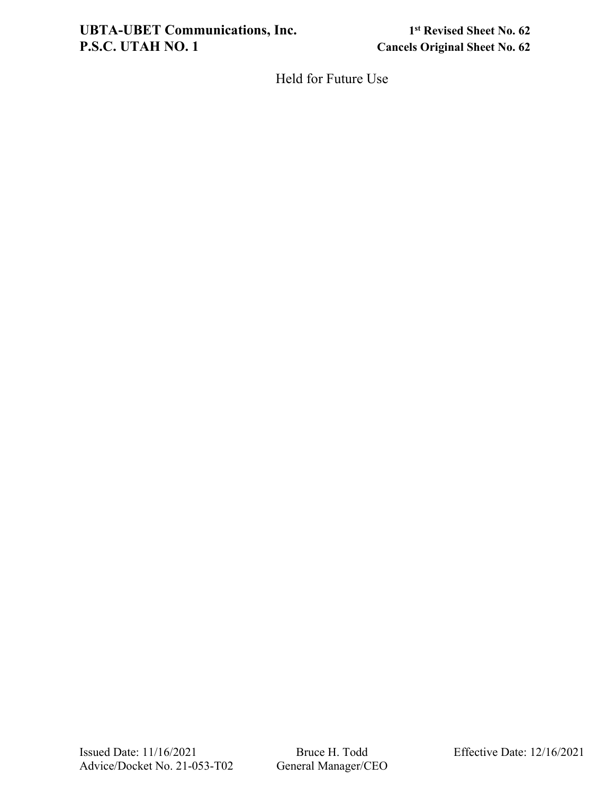# **UBTA-UBET Communications, Inc.** 1st Revised Sheet No. 62<br> **P.S.C. UTAH NO. 1** Cancels Original Sheet No. 62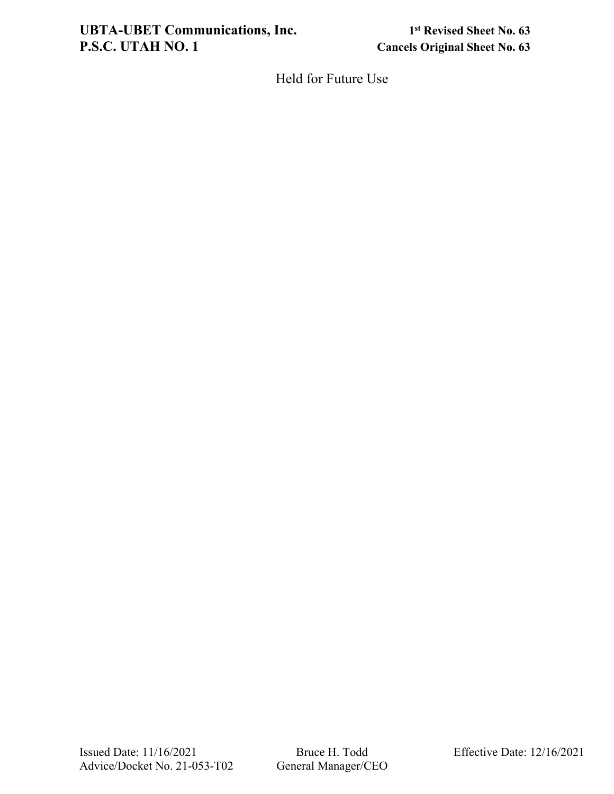# **UBTA-UBET Communications, Inc.** 1st Revised Sheet No. 63<br>P.S.C. UTAH NO. 1 Cancels Original Sheet No. 63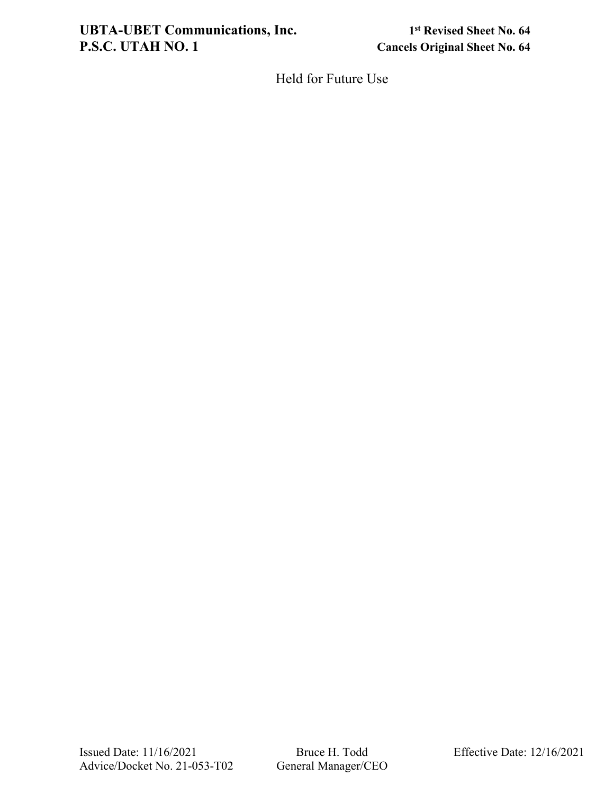# **UBTA-UBET Communications, Inc.** 1st Revised Sheet No. 64<br>P.S.C. UTAH NO. 1 Cancels Original Sheet No. 64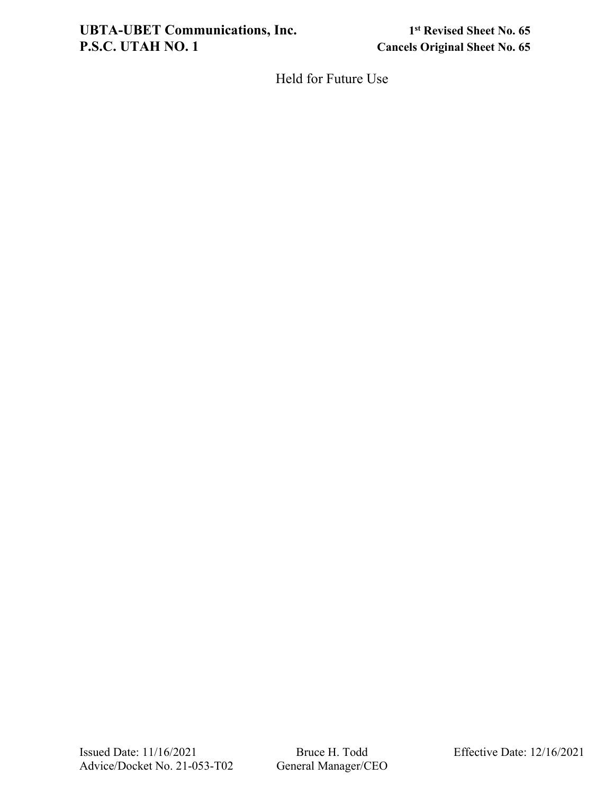# **UBTA-UBET Communications, Inc.** 1st Revised Sheet No. 65<br>P.S.C. UTAH NO. 1 Cancels Original Sheet No. 65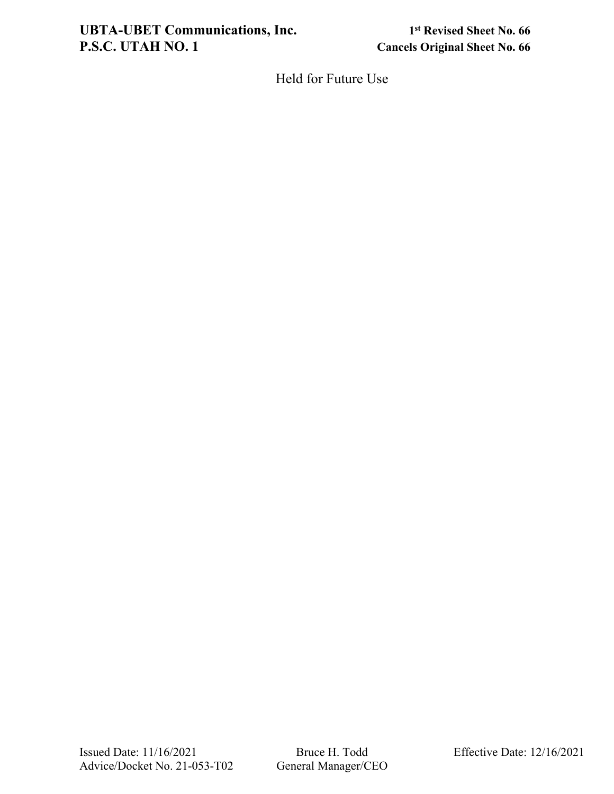# UBTA-UBET Communications, Inc.<br> **1st** Revised Sheet No. 66<br> **P.S.C. UTAH NO. 1**<br> **1st** Cancels Original Sheet No. 66

**Cancels Original Sheet No. 66**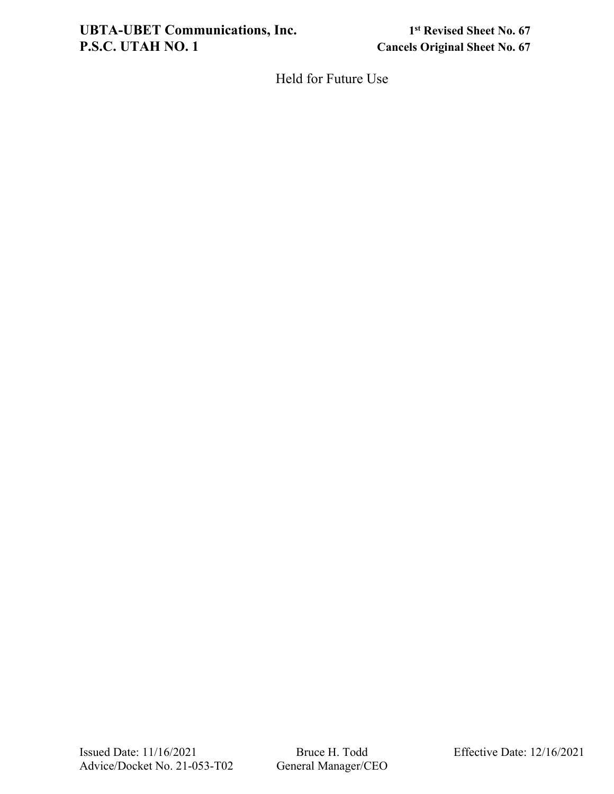# **UBTA-UBET Communications, Inc.** 1st Revised Sheet No. 67<br>P.S.C. UTAH NO. 1 Cancels Original Sheet No. 67

**Cancels Original Sheet No. 67**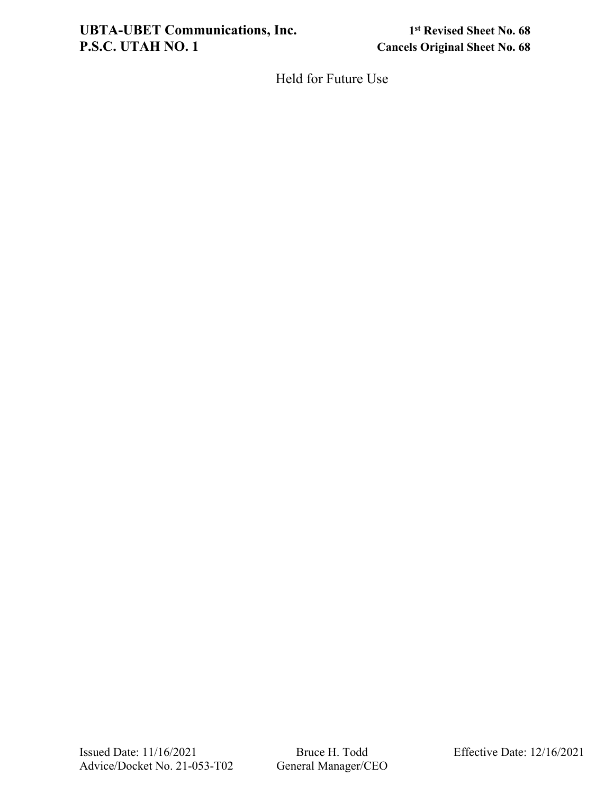# **UBTA-UBET Communications, Inc.** 1st Revised Sheet No. 68<br>P.S.C. UTAH NO. 1 Cancels Original Sheet No. 68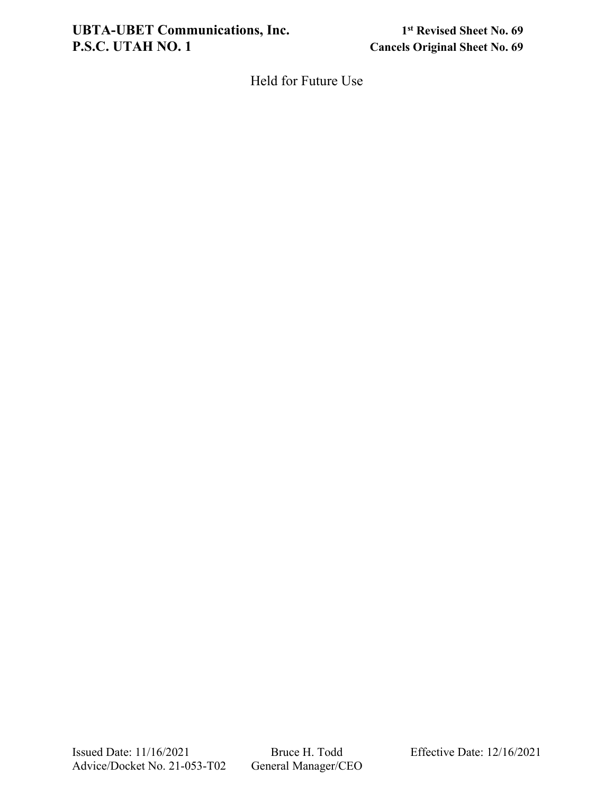# UBTA-UBET Communications, Inc.<br> **1st** Revised Sheet No. 69<br> **1st** Revised Sheet No. 69<br> **1st** Revised Sheet No. 69

**Cancels Original Sheet No. 69**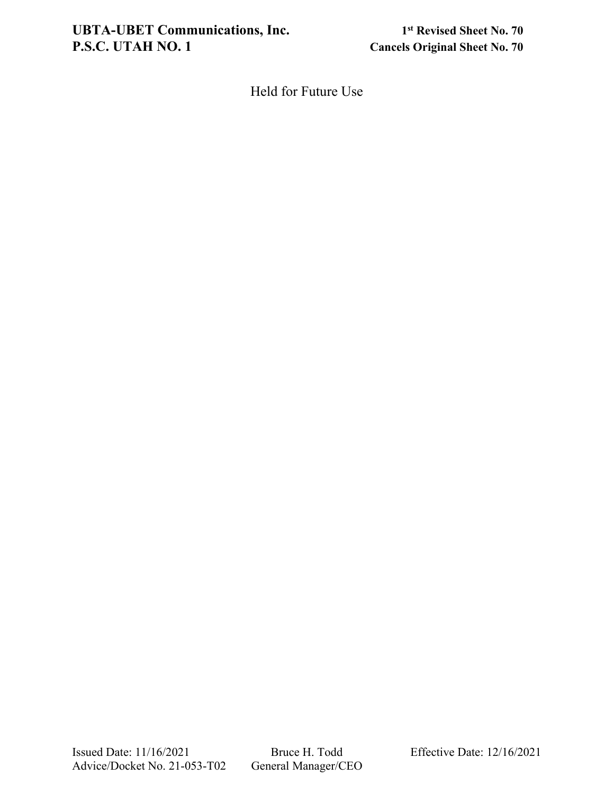**Cancels Original Sheet No. 70**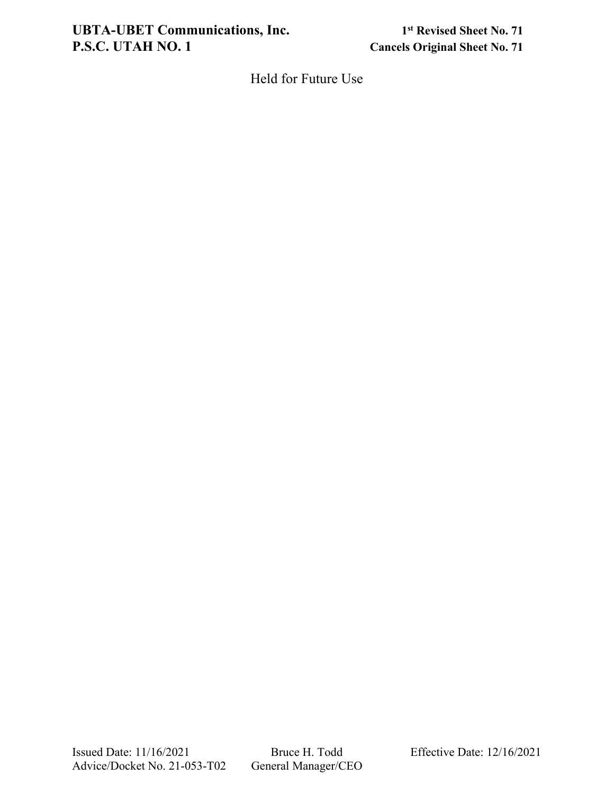# UBTA-UBET Communications, Inc.<br> **1st** Revised Sheet No. 71<br> **1st** Revised Sheet No. 71<br> **1st** Cancels Original Sheet No. 71

**Cancels Original Sheet No. 71**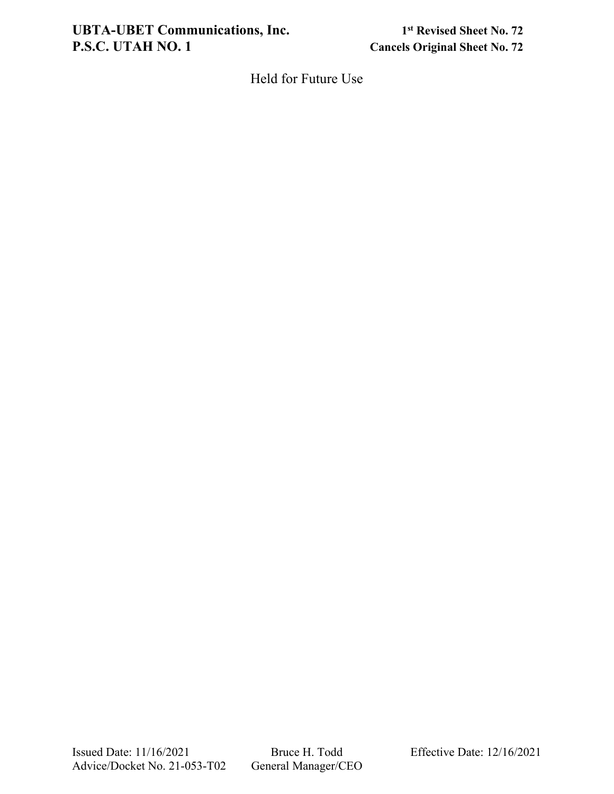# **UBTA-UBET Communications, Inc.** 1st Revised Sheet No. 72<br>P.S.C. UTAH NO. 1 Cancels Original Sheet No. 72

**Cancels Original Sheet No. 72**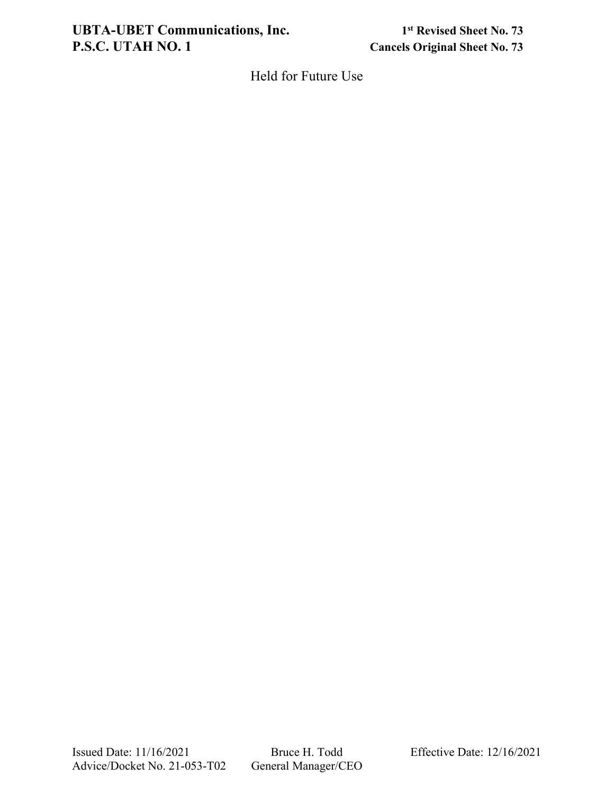# UBTA-UBET Communications, Inc.<br> **1st** Revised Sheet No. 73<br> **1st** Revised Sheet No. 73<br> **1st** Cancels Original Sheet No. 73

**Cancels Original Sheet No. 73**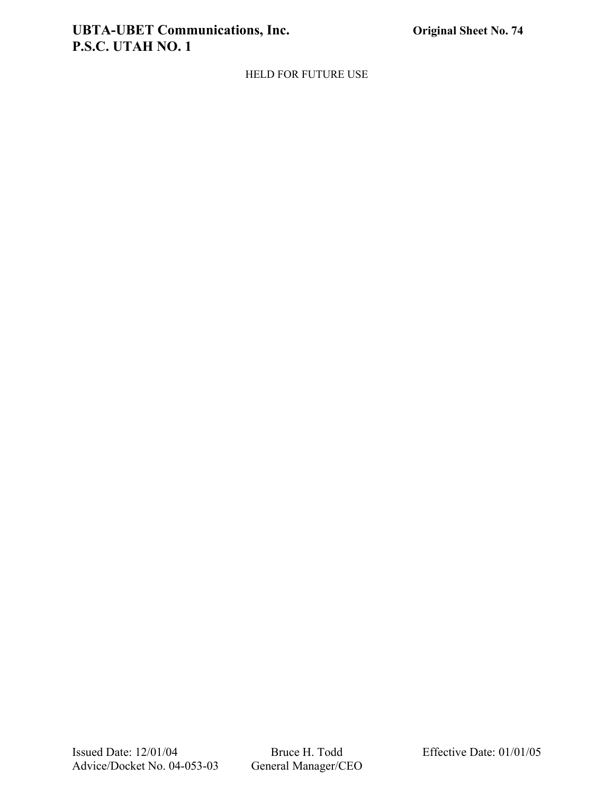# **UBTA-UBET Communications, Inc. Original Sheet No. 74 P.S.C. UTAH NO. 1**

HELD FOR FUTURE USE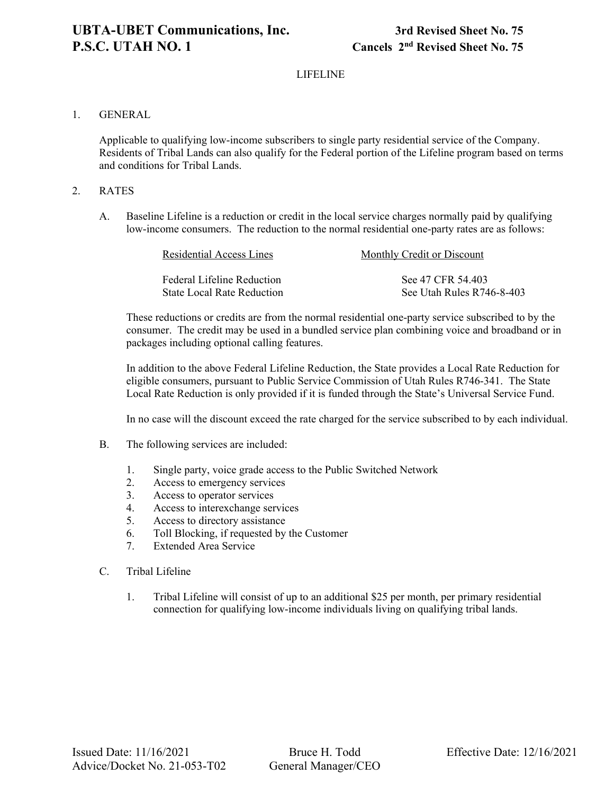# LIFELINE

## 1. GENERAL

Applicable to qualifying low-income subscribers to single party residential service of the Company. Residents of Tribal Lands can also qualify for the Federal portion of the Lifeline program based on terms and conditions for Tribal Lands.

# 2. RATES

A. Baseline Lifeline is a reduction or credit in the local service charges normally paid by qualifying low-income consumers. The reduction to the normal residential one-party rates are as follows:

| Residential Access Lines   | Monthly Credit or Discount |
|----------------------------|----------------------------|
| Federal Lifeline Reduction | See 47 CFR 54.403          |
| State Local Rate Reduction | See Utah Rules R746-8-403  |

These reductions or credits are from the normal residential one-party service subscribed to by the consumer. The credit may be used in a bundled service plan combining voice and broadband or in packages including optional calling features.

In addition to the above Federal Lifeline Reduction, the State provides a Local Rate Reduction for eligible consumers, pursuant to Public Service Commission of Utah Rules R746-341. The State Local Rate Reduction is only provided if it is funded through the State's Universal Service Fund.

In no case will the discount exceed the rate charged for the service subscribed to by each individual.

- B. The following services are included:
	- 1. Single party, voice grade access to the Public Switched Network
	- 2. Access to emergency services
	- 3. Access to operator services
	- 4. Access to interexchange services
	- 5. Access to directory assistance
	- 6. Toll Blocking, if requested by the Customer
	- 7. Extended Area Service
- C. Tribal Lifeline
	- 1. Tribal Lifeline will consist of up to an additional \$25 per month, per primary residential connection for qualifying low-income individuals living on qualifying tribal lands.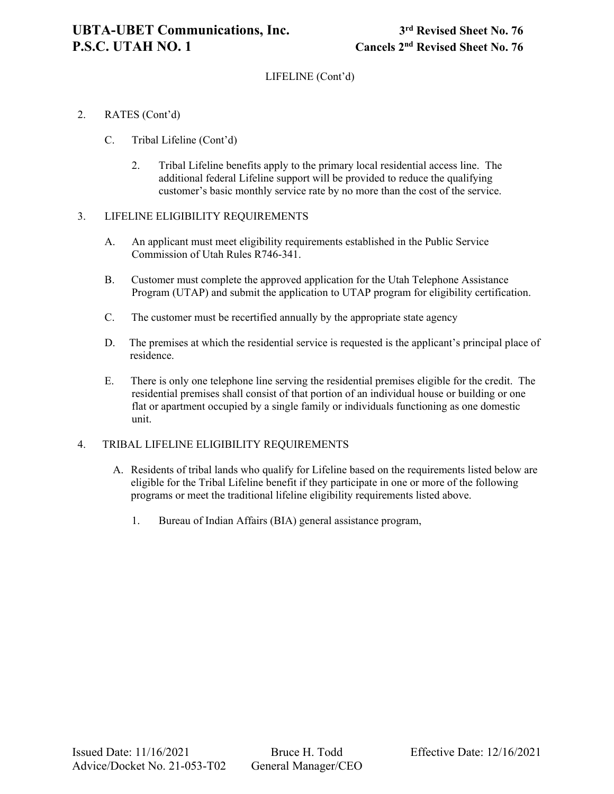# LIFELINE (Cont'd)

- 2. RATES (Cont'd)
	- C. Tribal Lifeline (Cont'd)
		- 2. Tribal Lifeline benefits apply to the primary local residential access line. The additional federal Lifeline support will be provided to reduce the qualifying customer's basic monthly service rate by no more than the cost of the service.

# 3. LIFELINE ELIGIBILITY REQUIREMENTS

- A. An applicant must meet eligibility requirements established in the Public Service Commission of Utah Rules R746-341.
- B. Customer must complete the approved application for the Utah Telephone Assistance Program (UTAP) and submit the application to UTAP program for eligibility certification.
- C. The customer must be recertified annually by the appropriate state agency
- D. The premises at which the residential service is requested is the applicant's principal place of residence.
- E. There is only one telephone line serving the residential premises eligible for the credit. The residential premises shall consist of that portion of an individual house or building or one flat or apartment occupied by a single family or individuals functioning as one domestic unit.

# 4. TRIBAL LIFELINE ELIGIBILITY REQUIREMENTS

- A. Residents of tribal lands who qualify for Lifeline based on the requirements listed below are eligible for the Tribal Lifeline benefit if they participate in one or more of the following programs or meet the traditional lifeline eligibility requirements listed above.
	- 1. Bureau of Indian Affairs (BIA) general assistance program,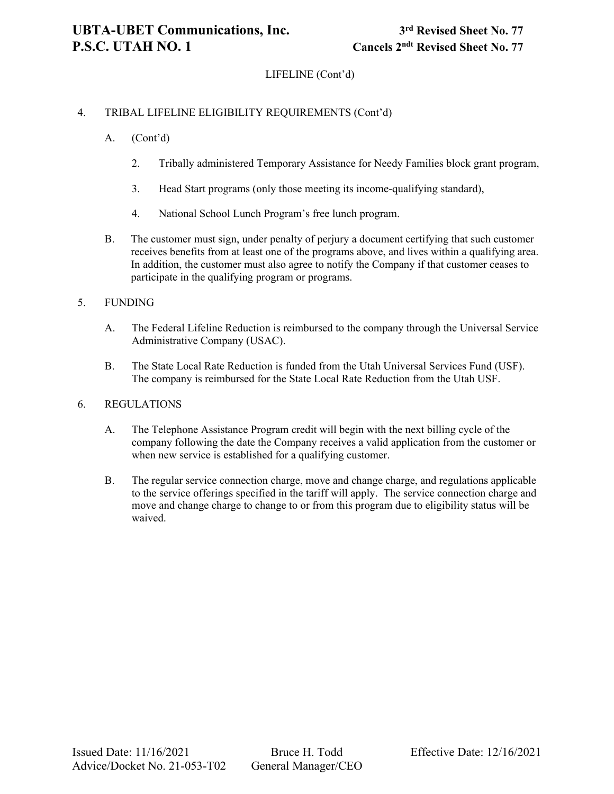# LIFELINE (Cont'd)

# 4. TRIBAL LIFELINE ELIGIBILITY REQUIREMENTS (Cont'd)

- A. (Cont'd)
	- 2. Tribally administered Temporary Assistance for Needy Families block grant program,
	- 3. Head Start programs (only those meeting its income-qualifying standard),
	- 4. National School Lunch Program's free lunch program.
- B. The customer must sign, under penalty of perjury a document certifying that such customer receives benefits from at least one of the programs above, and lives within a qualifying area. In addition, the customer must also agree to notify the Company if that customer ceases to participate in the qualifying program or programs.

#### 5. FUNDING

- A. The Federal Lifeline Reduction is reimbursed to the company through the Universal Service Administrative Company (USAC).
- B. The State Local Rate Reduction is funded from the Utah Universal Services Fund (USF). The company is reimbursed for the State Local Rate Reduction from the Utah USF.

#### 6. REGULATIONS

- A. The Telephone Assistance Program credit will begin with the next billing cycle of the company following the date the Company receives a valid application from the customer or when new service is established for a qualifying customer.
- B. The regular service connection charge, move and change charge, and regulations applicable to the service offerings specified in the tariff will apply. The service connection charge and move and change charge to change to or from this program due to eligibility status will be waived.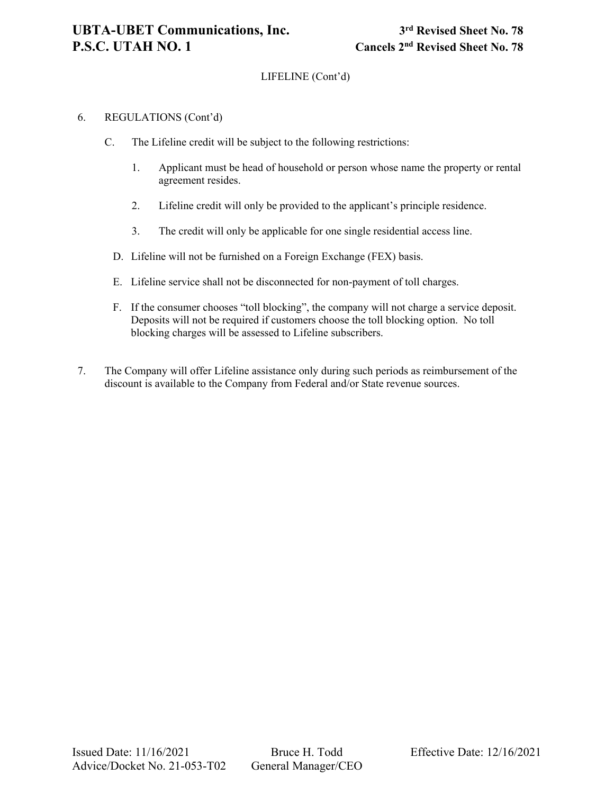# LIFELINE (Cont'd)

## 6. REGULATIONS (Cont'd)

- C. The Lifeline credit will be subject to the following restrictions:
	- 1. Applicant must be head of household or person whose name the property or rental agreement resides.
	- 2. Lifeline credit will only be provided to the applicant's principle residence.
	- 3. The credit will only be applicable for one single residential access line.
	- D. Lifeline will not be furnished on a Foreign Exchange (FEX) basis.
	- E. Lifeline service shall not be disconnected for non-payment of toll charges.
	- F. If the consumer chooses "toll blocking", the company will not charge a service deposit. Deposits will not be required if customers choose the toll blocking option. No toll blocking charges will be assessed to Lifeline subscribers.
- 7. The Company will offer Lifeline assistance only during such periods as reimbursement of the discount is available to the Company from Federal and/or State revenue sources.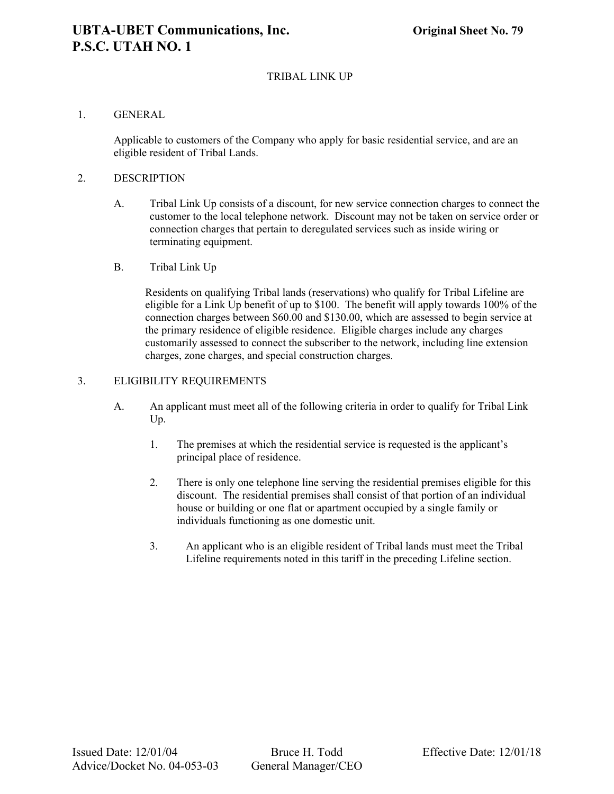# TRIBAL LINK UP

#### 1. GENERAL

Applicable to customers of the Company who apply for basic residential service, and are an eligible resident of Tribal Lands.

#### 2. DESCRIPTION

- A. Tribal Link Up consists of a discount, for new service connection charges to connect the customer to the local telephone network. Discount may not be taken on service order or connection charges that pertain to deregulated services such as inside wiring or terminating equipment.
- B. Tribal Link Up

Residents on qualifying Tribal lands (reservations) who qualify for Tribal Lifeline are eligible for a Link Up benefit of up to \$100. The benefit will apply towards 100% of the connection charges between \$60.00 and \$130.00, which are assessed to begin service at the primary residence of eligible residence. Eligible charges include any charges customarily assessed to connect the subscriber to the network, including line extension charges, zone charges, and special construction charges.

# 3. ELIGIBILITY REQUIREMENTS

- A. An applicant must meet all of the following criteria in order to qualify for Tribal Link Up.
	- 1. The premises at which the residential service is requested is the applicant's principal place of residence.
	- 2. There is only one telephone line serving the residential premises eligible for this discount. The residential premises shall consist of that portion of an individual house or building or one flat or apartment occupied by a single family or individuals functioning as one domestic unit.
	- 3. An applicant who is an eligible resident of Tribal lands must meet the Tribal Lifeline requirements noted in this tariff in the preceding Lifeline section.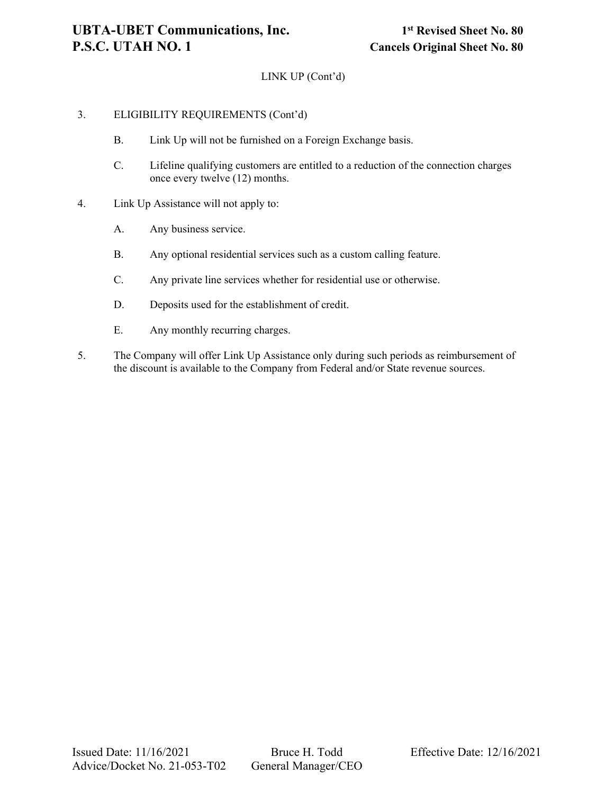# LINK UP (Cont'd)

## 3. ELIGIBILITY REQUIREMENTS (Cont'd)

- B. Link Up will not be furnished on a Foreign Exchange basis.
- C. Lifeline qualifying customers are entitled to a reduction of the connection charges once every twelve (12) months.
- 4. Link Up Assistance will not apply to:
	- A. Any business service.
	- B. Any optional residential services such as a custom calling feature.
	- C. Any private line services whether for residential use or otherwise.
	- D. Deposits used for the establishment of credit.
	- E. Any monthly recurring charges.
- 5. The Company will offer Link Up Assistance only during such periods as reimbursement of the discount is available to the Company from Federal and/or State revenue sources.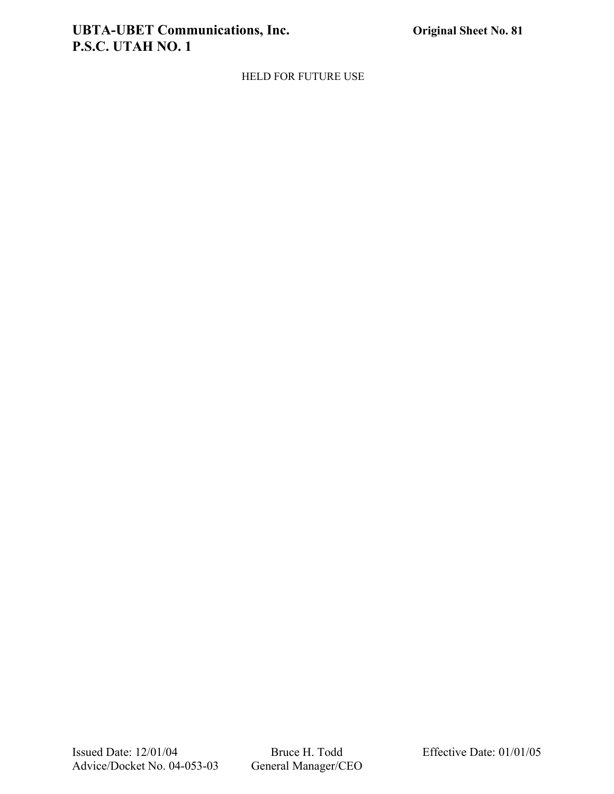# **UBTA-UBET Communications, Inc. Original Sheet No. 81 P.S.C. UTAH NO. 1**

# HELD FOR FUTURE USE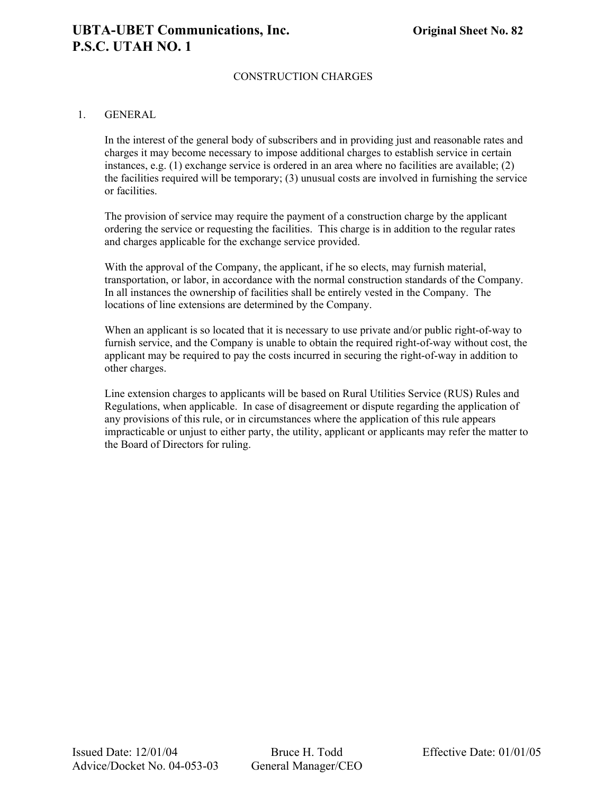# **UBTA-UBET Communications, Inc. Original Sheet No. 82 P.S.C. UTAH NO. 1**

# CONSTRUCTION CHARGES

#### 1. GENERAL

In the interest of the general body of subscribers and in providing just and reasonable rates and charges it may become necessary to impose additional charges to establish service in certain instances, e.g. (1) exchange service is ordered in an area where no facilities are available; (2) the facilities required will be temporary; (3) unusual costs are involved in furnishing the service or facilities.

The provision of service may require the payment of a construction charge by the applicant ordering the service or requesting the facilities. This charge is in addition to the regular rates and charges applicable for the exchange service provided.

With the approval of the Company, the applicant, if he so elects, may furnish material, transportation, or labor, in accordance with the normal construction standards of the Company. In all instances the ownership of facilities shall be entirely vested in the Company. The locations of line extensions are determined by the Company.

When an applicant is so located that it is necessary to use private and/or public right-of-way to furnish service, and the Company is unable to obtain the required right-of-way without cost, the applicant may be required to pay the costs incurred in securing the right-of-way in addition to other charges.

Line extension charges to applicants will be based on Rural Utilities Service (RUS) Rules and Regulations, when applicable. In case of disagreement or dispute regarding the application of any provisions of this rule, or in circumstances where the application of this rule appears impracticable or unjust to either party, the utility, applicant or applicants may refer the matter to the Board of Directors for ruling.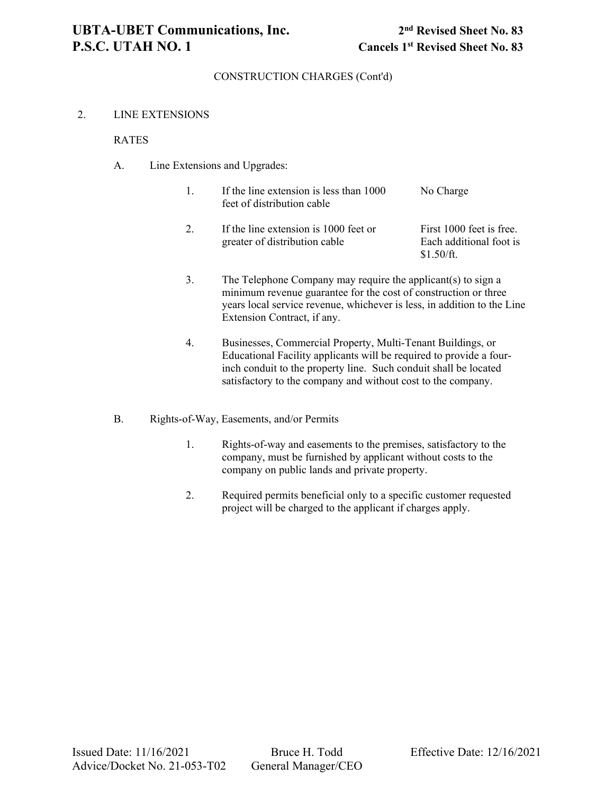#### 2. LINE EXTENSIONS

#### RATES

A. Line Extensions and Upgrades:

| If the line extension is less than 1000<br>feet of distribution cable | No Charge                |
|-----------------------------------------------------------------------|--------------------------|
| If the line extension is 1000 feet or                                 | First 1000 feet is free. |

greater of distribution cable Each additional foot is \$1.50/ft.

- 3. The Telephone Company may require the applicant(s) to sign a minimum revenue guarantee for the cost of construction or three years local service revenue, whichever is less, in addition to the Line Extension Contract, if any.
- 4. Businesses, Commercial Property, Multi-Tenant Buildings, or Educational Facility applicants will be required to provide a fourinch conduit to the property line. Such conduit shall be located satisfactory to the company and without cost to the company.
- B. Rights-of-Way, Easements, and/or Permits
	- 1. Rights-of-way and easements to the premises, satisfactory to the company, must be furnished by applicant without costs to the company on public lands and private property.
	- 2. Required permits beneficial only to a specific customer requested project will be charged to the applicant if charges apply.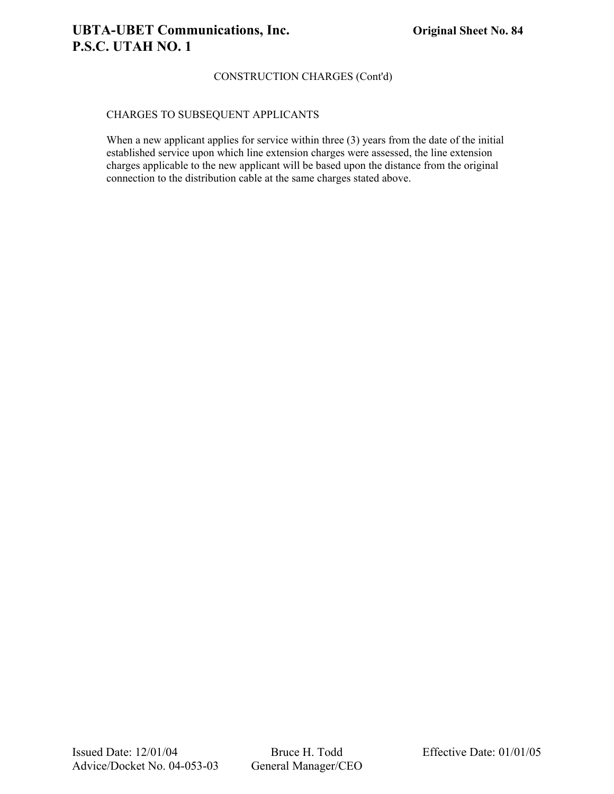## CHARGES TO SUBSEQUENT APPLICANTS

When a new applicant applies for service within three (3) years from the date of the initial established service upon which line extension charges were assessed, the line extension charges applicable to the new applicant will be based upon the distance from the original connection to the distribution cable at the same charges stated above.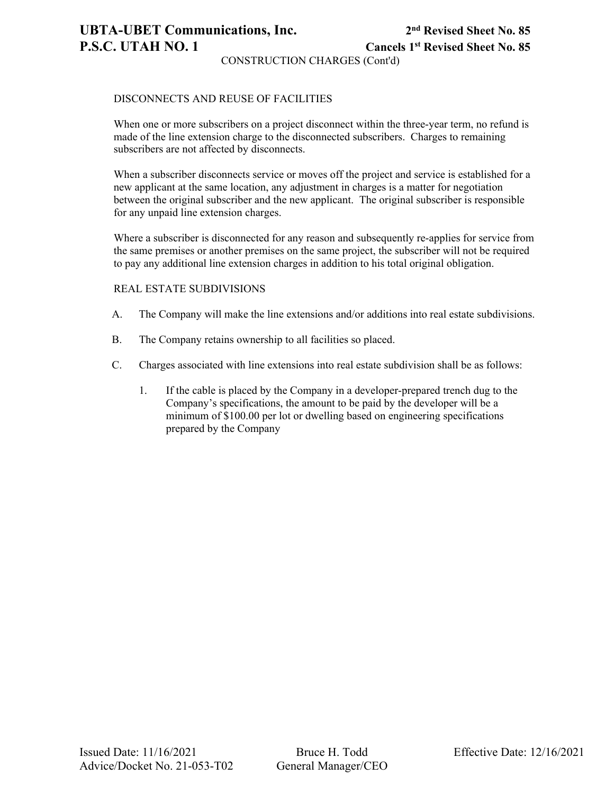# **UBTA-UBET Communications, Inc. 2nd Revised Sheet No. 85 P.S.C. UTAH NO. 1 Cancels 1st Revised Sheet No. 85**

CONSTRUCTION CHARGES (Cont'd)

## DISCONNECTS AND REUSE OF FACILITIES

When one or more subscribers on a project disconnect within the three-year term, no refund is made of the line extension charge to the disconnected subscribers. Charges to remaining subscribers are not affected by disconnects.

When a subscriber disconnects service or moves off the project and service is established for a new applicant at the same location, any adjustment in charges is a matter for negotiation between the original subscriber and the new applicant. The original subscriber is responsible for any unpaid line extension charges.

Where a subscriber is disconnected for any reason and subsequently re-applies for service from the same premises or another premises on the same project, the subscriber will not be required to pay any additional line extension charges in addition to his total original obligation.

#### REAL ESTATE SUBDIVISIONS

- A. The Company will make the line extensions and/or additions into real estate subdivisions.
- B. The Company retains ownership to all facilities so placed.
- C. Charges associated with line extensions into real estate subdivision shall be as follows:
	- 1. If the cable is placed by the Company in a developer-prepared trench dug to the Company's specifications, the amount to be paid by the developer will be a minimum of \$100.00 per lot or dwelling based on engineering specifications prepared by the Company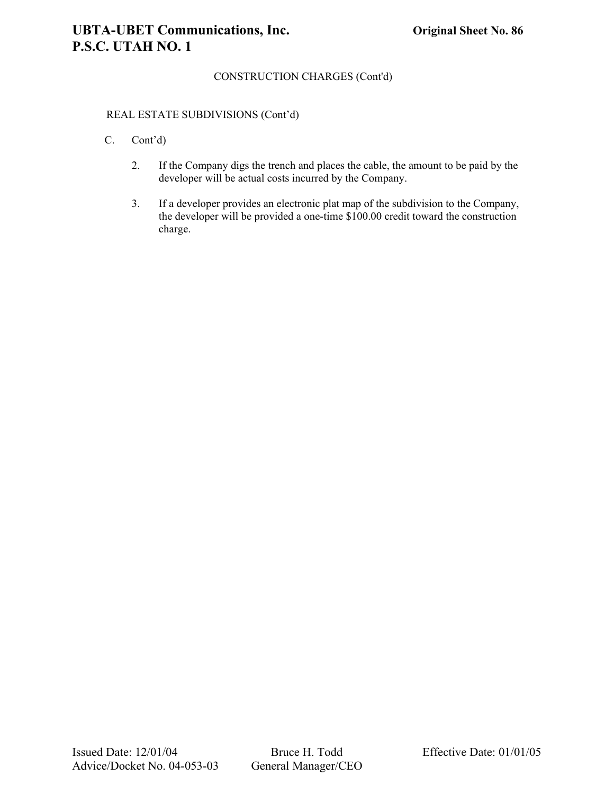### REAL ESTATE SUBDIVISIONS (Cont'd)

- C. Cont'd)
	- 2. If the Company digs the trench and places the cable, the amount to be paid by the developer will be actual costs incurred by the Company.
	- 3. If a developer provides an electronic plat map of the subdivision to the Company, the developer will be provided a one-time \$100.00 credit toward the construction charge.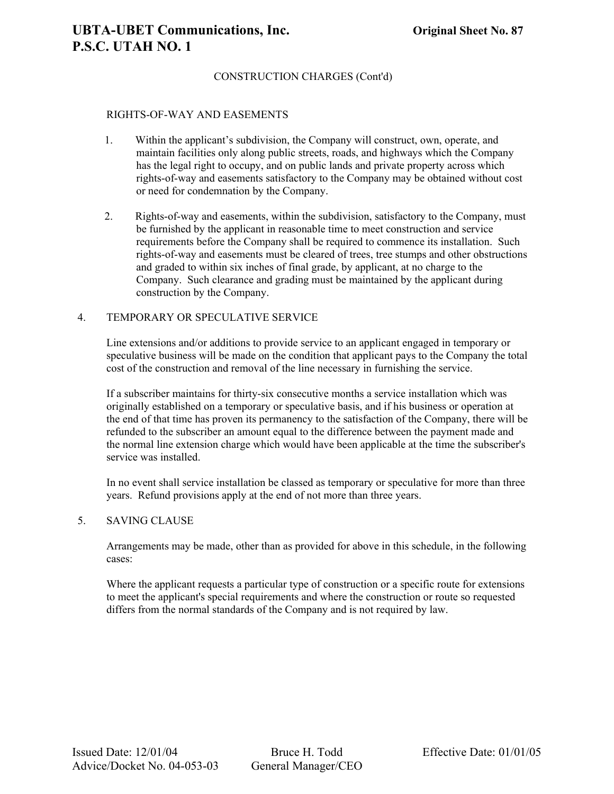#### RIGHTS-OF-WAY AND EASEMENTS

- 1. Within the applicant's subdivision, the Company will construct, own, operate, and maintain facilities only along public streets, roads, and highways which the Company has the legal right to occupy, and on public lands and private property across which rights-of-way and easements satisfactory to the Company may be obtained without cost or need for condemnation by the Company.
- 2. Rights-of-way and easements, within the subdivision, satisfactory to the Company, must be furnished by the applicant in reasonable time to meet construction and service requirements before the Company shall be required to commence its installation. Such rights-of-way and easements must be cleared of trees, tree stumps and other obstructions and graded to within six inches of final grade, by applicant, at no charge to the Company. Such clearance and grading must be maintained by the applicant during construction by the Company.

#### 4. TEMPORARY OR SPECULATIVE SERVICE

Line extensions and/or additions to provide service to an applicant engaged in temporary or speculative business will be made on the condition that applicant pays to the Company the total cost of the construction and removal of the line necessary in furnishing the service.

If a subscriber maintains for thirty-six consecutive months a service installation which was originally established on a temporary or speculative basis, and if his business or operation at the end of that time has proven its permanency to the satisfaction of the Company, there will be refunded to the subscriber an amount equal to the difference between the payment made and the normal line extension charge which would have been applicable at the time the subscriber's service was installed.

In no event shall service installation be classed as temporary or speculative for more than three years. Refund provisions apply at the end of not more than three years.

# 5. SAVING CLAUSE

Arrangements may be made, other than as provided for above in this schedule, in the following cases:

Where the applicant requests a particular type of construction or a specific route for extensions to meet the applicant's special requirements and where the construction or route so requested differs from the normal standards of the Company and is not required by law.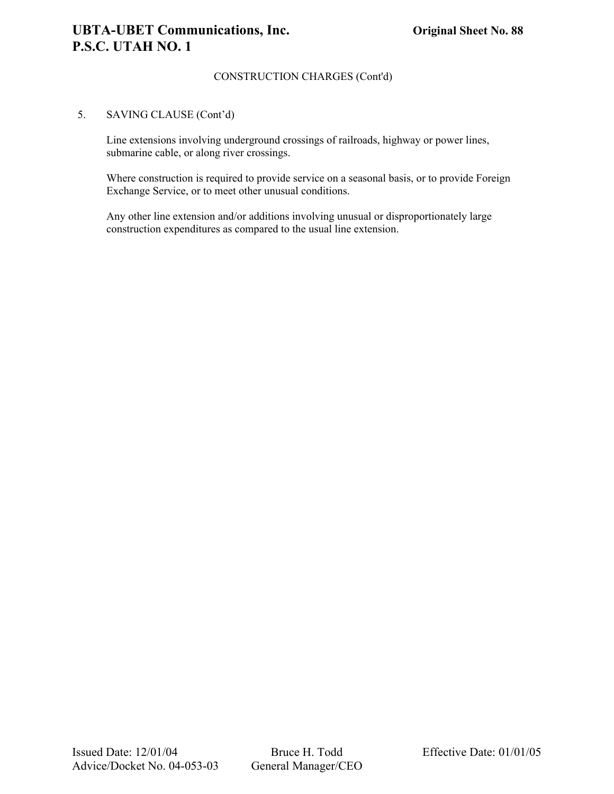#### 5. SAVING CLAUSE (Cont'd)

Line extensions involving underground crossings of railroads, highway or power lines, submarine cable, or along river crossings.

Where construction is required to provide service on a seasonal basis, or to provide Foreign Exchange Service, or to meet other unusual conditions.

Any other line extension and/or additions involving unusual or disproportionately large construction expenditures as compared to the usual line extension.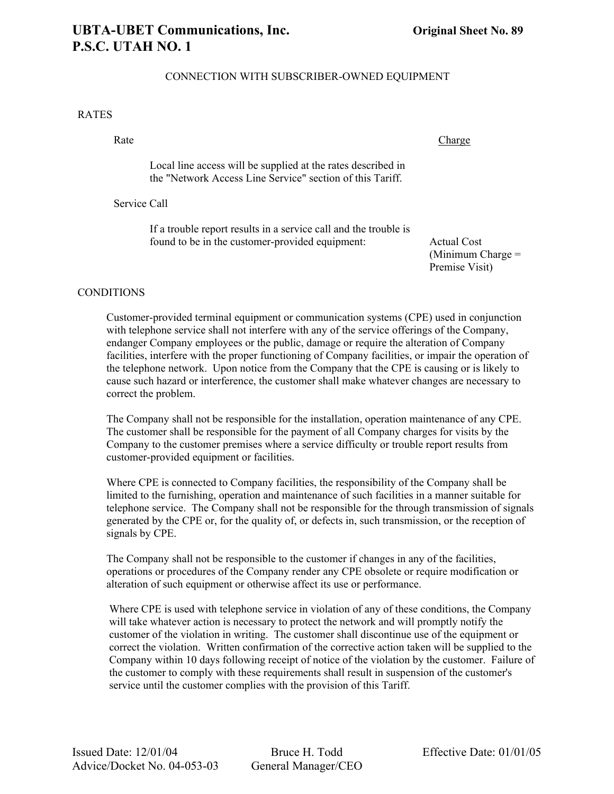# CONNECTION WITH SUBSCRIBER-OWNED EQUIPMENT

#### RATES

Rate Charge Charge Charge

Local line access will be supplied at the rates described in the "Network Access Line Service" section of this Tariff.

Service Call

If a trouble report results in a service call and the trouble is found to be in the customer-provided equipment: Actual Cost

(Minimum Charge = Premise Visit)

#### **CONDITIONS**

Customer-provided terminal equipment or communication systems (CPE) used in conjunction with telephone service shall not interfere with any of the service offerings of the Company, endanger Company employees or the public, damage or require the alteration of Company facilities, interfere with the proper functioning of Company facilities, or impair the operation of the telephone network. Upon notice from the Company that the CPE is causing or is likely to cause such hazard or interference, the customer shall make whatever changes are necessary to correct the problem.

The Company shall not be responsible for the installation, operation maintenance of any CPE. The customer shall be responsible for the payment of all Company charges for visits by the Company to the customer premises where a service difficulty or trouble report results from customer-provided equipment or facilities.

Where CPE is connected to Company facilities, the responsibility of the Company shall be limited to the furnishing, operation and maintenance of such facilities in a manner suitable for telephone service. The Company shall not be responsible for the through transmission of signals generated by the CPE or, for the quality of, or defects in, such transmission, or the reception of signals by CPE.

The Company shall not be responsible to the customer if changes in any of the facilities, operations or procedures of the Company render any CPE obsolete or require modification or alteration of such equipment or otherwise affect its use or performance.

Where CPE is used with telephone service in violation of any of these conditions, the Company will take whatever action is necessary to protect the network and will promptly notify the customer of the violation in writing. The customer shall discontinue use of the equipment or correct the violation. Written confirmation of the corrective action taken will be supplied to the Company within 10 days following receipt of notice of the violation by the customer. Failure of the customer to comply with these requirements shall result in suspension of the customer's service until the customer complies with the provision of this Tariff.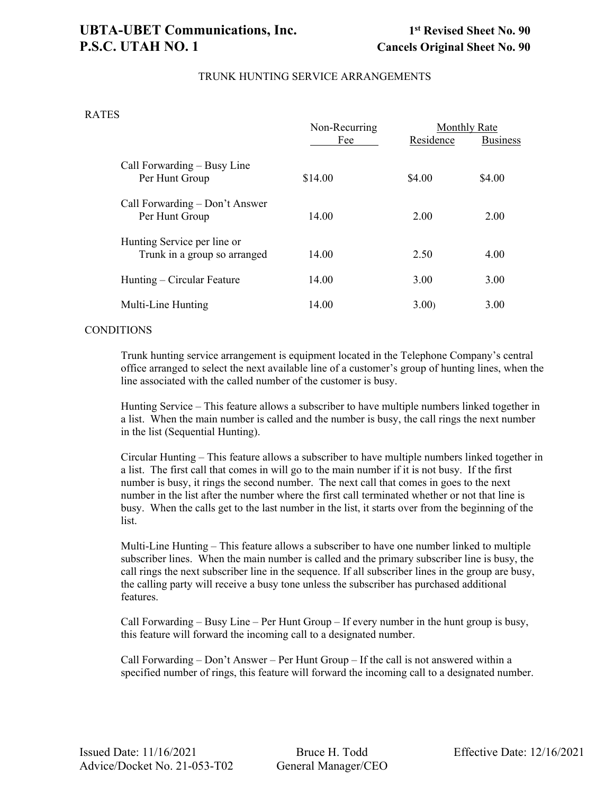# **UBTA-UBET Communications, Inc. 1st Revised Sheet No. 90 P.S.C. UTAH NO. 1** Cancels Original Sheet No. 90

## TRUNK HUNTING SERVICE ARRANGEMENTS

#### RATES

|                                                             | Non-Recurring<br>Fee | Residence | <b>Monthly Rate</b><br><b>Business</b> |
|-------------------------------------------------------------|----------------------|-----------|----------------------------------------|
| Call Forwarding $-$ Busy Line<br>Per Hunt Group             | \$14.00              | \$4.00    | \$4.00                                 |
| Call Forwarding – Don't Answer<br>Per Hunt Group            | 14.00                | 2.00      | 2.00                                   |
| Hunting Service per line or<br>Trunk in a group so arranged | 14.00                | 2.50      | 4.00                                   |
| $Hunting - Circular Feature$                                | 14.00                | 3.00      | 3.00                                   |
| Multi-Line Hunting                                          | 14.00                | 3.00      | 3.00                                   |

#### CONDITIONS

Trunk hunting service arrangement is equipment located in the Telephone Company's central office arranged to select the next available line of a customer's group of hunting lines, when the line associated with the called number of the customer is busy.

Hunting Service – This feature allows a subscriber to have multiple numbers linked together in a list. When the main number is called and the number is busy, the call rings the next number in the list (Sequential Hunting).

Circular Hunting – This feature allows a subscriber to have multiple numbers linked together in a list. The first call that comes in will go to the main number if it is not busy. If the first number is busy, it rings the second number. The next call that comes in goes to the next number in the list after the number where the first call terminated whether or not that line is busy. When the calls get to the last number in the list, it starts over from the beginning of the list.

Multi-Line Hunting – This feature allows a subscriber to have one number linked to multiple subscriber lines. When the main number is called and the primary subscriber line is busy, the call rings the next subscriber line in the sequence. If all subscriber lines in the group are busy, the calling party will receive a busy tone unless the subscriber has purchased additional features.

Call Forwarding – Busy Line – Per Hunt Group – If every number in the hunt group is busy, this feature will forward the incoming call to a designated number.

Call Forwarding – Don't Answer – Per Hunt Group – If the call is not answered within a specified number of rings, this feature will forward the incoming call to a designated number.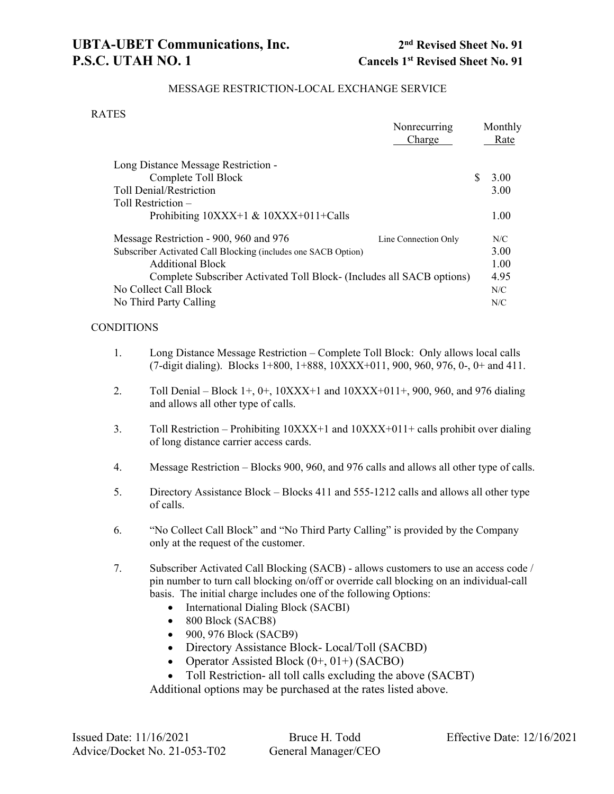# MESSAGE RESTRICTION-LOCAL EXCHANGE SERVICE

#### RATES

|                                                                       | Nonrecurring         |          | Monthly |
|-----------------------------------------------------------------------|----------------------|----------|---------|
|                                                                       | Charge               |          | Rate    |
| Long Distance Message Restriction -                                   |                      |          |         |
| Complete Toll Block                                                   |                      | <b>S</b> | 3.00    |
| <b>Toll Denial/Restriction</b>                                        |                      |          | 3.00    |
| Toll Restriction –                                                    |                      |          |         |
| Prohibiting $10XXX+1 \& 10XXX+011+Calls$                              |                      |          | 1.00    |
| Message Restriction - 900, 960 and 976                                | Line Connection Only |          | N/C     |
| Subscriber Activated Call Blocking (includes one SACB Option)         |                      |          | 3.00    |
| <b>Additional Block</b>                                               |                      |          | 1.00    |
| Complete Subscriber Activated Toll Block- (Includes all SACB options) |                      |          | 4.95    |
| No Collect Call Block                                                 |                      |          | N/C     |
| No Third Party Calling                                                |                      |          | N/C     |

#### **CONDITIONS**

- 1. Long Distance Message Restriction Complete Toll Block: Only allows local calls (7-digit dialing). Blocks 1+800, 1+888, 10XXX+011, 900, 960, 976, 0-, 0+ and 411.
- 2. Toll Denial Block 1+, 0+,  $10XXX+1$  and  $10XXX+011+$ , 900, 960, and 976 dialing and allows all other type of calls.
- 3. Toll Restriction Prohibiting  $10XXX+1$  and  $10XXX+011+$  calls prohibit over dialing of long distance carrier access cards.
- 4. Message Restriction Blocks 900, 960, and 976 calls and allows all other type of calls.
- 5. Directory Assistance Block Blocks 411 and 555-1212 calls and allows all other type of calls.
- 6. "No Collect Call Block" and "No Third Party Calling" is provided by the Company only at the request of the customer.
- 7. Subscriber Activated Call Blocking (SACB) allows customers to use an access code / pin number to turn call blocking on/off or override call blocking on an individual-call basis. The initial charge includes one of the following Options:
	- International Dialing Block (SACBI)
	- 800 Block (SACB8)
	- 900, 976 Block (SACB9)
	- Directory Assistance Block- Local/Toll (SACBD)
	- Operator Assisted Block  $(0+, 01+)$  (SACBO)
	- Toll Restriction- all toll calls excluding the above (SACBT)

Additional options may be purchased at the rates listed above.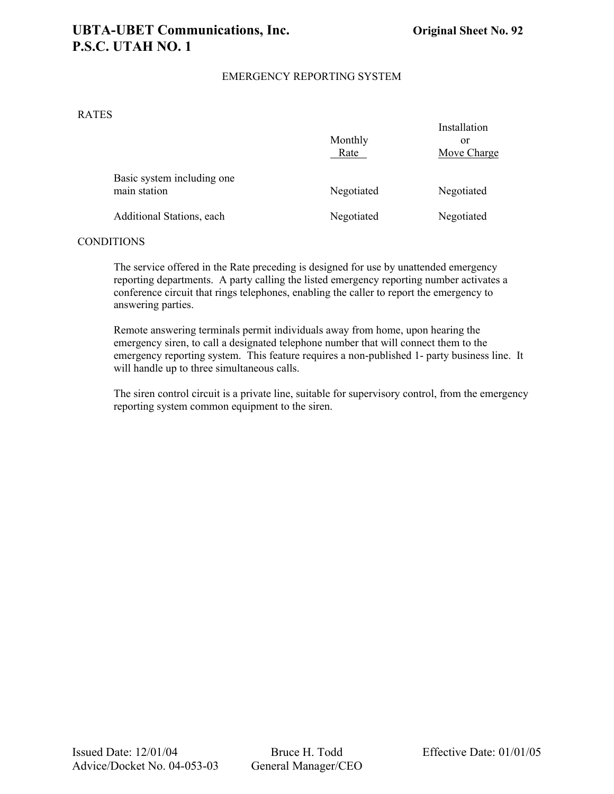# **UBTA-UBET Communications, Inc. Original Sheet No. 92 P.S.C. UTAH NO. 1**

# EMERGENCY REPORTING SYSTEM

#### RATES

|                                            | Monthly<br>Rate | Installation<br>or<br>Move Charge |
|--------------------------------------------|-----------------|-----------------------------------|
| Basic system including one<br>main station | Negotiated      | Negotiated                        |
| Additional Stations, each                  | Negotiated      | Negotiated                        |

#### **CONDITIONS**

The service offered in the Rate preceding is designed for use by unattended emergency reporting departments. A party calling the listed emergency reporting number activates a conference circuit that rings telephones, enabling the caller to report the emergency to answering parties.

Remote answering terminals permit individuals away from home, upon hearing the emergency siren, to call a designated telephone number that will connect them to the emergency reporting system. This feature requires a non-published 1- party business line. It will handle up to three simultaneous calls.

The siren control circuit is a private line, suitable for supervisory control, from the emergency reporting system common equipment to the siren.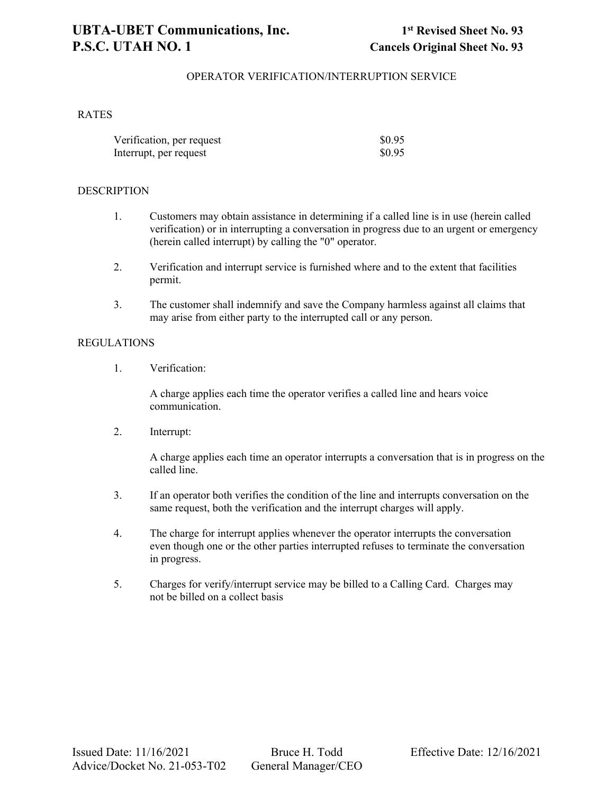### OPERATOR VERIFICATION/INTERRUPTION SERVICE

#### **RATES**

| Verification, per request | \$0.95 |
|---------------------------|--------|
| Interrupt, per request    | \$0.95 |

#### **DESCRIPTION**

- 1. Customers may obtain assistance in determining if a called line is in use (herein called verification) or in interrupting a conversation in progress due to an urgent or emergency (herein called interrupt) by calling the "0" operator.
- 2. Verification and interrupt service is furnished where and to the extent that facilities permit.
- 3. The customer shall indemnify and save the Company harmless against all claims that may arise from either party to the interrupted call or any person.

#### REGULATIONS

1. Verification:

A charge applies each time the operator verifies a called line and hears voice communication.

2. Interrupt:

A charge applies each time an operator interrupts a conversation that is in progress on the called line.

- 3. If an operator both verifies the condition of the line and interrupts conversation on the same request, both the verification and the interrupt charges will apply.
- 4. The charge for interrupt applies whenever the operator interrupts the conversation even though one or the other parties interrupted refuses to terminate the conversation in progress.
- 5. Charges for verify/interrupt service may be billed to a Calling Card. Charges may not be billed on a collect basis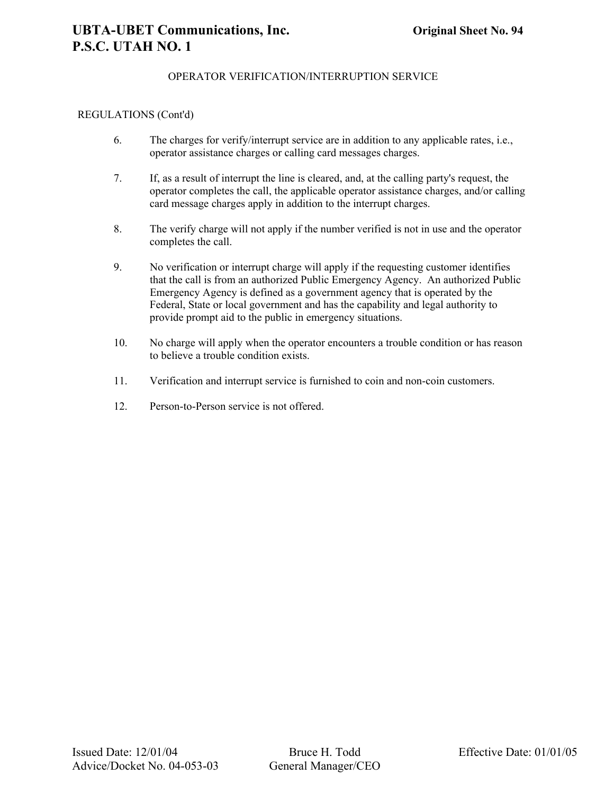# OPERATOR VERIFICATION/INTERRUPTION SERVICE

#### REGULATIONS (Cont'd)

- 6. The charges for verify/interrupt service are in addition to any applicable rates, i.e., operator assistance charges or calling card messages charges.
- 7. If, as a result of interrupt the line is cleared, and, at the calling party's request, the operator completes the call, the applicable operator assistance charges, and/or calling card message charges apply in addition to the interrupt charges.
- 8. The verify charge will not apply if the number verified is not in use and the operator completes the call.
- 9. No verification or interrupt charge will apply if the requesting customer identifies that the call is from an authorized Public Emergency Agency. An authorized Public Emergency Agency is defined as a government agency that is operated by the Federal, State or local government and has the capability and legal authority to provide prompt aid to the public in emergency situations.
- 10. No charge will apply when the operator encounters a trouble condition or has reason to believe a trouble condition exists.
- 11. Verification and interrupt service is furnished to coin and non-coin customers.
- 12. Person-to-Person service is not offered.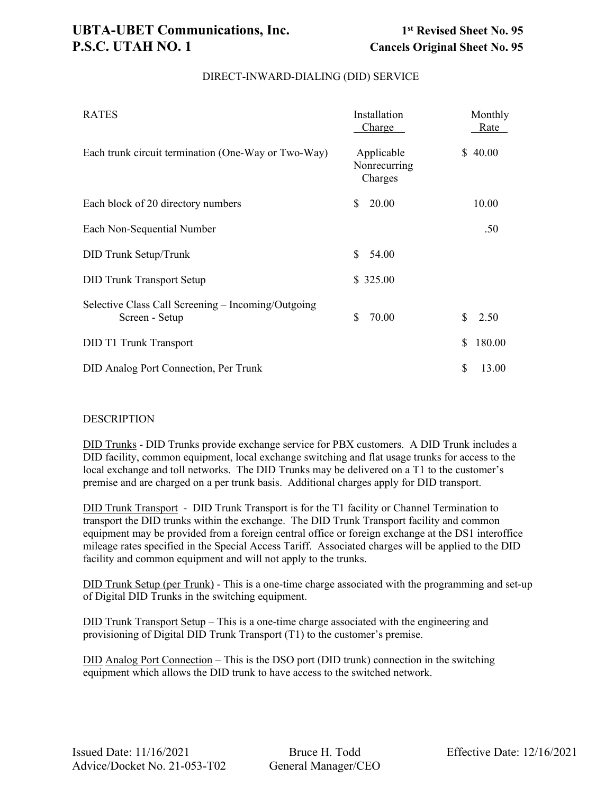| <b>RATES</b>                                                         | Installation<br>Charge                | Monthly<br>Rate |
|----------------------------------------------------------------------|---------------------------------------|-----------------|
| Each trunk circuit termination (One-Way or Two-Way)                  | Applicable<br>Nonrecurring<br>Charges | \$40.00         |
| Each block of 20 directory numbers                                   | 20.00<br>\$                           | 10.00           |
| Each Non-Sequential Number                                           |                                       | .50             |
| <b>DID Trunk Setup/Trunk</b>                                         | S<br>54.00                            |                 |
| <b>DID Trunk Transport Setup</b>                                     | \$325.00                              |                 |
| Selective Class Call Screening – Incoming/Outgoing<br>Screen - Setup | \$<br>70.00                           | \$.<br>2.50     |
| <b>DID T1 Trunk Transport</b>                                        |                                       | 180.00<br>\$    |
| DID Analog Port Connection, Per Trunk                                |                                       | \$<br>13.00     |

# DIRECT-INWARD-DIALING (DID) SERVICE

#### **DESCRIPTION**

DID Trunks - DID Trunks provide exchange service for PBX customers. A DID Trunk includes a DID facility, common equipment, local exchange switching and flat usage trunks for access to the local exchange and toll networks. The DID Trunks may be delivered on a T1 to the customer's premise and are charged on a per trunk basis. Additional charges apply for DID transport.

DID Trunk Transport - DID Trunk Transport is for the T1 facility or Channel Termination to transport the DID trunks within the exchange. The DID Trunk Transport facility and common equipment may be provided from a foreign central office or foreign exchange at the DS1 interoffice mileage rates specified in the Special Access Tariff. Associated charges will be applied to the DID facility and common equipment and will not apply to the trunks.

DID Trunk Setup (per Trunk) - This is a one-time charge associated with the programming and set-up of Digital DID Trunks in the switching equipment.

DID Trunk Transport Setup – This is a one-time charge associated with the engineering and provisioning of Digital DID Trunk Transport (T1) to the customer's premise.

DID Analog Port Connection – This is the DSO port (DID trunk) connection in the switching equipment which allows the DID trunk to have access to the switched network.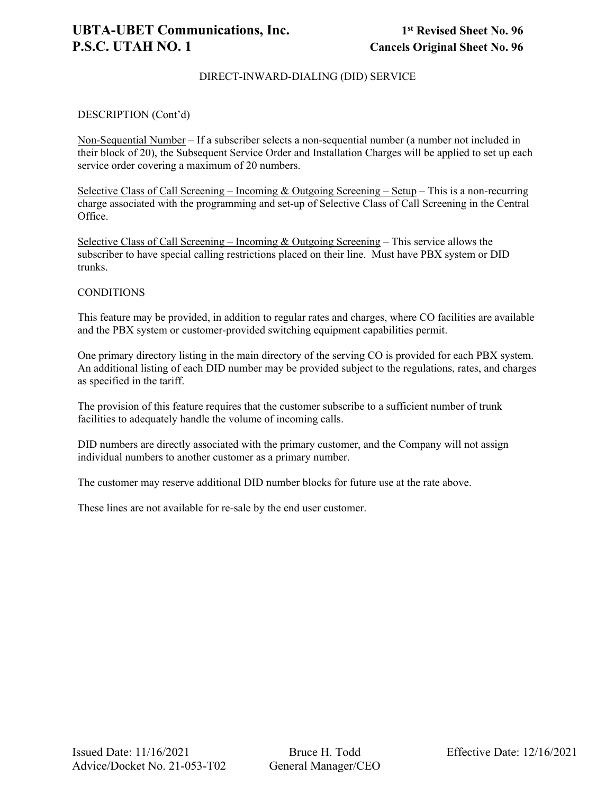# DIRECT-INWARD-DIALING (DID) SERVICE

## DESCRIPTION (Cont'd)

Non-Sequential Number – If a subscriber selects a non-sequential number (a number not included in their block of 20), the Subsequent Service Order and Installation Charges will be applied to set up each service order covering a maximum of 20 numbers.

Selective Class of Call Screening – Incoming & Outgoing Screening – Setup – This is a non-recurring charge associated with the programming and set-up of Selective Class of Call Screening in the Central Office.

Selective Class of Call Screening – Incoming & Outgoing Screening – This service allows the subscriber to have special calling restrictions placed on their line. Must have PBX system or DID trunks.

#### **CONDITIONS**

This feature may be provided, in addition to regular rates and charges, where CO facilities are available and the PBX system or customer-provided switching equipment capabilities permit.

One primary directory listing in the main directory of the serving CO is provided for each PBX system. An additional listing of each DID number may be provided subject to the regulations, rates, and charges as specified in the tariff.

The provision of this feature requires that the customer subscribe to a sufficient number of trunk facilities to adequately handle the volume of incoming calls.

DID numbers are directly associated with the primary customer, and the Company will not assign individual numbers to another customer as a primary number.

The customer may reserve additional DID number blocks for future use at the rate above.

These lines are not available for re-sale by the end user customer.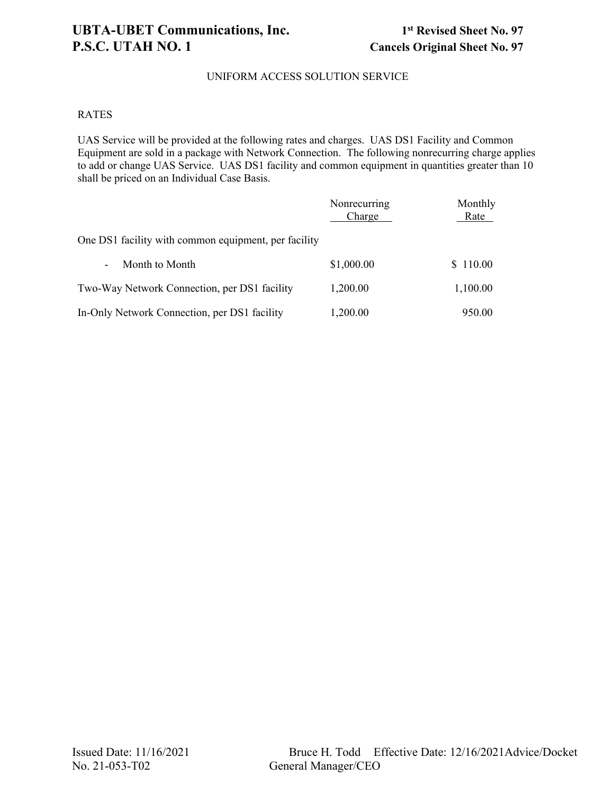# UNIFORM ACCESS SOLUTION SERVICE

#### RATES

UAS Service will be provided at the following rates and charges. UAS DS1 Facility and Common Equipment are sold in a package with Network Connection. The following nonrecurring charge applies to add or change UAS Service. UAS DS1 facility and common equipment in quantities greater than 10 shall be priced on an Individual Case Basis.

|                                                      | Nonrecurring<br>Charge | Monthly<br>Rate |
|------------------------------------------------------|------------------------|-----------------|
| One DS1 facility with common equipment, per facility |                        |                 |
| Month to Month<br>$\blacksquare$                     | \$1,000.00             | \$110.00        |
| Two-Way Network Connection, per DS1 facility         | 1,200.00               | 1,100.00        |
| In-Only Network Connection, per DS1 facility         | 1,200.00               | 950.00          |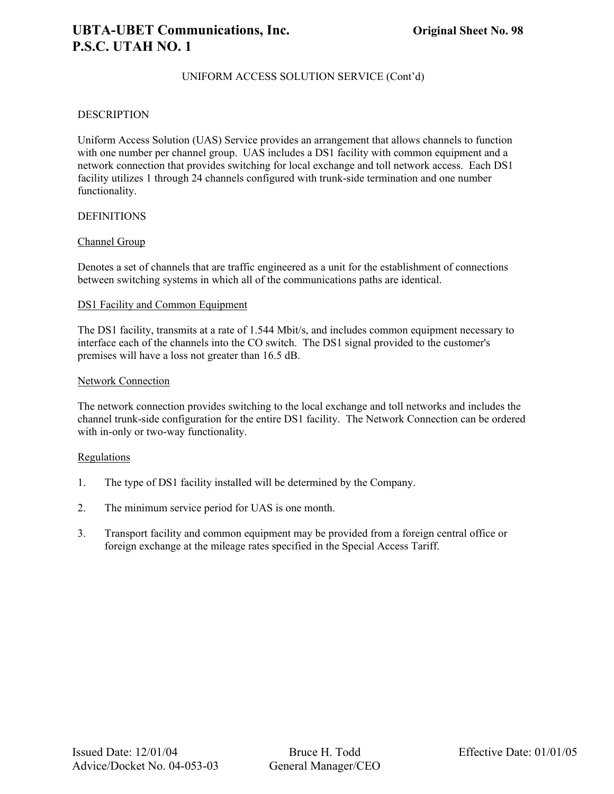# UNIFORM ACCESS SOLUTION SERVICE (Cont'd)

#### **DESCRIPTION**

Uniform Access Solution (UAS) Service provides an arrangement that allows channels to function with one number per channel group. UAS includes a DS1 facility with common equipment and a network connection that provides switching for local exchange and toll network access. Each DS1 facility utilizes 1 through 24 channels configured with trunk-side termination and one number functionality.

#### **DEFINITIONS**

#### Channel Group

Denotes a set of channels that are traffic engineered as a unit for the establishment of connections between switching systems in which all of the communications paths are identical.

#### DS1 Facility and Common Equipment

The DS1 facility, transmits at a rate of 1.544 Mbit/s, and includes common equipment necessary to interface each of the channels into the CO switch. The DS1 signal provided to the customer's premises will have a loss not greater than 16.5 dB.

#### Network Connection

The network connection provides switching to the local exchange and toll networks and includes the channel trunk-side configuration for the entire DS1 facility. The Network Connection can be ordered with in-only or two-way functionality.

## Regulations

- 1. The type of DS1 facility installed will be determined by the Company.
- 2. The minimum service period for UAS is one month.
- 3. Transport facility and common equipment may be provided from a foreign central office or foreign exchange at the mileage rates specified in the Special Access Tariff.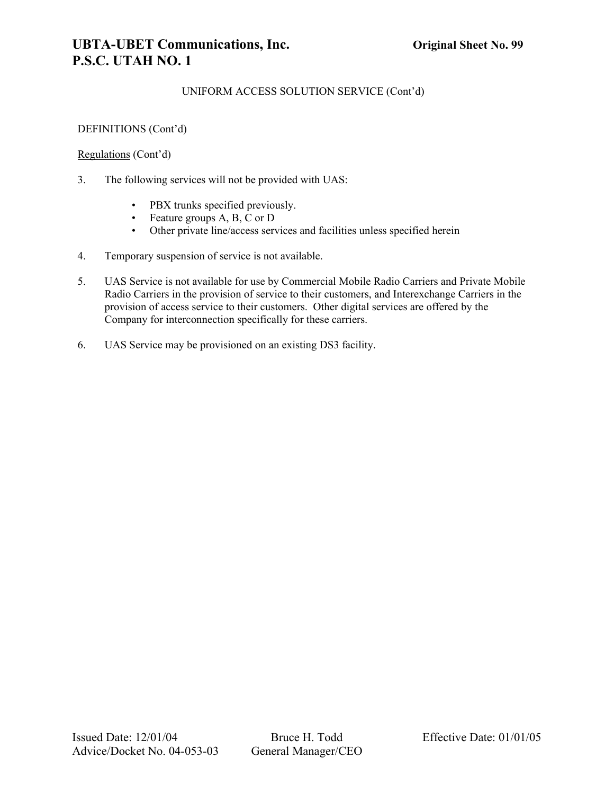# UNIFORM ACCESS SOLUTION SERVICE (Cont'd)

# DEFINITIONS (Cont'd)

## Regulations (Cont'd)

- 3. The following services will not be provided with UAS:
	- PBX trunks specified previously.
	- Feature groups A, B, C or D
	- Other private line/access services and facilities unless specified herein
- 4. Temporary suspension of service is not available.
- 5. UAS Service is not available for use by Commercial Mobile Radio Carriers and Private Mobile Radio Carriers in the provision of service to their customers, and Interexchange Carriers in the provision of access service to their customers. Other digital services are offered by the Company for interconnection specifically for these carriers.
- 6. UAS Service may be provisioned on an existing DS3 facility.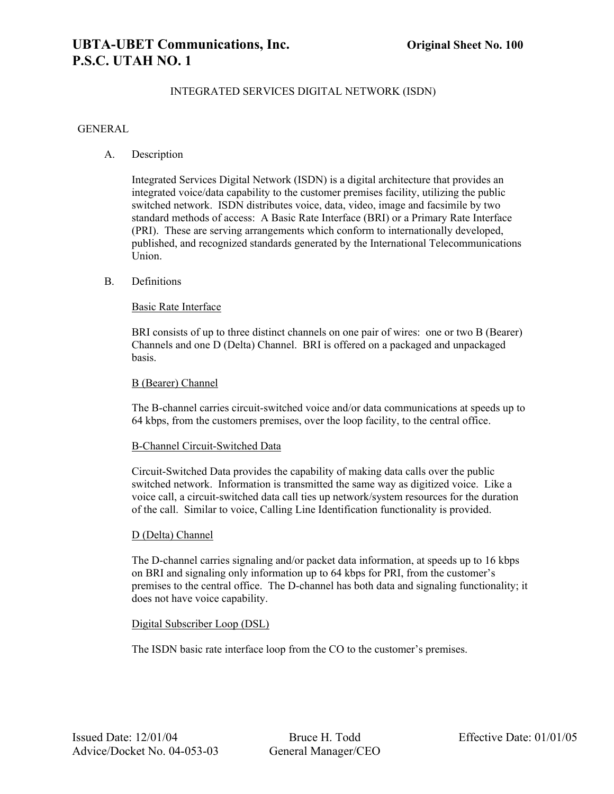# **UBTA-UBET Communications, Inc. Original Sheet No. 100 P.S.C. UTAH NO. 1**

# INTEGRATED SERVICES DIGITAL NETWORK (ISDN)

#### GENERAL

A. Description

Integrated Services Digital Network (ISDN) is a digital architecture that provides an integrated voice/data capability to the customer premises facility, utilizing the public switched network. ISDN distributes voice, data, video, image and facsimile by two standard methods of access: A Basic Rate Interface (BRI) or a Primary Rate Interface (PRI). These are serving arrangements which conform to internationally developed, published, and recognized standards generated by the International Telecommunications Union.

#### B. Definitions

#### Basic Rate Interface

BRI consists of up to three distinct channels on one pair of wires: one or two B (Bearer) Channels and one D (Delta) Channel. BRI is offered on a packaged and unpackaged basis.

#### B (Bearer) Channel

The B-channel carries circuit-switched voice and/or data communications at speeds up to 64 kbps, from the customers premises, over the loop facility, to the central office.

#### B-Channel Circuit-Switched Data

Circuit-Switched Data provides the capability of making data calls over the public switched network. Information is transmitted the same way as digitized voice. Like a voice call, a circuit-switched data call ties up network/system resources for the duration of the call. Similar to voice, Calling Line Identification functionality is provided.

#### D (Delta) Channel

The D-channel carries signaling and/or packet data information, at speeds up to 16 kbps on BRI and signaling only information up to 64 kbps for PRI, from the customer's premises to the central office. The D-channel has both data and signaling functionality; it does not have voice capability.

#### Digital Subscriber Loop (DSL)

The ISDN basic rate interface loop from the CO to the customer's premises.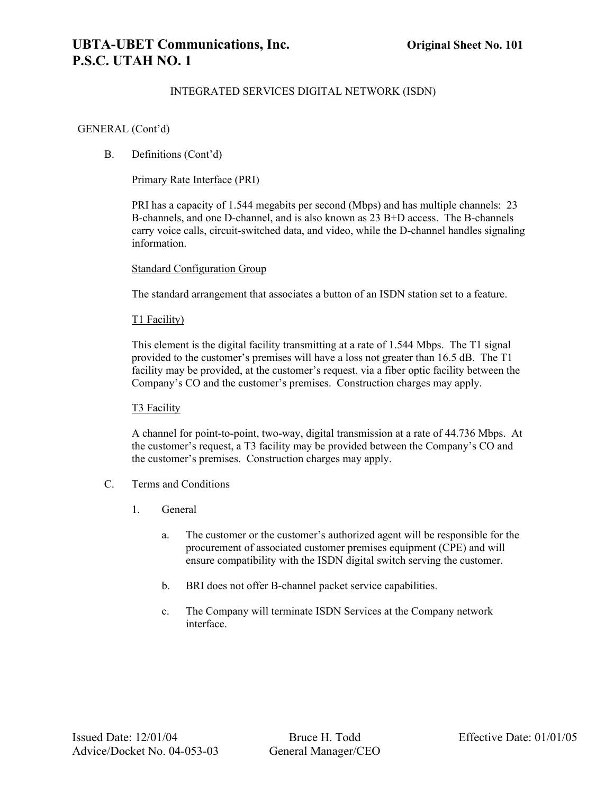# INTEGRATED SERVICES DIGITAL NETWORK (ISDN)

#### GENERAL (Cont'd)

# B. Definitions (Cont'd)

## Primary Rate Interface (PRI)

PRI has a capacity of 1.544 megabits per second (Mbps) and has multiple channels: 23 B-channels, and one D-channel, and is also known as 23 B+D access. The B-channels carry voice calls, circuit-switched data, and video, while the D-channel handles signaling information.

#### Standard Configuration Group

The standard arrangement that associates a button of an ISDN station set to a feature.

#### T1 Facility)

This element is the digital facility transmitting at a rate of 1.544 Mbps. The T1 signal provided to the customer's premises will have a loss not greater than 16.5 dB. The T1 facility may be provided, at the customer's request, via a fiber optic facility between the Company's CO and the customer's premises. Construction charges may apply.

#### T<sub>3</sub> Facility

A channel for point-to-point, two-way, digital transmission at a rate of 44.736 Mbps. At the customer's request, a T3 facility may be provided between the Company's CO and the customer's premises. Construction charges may apply.

#### C. Terms and Conditions

- 1. General
	- a. The customer or the customer's authorized agent will be responsible for the procurement of associated customer premises equipment (CPE) and will ensure compatibility with the ISDN digital switch serving the customer.
	- b. BRI does not offer B-channel packet service capabilities.
	- c. The Company will terminate ISDN Services at the Company network interface.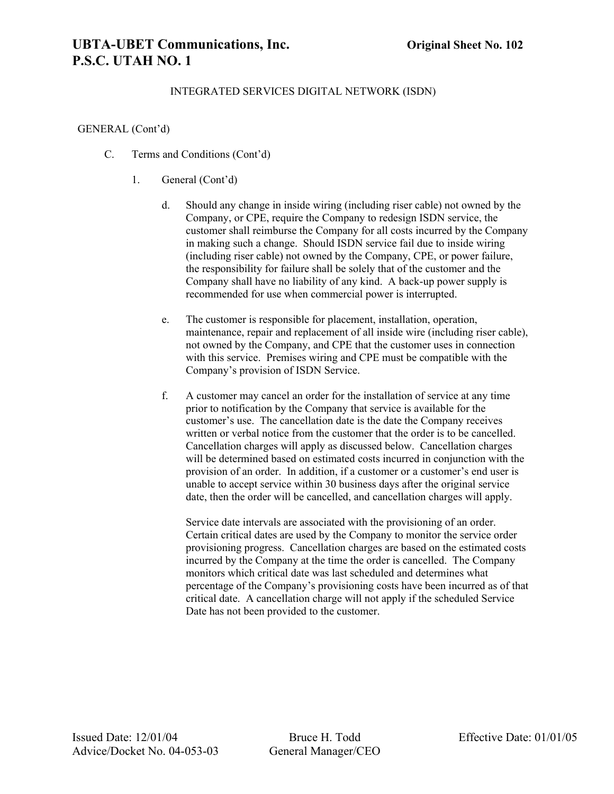# **UBTA-UBET Communications, Inc. Original Sheet No. 102 P.S.C. UTAH NO. 1**

# INTEGRATED SERVICES DIGITAL NETWORK (ISDN)

#### GENERAL (Cont'd)

- C. Terms and Conditions (Cont'd)
	- 1. General (Cont'd)
		- d. Should any change in inside wiring (including riser cable) not owned by the Company, or CPE, require the Company to redesign ISDN service, the customer shall reimburse the Company for all costs incurred by the Company in making such a change. Should ISDN service fail due to inside wiring (including riser cable) not owned by the Company, CPE, or power failure, the responsibility for failure shall be solely that of the customer and the Company shall have no liability of any kind. A back-up power supply is recommended for use when commercial power is interrupted.
		- e. The customer is responsible for placement, installation, operation, maintenance, repair and replacement of all inside wire (including riser cable), not owned by the Company, and CPE that the customer uses in connection with this service. Premises wiring and CPE must be compatible with the Company's provision of ISDN Service.
		- f. A customer may cancel an order for the installation of service at any time prior to notification by the Company that service is available for the customer's use. The cancellation date is the date the Company receives written or verbal notice from the customer that the order is to be cancelled. Cancellation charges will apply as discussed below. Cancellation charges will be determined based on estimated costs incurred in conjunction with the provision of an order. In addition, if a customer or a customer's end user is unable to accept service within 30 business days after the original service date, then the order will be cancelled, and cancellation charges will apply.

Service date intervals are associated with the provisioning of an order. Certain critical dates are used by the Company to monitor the service order provisioning progress. Cancellation charges are based on the estimated costs incurred by the Company at the time the order is cancelled. The Company monitors which critical date was last scheduled and determines what percentage of the Company's provisioning costs have been incurred as of that critical date. A cancellation charge will not apply if the scheduled Service Date has not been provided to the customer.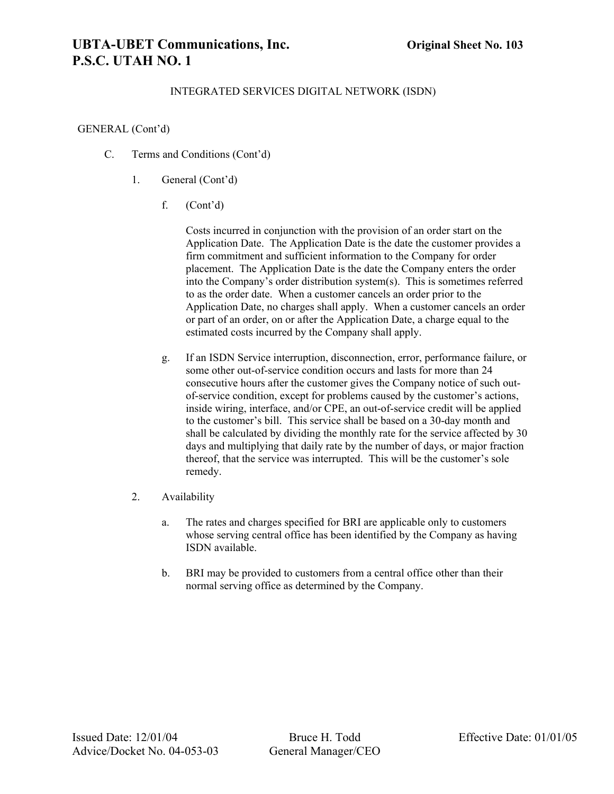# **UBTA-UBET Communications, Inc. Original Sheet No. 103 P.S.C. UTAH NO. 1**

# INTEGRATED SERVICES DIGITAL NETWORK (ISDN)

#### GENERAL (Cont'd)

- C. Terms and Conditions (Cont'd)
	- 1. General (Cont'd)
		- f. (Cont'd)

Costs incurred in conjunction with the provision of an order start on the Application Date. The Application Date is the date the customer provides a firm commitment and sufficient information to the Company for order placement. The Application Date is the date the Company enters the order into the Company's order distribution system(s). This is sometimes referred to as the order date. When a customer cancels an order prior to the Application Date, no charges shall apply. When a customer cancels an order or part of an order, on or after the Application Date, a charge equal to the estimated costs incurred by the Company shall apply.

- g. If an ISDN Service interruption, disconnection, error, performance failure, or some other out-of-service condition occurs and lasts for more than 24 consecutive hours after the customer gives the Company notice of such outof-service condition, except for problems caused by the customer's actions, inside wiring, interface, and/or CPE, an out-of-service credit will be applied to the customer's bill. This service shall be based on a 30-day month and shall be calculated by dividing the monthly rate for the service affected by 30 days and multiplying that daily rate by the number of days, or major fraction thereof, that the service was interrupted. This will be the customer's sole remedy.
- 2. Availability
	- a. The rates and charges specified for BRI are applicable only to customers whose serving central office has been identified by the Company as having ISDN available.
	- b. BRI may be provided to customers from a central office other than their normal serving office as determined by the Company.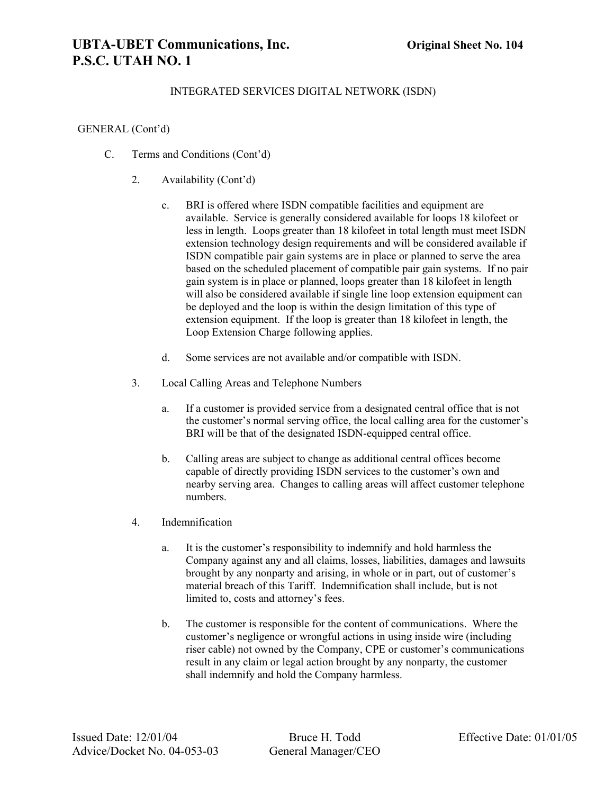# **UBTA-UBET Communications, Inc. Original Sheet No. 104 P.S.C. UTAH NO. 1**

## INTEGRATED SERVICES DIGITAL NETWORK (ISDN)

#### GENERAL (Cont'd)

- C. Terms and Conditions (Cont'd)
	- 2. Availability (Cont'd)
		- c. BRI is offered where ISDN compatible facilities and equipment are available. Service is generally considered available for loops 18 kilofeet or less in length. Loops greater than 18 kilofeet in total length must meet ISDN extension technology design requirements and will be considered available if ISDN compatible pair gain systems are in place or planned to serve the area based on the scheduled placement of compatible pair gain systems. If no pair gain system is in place or planned, loops greater than 18 kilofeet in length will also be considered available if single line loop extension equipment can be deployed and the loop is within the design limitation of this type of extension equipment. If the loop is greater than 18 kilofeet in length, the Loop Extension Charge following applies.
		- d. Some services are not available and/or compatible with ISDN.
	- 3. Local Calling Areas and Telephone Numbers
		- a. If a customer is provided service from a designated central office that is not the customer's normal serving office, the local calling area for the customer's BRI will be that of the designated ISDN-equipped central office.
		- b. Calling areas are subject to change as additional central offices become capable of directly providing ISDN services to the customer's own and nearby serving area. Changes to calling areas will affect customer telephone numbers.
	- 4. Indemnification
		- a. It is the customer's responsibility to indemnify and hold harmless the Company against any and all claims, losses, liabilities, damages and lawsuits brought by any nonparty and arising, in whole or in part, out of customer's material breach of this Tariff. Indemnification shall include, but is not limited to, costs and attorney's fees.
		- b. The customer is responsible for the content of communications. Where the customer's negligence or wrongful actions in using inside wire (including riser cable) not owned by the Company, CPE or customer's communications result in any claim or legal action brought by any nonparty, the customer shall indemnify and hold the Company harmless.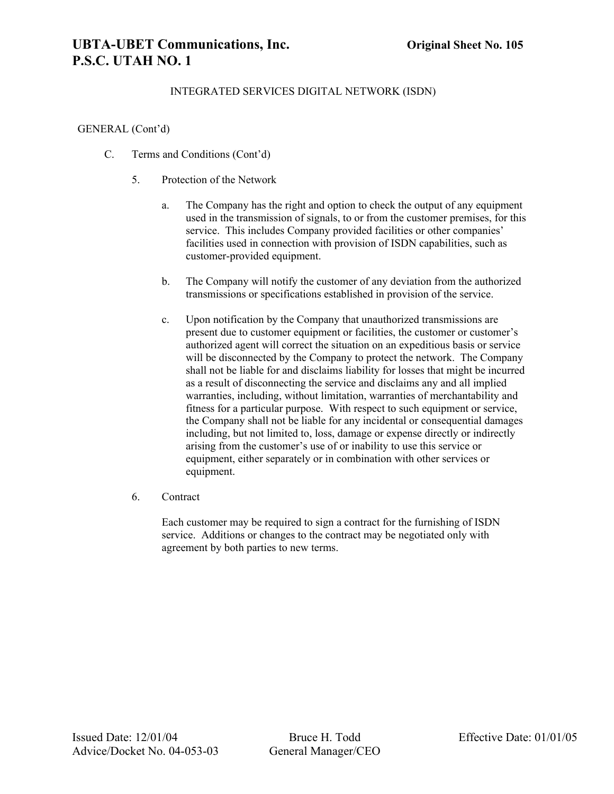# **UBTA-UBET Communications, Inc. Original Sheet No. 105 P.S.C. UTAH NO. 1**

### INTEGRATED SERVICES DIGITAL NETWORK (ISDN)

#### GENERAL (Cont'd)

- C. Terms and Conditions (Cont'd)
	- 5. Protection of the Network
		- a. The Company has the right and option to check the output of any equipment used in the transmission of signals, to or from the customer premises, for this service. This includes Company provided facilities or other companies' facilities used in connection with provision of ISDN capabilities, such as customer-provided equipment.
		- b. The Company will notify the customer of any deviation from the authorized transmissions or specifications established in provision of the service.
		- c. Upon notification by the Company that unauthorized transmissions are present due to customer equipment or facilities, the customer or customer's authorized agent will correct the situation on an expeditious basis or service will be disconnected by the Company to protect the network. The Company shall not be liable for and disclaims liability for losses that might be incurred as a result of disconnecting the service and disclaims any and all implied warranties, including, without limitation, warranties of merchantability and fitness for a particular purpose. With respect to such equipment or service, the Company shall not be liable for any incidental or consequential damages including, but not limited to, loss, damage or expense directly or indirectly arising from the customer's use of or inability to use this service or equipment, either separately or in combination with other services or equipment.
	- 6. Contract

Each customer may be required to sign a contract for the furnishing of ISDN service. Additions or changes to the contract may be negotiated only with agreement by both parties to new terms.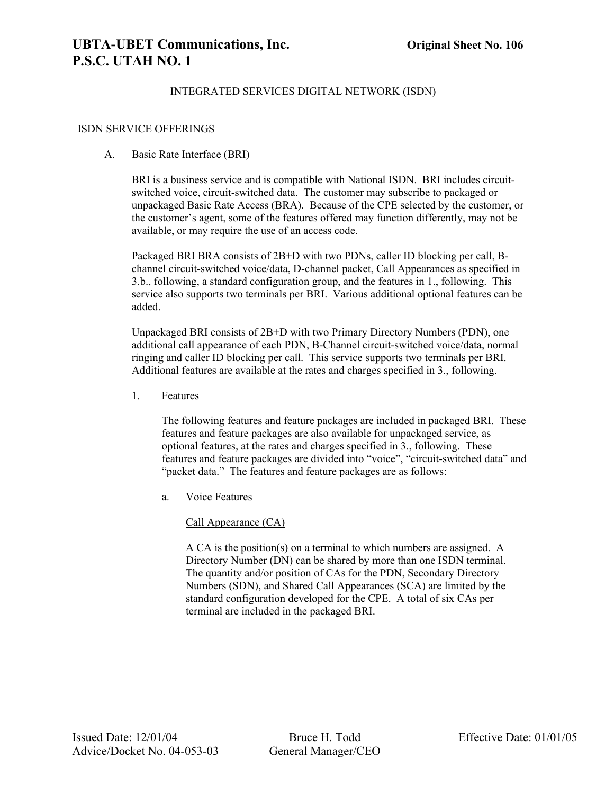#### ISDN SERVICE OFFERINGS

#### A. Basic Rate Interface (BRI)

BRI is a business service and is compatible with National ISDN. BRI includes circuitswitched voice, circuit-switched data. The customer may subscribe to packaged or unpackaged Basic Rate Access (BRA). Because of the CPE selected by the customer, or the customer's agent, some of the features offered may function differently, may not be available, or may require the use of an access code.

Packaged BRI BRA consists of 2B+D with two PDNs, caller ID blocking per call, Bchannel circuit-switched voice/data, D-channel packet, Call Appearances as specified in 3.b., following, a standard configuration group, and the features in 1., following. This service also supports two terminals per BRI. Various additional optional features can be added.

Unpackaged BRI consists of 2B+D with two Primary Directory Numbers (PDN), one additional call appearance of each PDN, B-Channel circuit-switched voice/data, normal ringing and caller ID blocking per call. This service supports two terminals per BRI. Additional features are available at the rates and charges specified in 3., following.

1. Features

The following features and feature packages are included in packaged BRI. These features and feature packages are also available for unpackaged service, as optional features, at the rates and charges specified in 3., following. These features and feature packages are divided into "voice", "circuit-switched data" and "packet data." The features and feature packages are as follows:

a. Voice Features

Call Appearance (CA)

A CA is the position(s) on a terminal to which numbers are assigned. A Directory Number (DN) can be shared by more than one ISDN terminal. The quantity and/or position of CAs for the PDN, Secondary Directory Numbers (SDN), and Shared Call Appearances (SCA) are limited by the standard configuration developed for the CPE. A total of six CAs per terminal are included in the packaged BRI.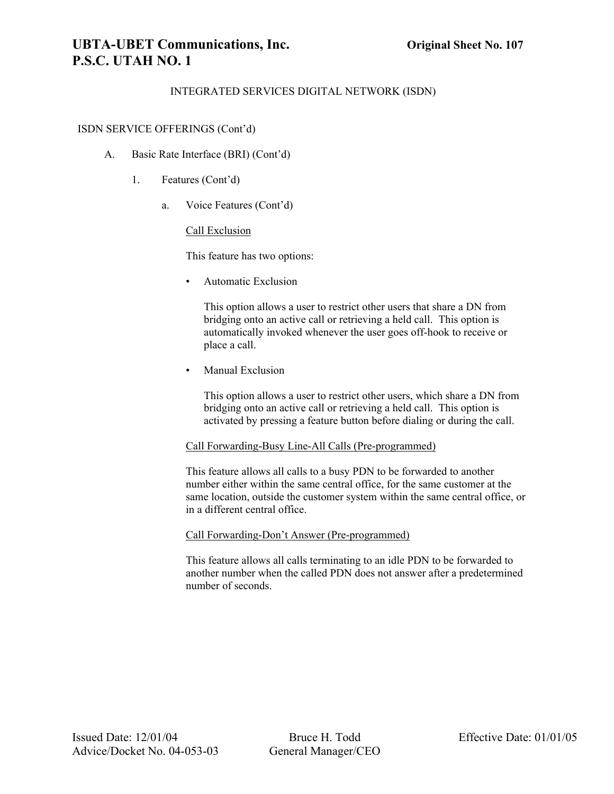# **UBTA-UBET Communications, Inc. Original Sheet No. 107 P.S.C. UTAH NO. 1**

### INTEGRATED SERVICES DIGITAL NETWORK (ISDN)

#### ISDN SERVICE OFFERINGS (Cont'd)

- A. Basic Rate Interface (BRI) (Cont'd)
	- 1. Features (Cont'd)
		- a. Voice Features (Cont'd)

#### Call Exclusion

This feature has two options:

• Automatic Exclusion

This option allows a user to restrict other users that share a DN from bridging onto an active call or retrieving a held call. This option is automatically invoked whenever the user goes off-hook to receive or place a call.

Manual Exclusion

This option allows a user to restrict other users, which share a DN from bridging onto an active call or retrieving a held call. This option is activated by pressing a feature button before dialing or during the call.

#### Call Forwarding-Busy Line-All Calls (Pre-programmed)

This feature allows all calls to a busy PDN to be forwarded to another number either within the same central office, for the same customer at the same location, outside the customer system within the same central office, or in a different central office.

#### Call Forwarding-Don't Answer (Pre-programmed)

This feature allows all calls terminating to an idle PDN to be forwarded to another number when the called PDN does not answer after a predetermined number of seconds.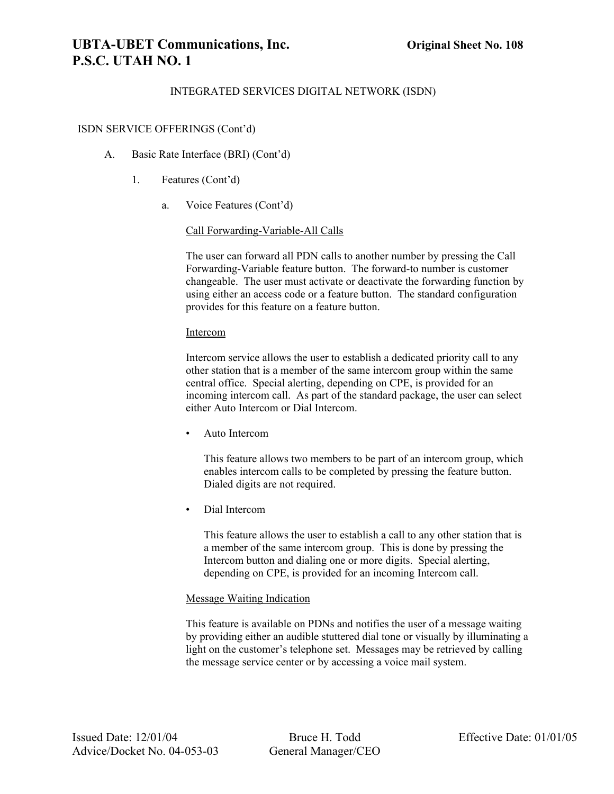# **UBTA-UBET Communications, Inc. Original Sheet No. 108 P.S.C. UTAH NO. 1**

### INTEGRATED SERVICES DIGITAL NETWORK (ISDN)

#### ISDN SERVICE OFFERINGS (Cont'd)

- A. Basic Rate Interface (BRI) (Cont'd)
	- 1. Features (Cont'd)
		- a. Voice Features (Cont'd)

#### Call Forwarding-Variable-All Calls

The user can forward all PDN calls to another number by pressing the Call Forwarding-Variable feature button. The forward-to number is customer changeable. The user must activate or deactivate the forwarding function by using either an access code or a feature button. The standard configuration provides for this feature on a feature button.

#### Intercom

Intercom service allows the user to establish a dedicated priority call to any other station that is a member of the same intercom group within the same central office. Special alerting, depending on CPE, is provided for an incoming intercom call. As part of the standard package, the user can select either Auto Intercom or Dial Intercom.

• Auto Intercom

This feature allows two members to be part of an intercom group, which enables intercom calls to be completed by pressing the feature button. Dialed digits are not required.

• Dial Intercom

This feature allows the user to establish a call to any other station that is a member of the same intercom group. This is done by pressing the Intercom button and dialing one or more digits. Special alerting, depending on CPE, is provided for an incoming Intercom call.

#### Message Waiting Indication

This feature is available on PDNs and notifies the user of a message waiting by providing either an audible stuttered dial tone or visually by illuminating a light on the customer's telephone set. Messages may be retrieved by calling the message service center or by accessing a voice mail system.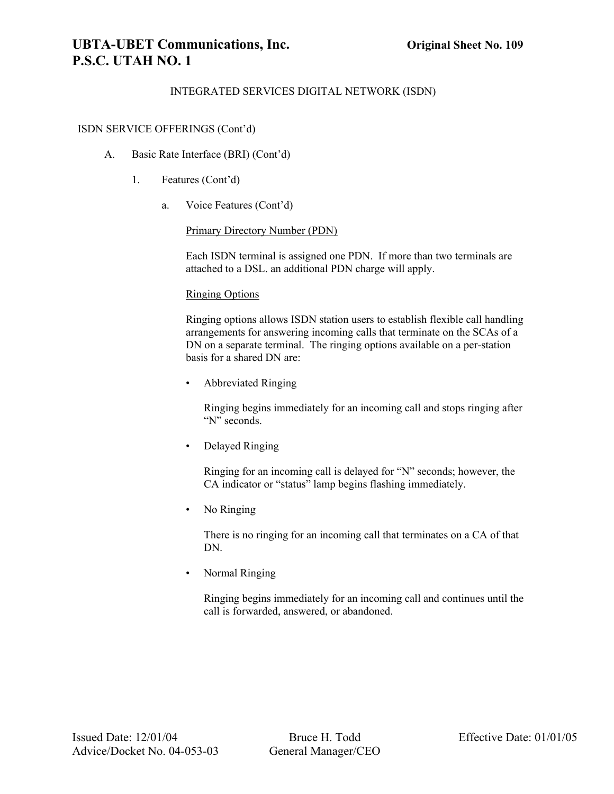# **UBTA-UBET Communications, Inc. Original Sheet No. 109 P.S.C. UTAH NO. 1**

## INTEGRATED SERVICES DIGITAL NETWORK (ISDN)

#### ISDN SERVICE OFFERINGS (Cont'd)

- A. Basic Rate Interface (BRI) (Cont'd)
	- 1. Features (Cont'd)
		- a. Voice Features (Cont'd)

Primary Directory Number (PDN)

Each ISDN terminal is assigned one PDN. If more than two terminals are attached to a DSL. an additional PDN charge will apply.

#### Ringing Options

Ringing options allows ISDN station users to establish flexible call handling arrangements for answering incoming calls that terminate on the SCAs of a DN on a separate terminal. The ringing options available on a per-station basis for a shared DN are:

• Abbreviated Ringing

Ringing begins immediately for an incoming call and stops ringing after "N" seconds.

• Delayed Ringing

Ringing for an incoming call is delayed for "N" seconds; however, the CA indicator or "status" lamp begins flashing immediately.

• No Ringing

There is no ringing for an incoming call that terminates on a CA of that DN.

• Normal Ringing

Ringing begins immediately for an incoming call and continues until the call is forwarded, answered, or abandoned.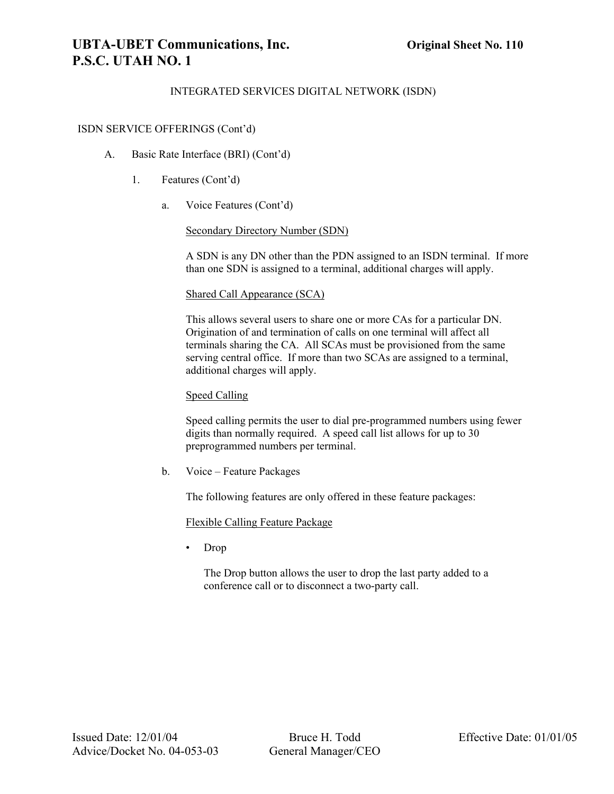# **UBTA-UBET Communications, Inc. Original Sheet No. 110 P.S.C. UTAH NO. 1**

### INTEGRATED SERVICES DIGITAL NETWORK (ISDN)

#### ISDN SERVICE OFFERINGS (Cont'd)

- A. Basic Rate Interface (BRI) (Cont'd)
	- 1. Features (Cont'd)
		- a. Voice Features (Cont'd)

#### Secondary Directory Number (SDN)

A SDN is any DN other than the PDN assigned to an ISDN terminal. If more than one SDN is assigned to a terminal, additional charges will apply.

#### Shared Call Appearance (SCA)

This allows several users to share one or more CAs for a particular DN. Origination of and termination of calls on one terminal will affect all terminals sharing the CA. All SCAs must be provisioned from the same serving central office. If more than two SCAs are assigned to a terminal, additional charges will apply.

#### Speed Calling

Speed calling permits the user to dial pre-programmed numbers using fewer digits than normally required. A speed call list allows for up to 30 preprogrammed numbers per terminal.

b. Voice – Feature Packages

The following features are only offered in these feature packages:

Flexible Calling Feature Package

• Drop

The Drop button allows the user to drop the last party added to a conference call or to disconnect a two-party call.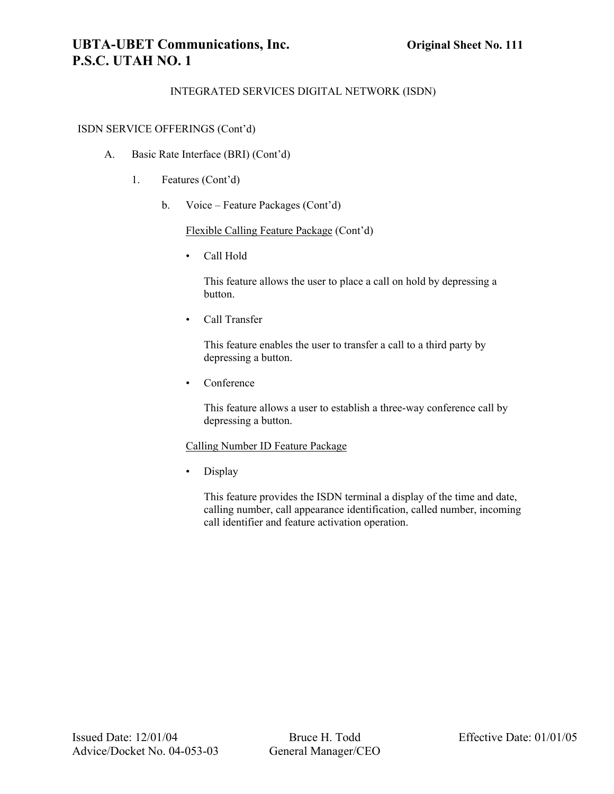# **UBTA-UBET Communications, Inc. Original Sheet No. 111 P.S.C. UTAH NO. 1**

## INTEGRATED SERVICES DIGITAL NETWORK (ISDN)

#### ISDN SERVICE OFFERINGS (Cont'd)

- A. Basic Rate Interface (BRI) (Cont'd)
	- 1. Features (Cont'd)
		- b. Voice Feature Packages (Cont'd)

Flexible Calling Feature Package (Cont'd)

• Call Hold

This feature allows the user to place a call on hold by depressing a button.

• Call Transfer

This feature enables the user to transfer a call to a third party by depressing a button.

• Conference

This feature allows a user to establish a three-way conference call by depressing a button.

#### Calling Number ID Feature Package

• Display

This feature provides the ISDN terminal a display of the time and date, calling number, call appearance identification, called number, incoming call identifier and feature activation operation.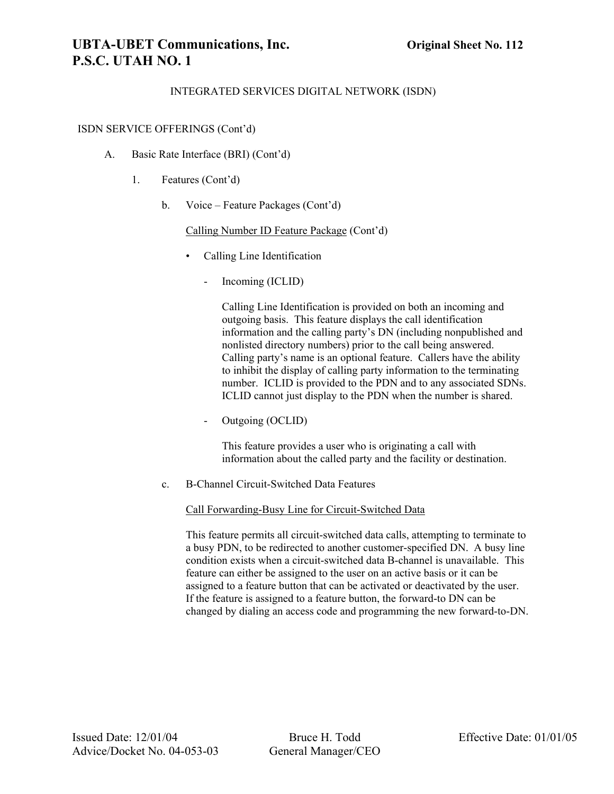# **UBTA-UBET Communications, Inc. Original Sheet No. 112 P.S.C. UTAH NO. 1**

### INTEGRATED SERVICES DIGITAL NETWORK (ISDN)

#### ISDN SERVICE OFFERINGS (Cont'd)

- A. Basic Rate Interface (BRI) (Cont'd)
	- 1. Features (Cont'd)
		- b. Voice Feature Packages (Cont'd)

Calling Number ID Feature Package (Cont'd)

- Calling Line Identification
	- Incoming (ICLID)

Calling Line Identification is provided on both an incoming and outgoing basis. This feature displays the call identification information and the calling party's DN (including nonpublished and nonlisted directory numbers) prior to the call being answered. Calling party's name is an optional feature. Callers have the ability to inhibit the display of calling party information to the terminating number. ICLID is provided to the PDN and to any associated SDNs. ICLID cannot just display to the PDN when the number is shared.

- Outgoing (OCLID)

This feature provides a user who is originating a call with information about the called party and the facility or destination.

c. B-Channel Circuit-Switched Data Features

Call Forwarding-Busy Line for Circuit-Switched Data

This feature permits all circuit-switched data calls, attempting to terminate to a busy PDN, to be redirected to another customer-specified DN. A busy line condition exists when a circuit-switched data B-channel is unavailable. This feature can either be assigned to the user on an active basis or it can be assigned to a feature button that can be activated or deactivated by the user. If the feature is assigned to a feature button, the forward-to DN can be changed by dialing an access code and programming the new forward-to-DN.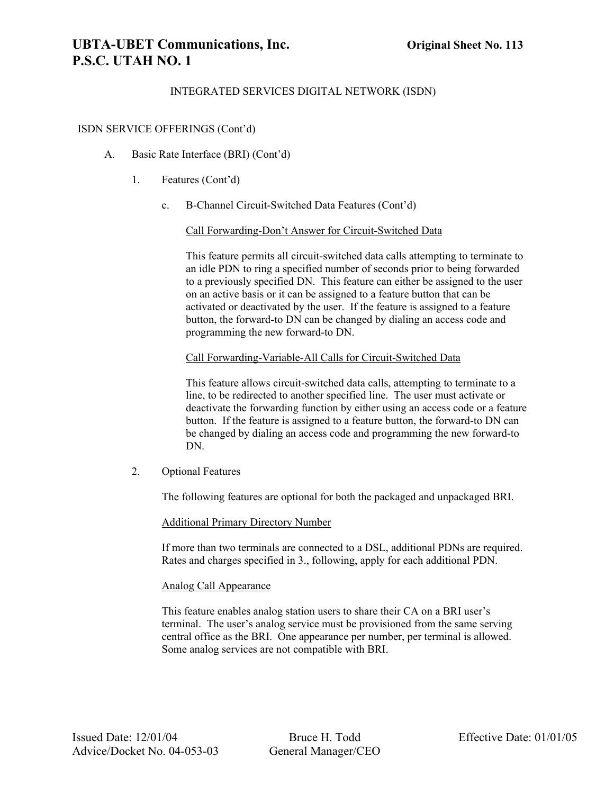# **UBTA-UBET Communications, Inc. Original Sheet No. 113 P.S.C. UTAH NO. 1**

### INTEGRATED SERVICES DIGITAL NETWORK (ISDN)

#### ISDN SERVICE OFFERINGS (Cont'd)

- A. Basic Rate Interface (BRI) (Cont'd)
	- 1. Features (Cont'd)
		- c. B-Channel Circuit-Switched Data Features (Cont'd)

#### Call Forwarding-Don't Answer for Circuit-Switched Data

This feature permits all circuit-switched data calls attempting to terminate to an idle PDN to ring a specified number of seconds prior to being forwarded to a previously specified DN. This feature can either be assigned to the user on an active basis or it can be assigned to a feature button that can be activated or deactivated by the user. If the feature is assigned to a feature button, the forward-to DN can be changed by dialing an access code and programming the new forward-to DN.

#### Call Forwarding-Variable-All Calls for Circuit-Switched Data

This feature allows circuit-switched data calls, attempting to terminate to a line, to be redirected to another specified line. The user must activate or deactivate the forwarding function by either using an access code or a feature button. If the feature is assigned to a feature button, the forward-to DN can be changed by dialing an access code and programming the new forward-to DN.

2. Optional Features

The following features are optional for both the packaged and unpackaged BRI.

#### Additional Primary Directory Number

If more than two terminals are connected to a DSL, additional PDNs are required. Rates and charges specified in 3., following, apply for each additional PDN.

#### Analog Call Appearance

This feature enables analog station users to share their CA on a BRI user's terminal. The user's analog service must be provisioned from the same serving central office as the BRI. One appearance per number, per terminal is allowed. Some analog services are not compatible with BRI.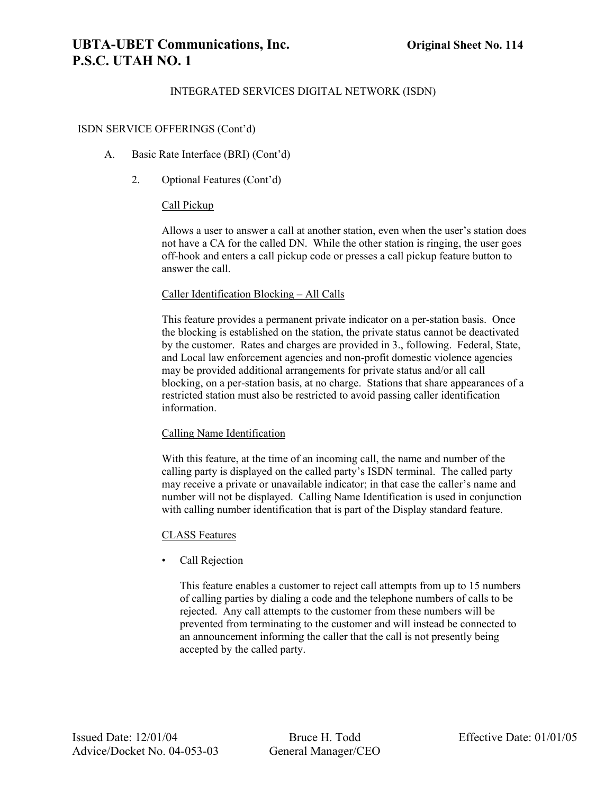# **UBTA-UBET Communications, Inc. Original Sheet No. 114 P.S.C. UTAH NO. 1**

### INTEGRATED SERVICES DIGITAL NETWORK (ISDN)

#### ISDN SERVICE OFFERINGS (Cont'd)

- A. Basic Rate Interface (BRI) (Cont'd)
	- 2. Optional Features (Cont'd)

#### Call Pickup

Allows a user to answer a call at another station, even when the user's station does not have a CA for the called DN. While the other station is ringing, the user goes off-hook and enters a call pickup code or presses a call pickup feature button to answer the call.

#### Caller Identification Blocking – All Calls

This feature provides a permanent private indicator on a per-station basis. Once the blocking is established on the station, the private status cannot be deactivated by the customer. Rates and charges are provided in 3., following. Federal, State, and Local law enforcement agencies and non-profit domestic violence agencies may be provided additional arrangements for private status and/or all call blocking, on a per-station basis, at no charge. Stations that share appearances of a restricted station must also be restricted to avoid passing caller identification information.

#### Calling Name Identification

With this feature, at the time of an incoming call, the name and number of the calling party is displayed on the called party's ISDN terminal. The called party may receive a private or unavailable indicator; in that case the caller's name and number will not be displayed. Calling Name Identification is used in conjunction with calling number identification that is part of the Display standard feature.

#### CLASS Features

• Call Rejection

This feature enables a customer to reject call attempts from up to 15 numbers of calling parties by dialing a code and the telephone numbers of calls to be rejected. Any call attempts to the customer from these numbers will be prevented from terminating to the customer and will instead be connected to an announcement informing the caller that the call is not presently being accepted by the called party.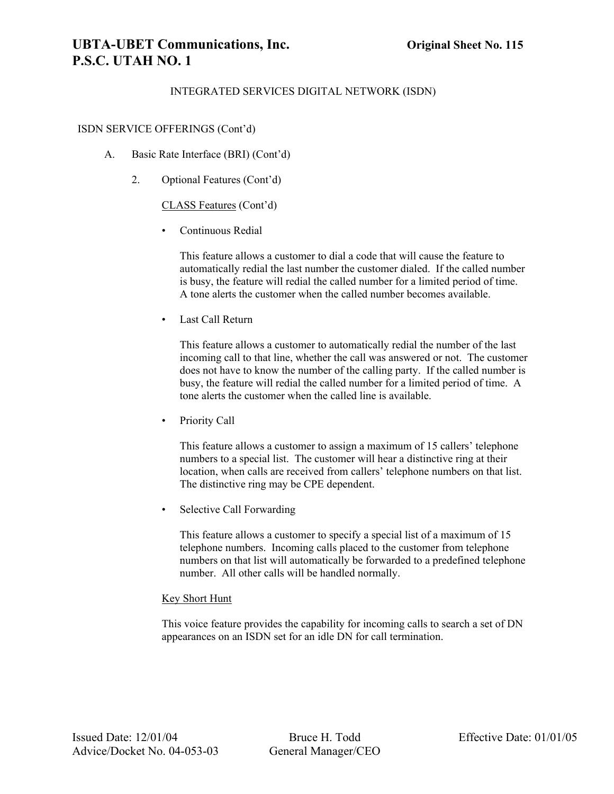# **UBTA-UBET Communications, Inc. Original Sheet No. 115 P.S.C. UTAH NO. 1**

### INTEGRATED SERVICES DIGITAL NETWORK (ISDN)

#### ISDN SERVICE OFFERINGS (Cont'd)

- A. Basic Rate Interface (BRI) (Cont'd)
	- 2. Optional Features (Cont'd)

#### CLASS Features (Cont'd)

• Continuous Redial

This feature allows a customer to dial a code that will cause the feature to automatically redial the last number the customer dialed. If the called number is busy, the feature will redial the called number for a limited period of time. A tone alerts the customer when the called number becomes available.

• Last Call Return

This feature allows a customer to automatically redial the number of the last incoming call to that line, whether the call was answered or not. The customer does not have to know the number of the calling party. If the called number is busy, the feature will redial the called number for a limited period of time. A tone alerts the customer when the called line is available.

Priority Call

This feature allows a customer to assign a maximum of 15 callers' telephone numbers to a special list. The customer will hear a distinctive ring at their location, when calls are received from callers' telephone numbers on that list. The distinctive ring may be CPE dependent.

• Selective Call Forwarding

This feature allows a customer to specify a special list of a maximum of 15 telephone numbers. Incoming calls placed to the customer from telephone numbers on that list will automatically be forwarded to a predefined telephone number. All other calls will be handled normally.

#### Key Short Hunt

This voice feature provides the capability for incoming calls to search a set of DN appearances on an ISDN set for an idle DN for call termination.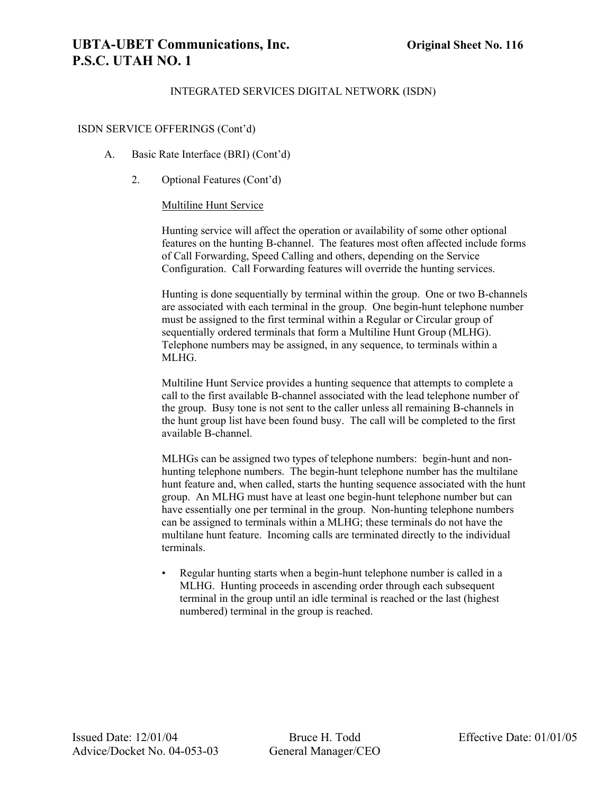# **UBTA-UBET Communications, Inc. Original Sheet No. 116 P.S.C. UTAH NO. 1**

### INTEGRATED SERVICES DIGITAL NETWORK (ISDN)

#### ISDN SERVICE OFFERINGS (Cont'd)

- A. Basic Rate Interface (BRI) (Cont'd)
	- 2. Optional Features (Cont'd)

#### Multiline Hunt Service

Hunting service will affect the operation or availability of some other optional features on the hunting B-channel. The features most often affected include forms of Call Forwarding, Speed Calling and others, depending on the Service Configuration. Call Forwarding features will override the hunting services.

Hunting is done sequentially by terminal within the group. One or two B-channels are associated with each terminal in the group. One begin-hunt telephone number must be assigned to the first terminal within a Regular or Circular group of sequentially ordered terminals that form a Multiline Hunt Group (MLHG). Telephone numbers may be assigned, in any sequence, to terminals within a MLHG.

Multiline Hunt Service provides a hunting sequence that attempts to complete a call to the first available B-channel associated with the lead telephone number of the group. Busy tone is not sent to the caller unless all remaining B-channels in the hunt group list have been found busy. The call will be completed to the first available B-channel.

MLHGs can be assigned two types of telephone numbers: begin-hunt and nonhunting telephone numbers. The begin-hunt telephone number has the multilane hunt feature and, when called, starts the hunting sequence associated with the hunt group. An MLHG must have at least one begin-hunt telephone number but can have essentially one per terminal in the group. Non-hunting telephone numbers can be assigned to terminals within a MLHG; these terminals do not have the multilane hunt feature. Incoming calls are terminated directly to the individual terminals.

• Regular hunting starts when a begin-hunt telephone number is called in a MLHG. Hunting proceeds in ascending order through each subsequent terminal in the group until an idle terminal is reached or the last (highest numbered) terminal in the group is reached.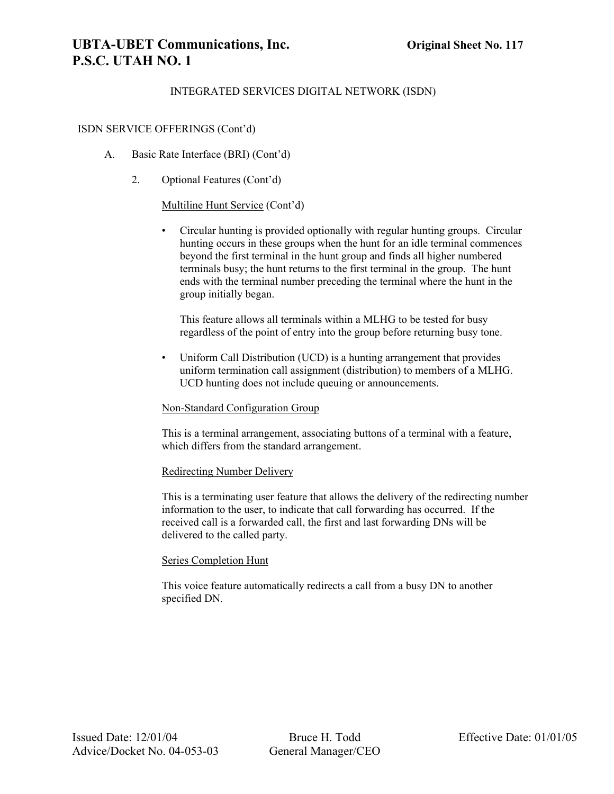# **UBTA-UBET Communications, Inc. Original Sheet No. 117 P.S.C. UTAH NO. 1**

### INTEGRATED SERVICES DIGITAL NETWORK (ISDN)

#### ISDN SERVICE OFFERINGS (Cont'd)

- A. Basic Rate Interface (BRI) (Cont'd)
	- 2. Optional Features (Cont'd)

#### Multiline Hunt Service (Cont'd)

• Circular hunting is provided optionally with regular hunting groups. Circular hunting occurs in these groups when the hunt for an idle terminal commences beyond the first terminal in the hunt group and finds all higher numbered terminals busy; the hunt returns to the first terminal in the group. The hunt ends with the terminal number preceding the terminal where the hunt in the group initially began.

This feature allows all terminals within a MLHG to be tested for busy regardless of the point of entry into the group before returning busy tone.

• Uniform Call Distribution (UCD) is a hunting arrangement that provides uniform termination call assignment (distribution) to members of a MLHG. UCD hunting does not include queuing or announcements.

#### Non-Standard Configuration Group

This is a terminal arrangement, associating buttons of a terminal with a feature, which differs from the standard arrangement.

#### Redirecting Number Delivery

This is a terminating user feature that allows the delivery of the redirecting number information to the user, to indicate that call forwarding has occurred. If the received call is a forwarded call, the first and last forwarding DNs will be delivered to the called party.

#### Series Completion Hunt

This voice feature automatically redirects a call from a busy DN to another specified DN.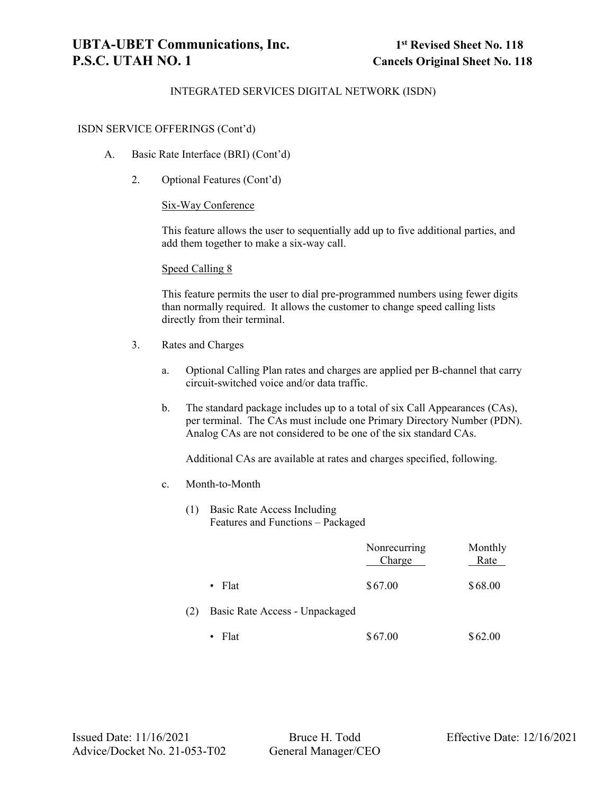#### ISDN SERVICE OFFERINGS (Cont'd)

- A. Basic Rate Interface (BRI) (Cont'd)
	- 2. Optional Features (Cont'd)

#### Six-Way Conference

This feature allows the user to sequentially add up to five additional parties, and add them together to make a six-way call.

#### Speed Calling 8

This feature permits the user to dial pre-programmed numbers using fewer digits than normally required. It allows the customer to change speed calling lists directly from their terminal.

- 3. Rates and Charges
	- a. Optional Calling Plan rates and charges are applied per B-channel that carry circuit-switched voice and/or data traffic.
	- b. The standard package includes up to a total of six Call Appearances (CAs), per terminal. The CAs must include one Primary Directory Number (PDN). Analog CAs are not considered to be one of the six standard CAs.

Additional CAs are available at rates and charges specified, following.

- c. Month-to-Month
	- (1) Basic Rate Access Including Features and Functions – Packaged

|     |                                | Nonrecurring<br>Charge | Monthly<br>Rate |
|-----|--------------------------------|------------------------|-----------------|
|     | $\bullet$ Flat                 | \$67.00                | \$68.00         |
| (2) | Basic Rate Access - Unpackaged |                        |                 |
|     | $\bullet$ Flat                 | \$67.00                | \$62.00         |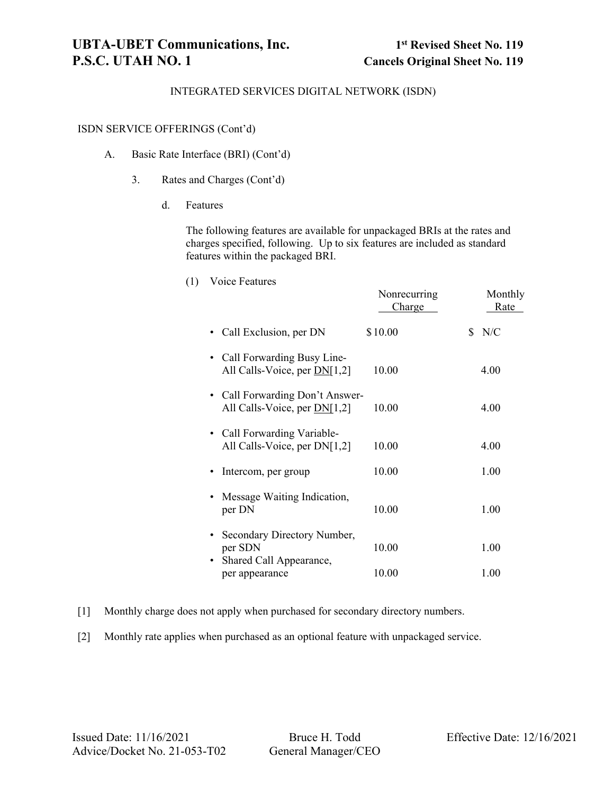#### ISDN SERVICE OFFERINGS (Cont'd)

- A. Basic Rate Interface (BRI) (Cont'd)
	- 3. Rates and Charges (Cont'd)
		- d. Features

The following features are available for unpackaged BRIs at the rates and charges specified, following. Up to six features are included as standard features within the packaged BRI.

(1) Voice Features

|                                                                                | Nonrecurring<br>Charge | Monthly<br>Rate |
|--------------------------------------------------------------------------------|------------------------|-----------------|
| Call Exclusion, per DN                                                         | \$10.00                | N/C             |
| Call Forwarding Busy Line-<br>$\bullet$<br>All Calls-Voice, per DN[1,2]        | 10.00                  | 4.00            |
| • Call Forwarding Don't Answer-<br>All Calls-Voice, per $DN[1,2]$              | 10.00                  | 4.00            |
| • Call Forwarding Variable-<br>All Calls-Voice, per DN[1,2]                    | 10.00                  | 4.00            |
| Intercom, per group                                                            | 10.00                  | 1.00            |
| Message Waiting Indication,<br>per DN                                          | 10.00                  | 1.00            |
| Secondary Directory Number,<br>per SDN<br>Shared Call Appearance,<br>$\bullet$ | 10.00                  | 1.00            |
| per appearance                                                                 | 10.00                  | 1.00            |

- [1] Monthly charge does not apply when purchased for secondary directory numbers.
- [2] Monthly rate applies when purchased as an optional feature with unpackaged service.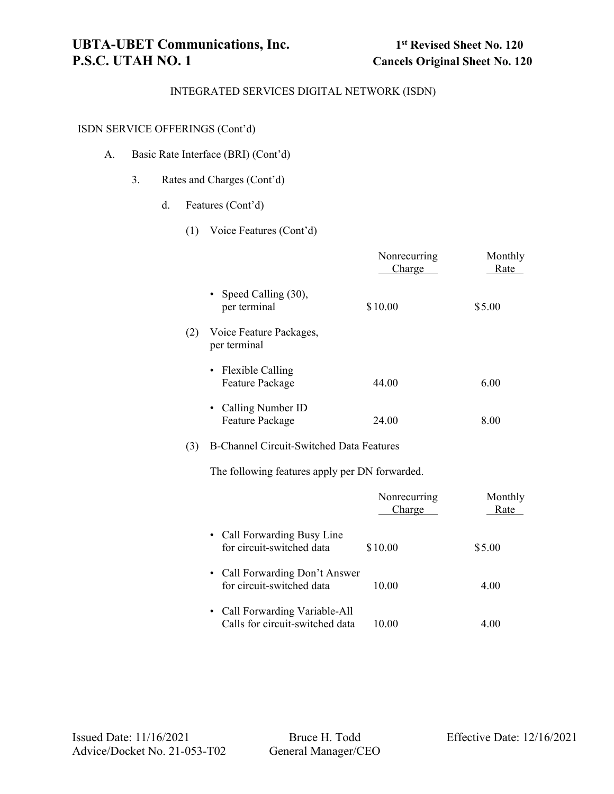## ISDN SERVICE OFFERINGS (Cont'd)

- A. Basic Rate Interface (BRI) (Cont'd)
	- 3. Rates and Charges (Cont'd)
		- d. Features (Cont'd)
			- (1) Voice Features (Cont'd)

|     |                                                 | Nonrecurring<br>Charge | Monthly<br>Rate |
|-----|-------------------------------------------------|------------------------|-----------------|
|     | • Speed Calling $(30)$ ,<br>per terminal        | \$10.00                | \$5.00          |
| (2) | Voice Feature Packages,<br>per terminal         |                        |                 |
|     | • Flexible Calling<br><b>Feature Package</b>    | 44.00                  | 6.00            |
|     | • Calling Number ID<br><b>Feature Package</b>   | 24.00                  | 8.00            |
| (3) | <b>B-Channel Circuit-Switched Data Features</b> |                        |                 |
|     | The following features apply per DN forwarded.  |                        |                 |

|                                                                   | Nonrecurring<br>Charge | Monthly<br>Rate |
|-------------------------------------------------------------------|------------------------|-----------------|
| • Call Forwarding Busy Line<br>for circuit-switched data          | \$10.00                | \$5.00          |
| • Call Forwarding Don't Answer<br>for circuit-switched data       | 10.00                  | 4.00            |
| • Call Forwarding Variable-All<br>Calls for circuit-switched data | 10.00                  | 4.00            |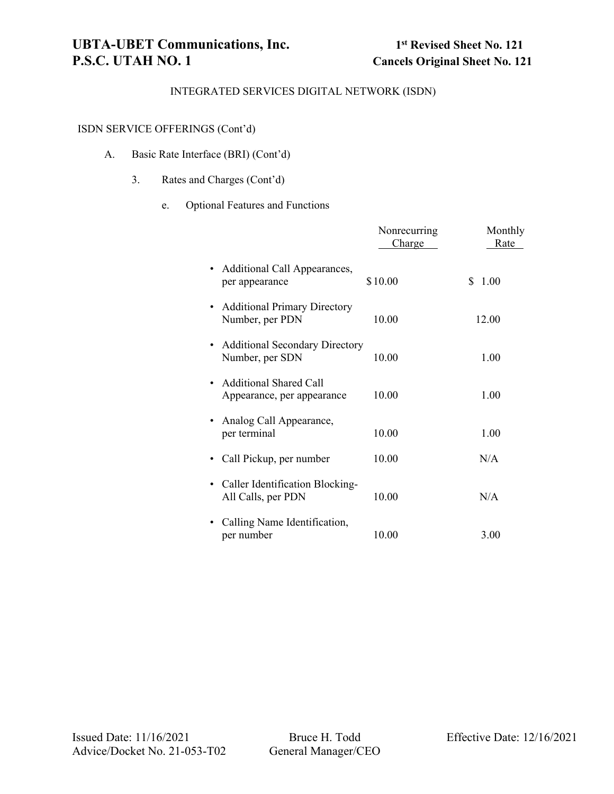## ISDN SERVICE OFFERINGS (Cont'd)

- A. Basic Rate Interface (BRI) (Cont'd)
	- 3. Rates and Charges (Cont'd)
		- e. Optional Features and Functions

|                                                             | Nonrecurring<br>Charge | Monthly<br>Rate |
|-------------------------------------------------------------|------------------------|-----------------|
| Additional Call Appearances,<br>٠<br>per appearance         | \$10.00                | \$.<br>1.00     |
| <b>Additional Primary Directory</b><br>Number, per PDN      | 10.00                  | 12.00           |
| <b>Additional Secondary Directory</b><br>Number, per SDN    | 10.00                  | 1.00            |
| <b>Additional Shared Call</b><br>Appearance, per appearance | 10.00                  | 1.00            |
| Analog Call Appearance,<br>per terminal                     | 10.00                  | 1.00            |
| Call Pickup, per number                                     | 10.00                  | N/A             |
| • Caller Identification Blocking-<br>All Calls, per PDN     | 10.00                  | N/A             |
| Calling Name Identification,<br>per number                  | 10.00                  | 3.00            |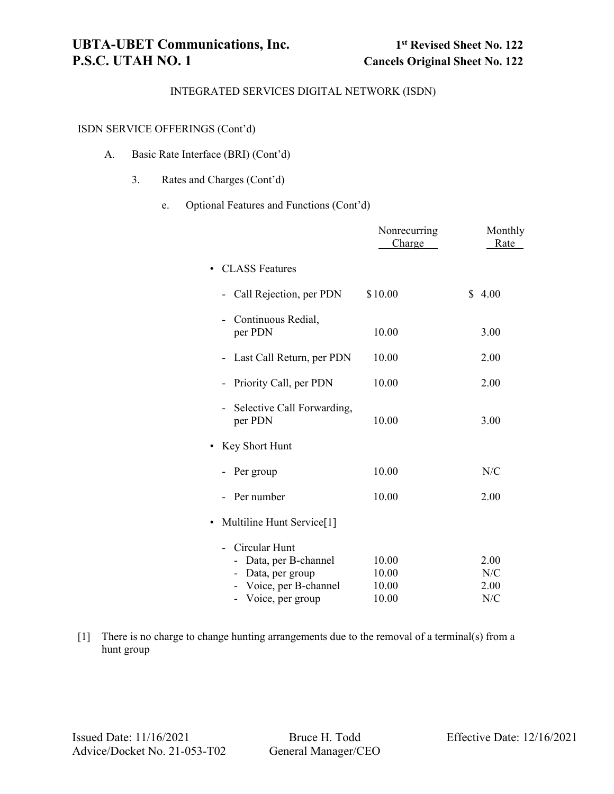## ISDN SERVICE OFFERINGS (Cont'd)

- A. Basic Rate Interface (BRI) (Cont'd)
	- 3. Rates and Charges (Cont'd)
		- e. Optional Features and Functions (Cont'd)

|                                                                                                       | Nonrecurring<br>Charge           | Monthly<br>Rate            |
|-------------------------------------------------------------------------------------------------------|----------------------------------|----------------------------|
| <b>CLASS</b> Features                                                                                 |                                  |                            |
| Call Rejection, per PDN                                                                               | \$10.00                          | \$<br>4.00                 |
| Continuous Redial,<br>per PDN                                                                         | 10.00                            | 3.00                       |
| Last Call Return, per PDN                                                                             | 10.00                            | 2.00                       |
| Priority Call, per PDN                                                                                | 10.00                            | 2.00                       |
| Selective Call Forwarding,<br>per PDN                                                                 | 10.00                            | 3.00                       |
| Key Short Hunt                                                                                        |                                  |                            |
| Per group                                                                                             | 10.00                            | N/C                        |
| Per number                                                                                            | 10.00                            | 2.00                       |
| Multiline Hunt Service[1]<br>$\bullet$                                                                |                                  |                            |
| Circular Hunt<br>Data, per B-channel<br>Data, per group<br>- Voice, per B-channel<br>Voice, per group | 10.00<br>10.00<br>10.00<br>10.00 | 2.00<br>N/C<br>2.00<br>N/C |

[1] There is no charge to change hunting arrangements due to the removal of a terminal(s) from a hunt group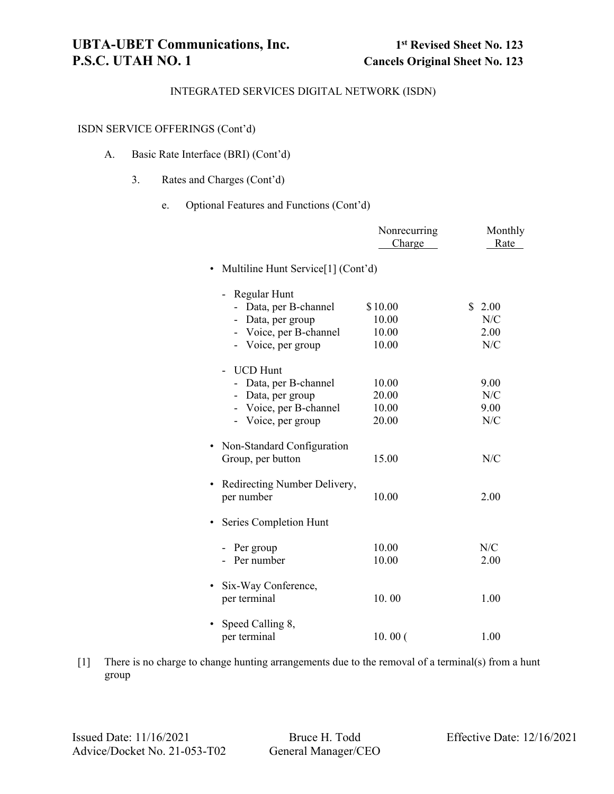## ISDN SERVICE OFFERINGS (Cont'd)

- A. Basic Rate Interface (BRI) (Cont'd)
	- 3. Rates and Charges (Cont'd)
		- e. Optional Features and Functions (Cont'd)

|                                                 | Nonrecurring<br>Charge | Monthly<br>Rate |
|-------------------------------------------------|------------------------|-----------------|
| Multiline Hunt Service[1] (Cont'd)<br>$\bullet$ |                        |                 |
| Regular Hunt                                    |                        |                 |
| Data, per B-channel                             | \$10.00                | \$<br>2.00      |
| - Data, per group                               | 10.00                  | N/C             |
| - Voice, per B-channel                          | 10.00                  | 2.00            |
| - Voice, per group                              | 10.00                  | N/C             |
| <b>UCD Hunt</b>                                 |                        |                 |
| - Data, per B-channel                           | 10.00                  | 9.00            |
| - Data, per group                               | 20.00                  | N/C             |
| - Voice, per B-channel                          | 10.00                  | 9.00            |
| - Voice, per group                              | 20.00                  | N/C             |
| Non-Standard Configuration                      |                        |                 |
| Group, per button                               | 15.00                  | N/C             |
| Redirecting Number Delivery,<br>$\bullet$       |                        |                 |
| per number                                      | 10.00                  | 2.00            |
| Series Completion Hunt                          |                        |                 |
| - Per group                                     | 10.00                  | N/C             |
| - Per number                                    | 10.00                  | 2.00            |
| Six-Way Conference,                             |                        |                 |
| per terminal                                    | 10.00                  | 1.00            |
| Speed Calling 8,                                |                        |                 |
| per terminal                                    | 10.00(                 | 1.00            |

[1] There is no charge to change hunting arrangements due to the removal of a terminal(s) from a hunt group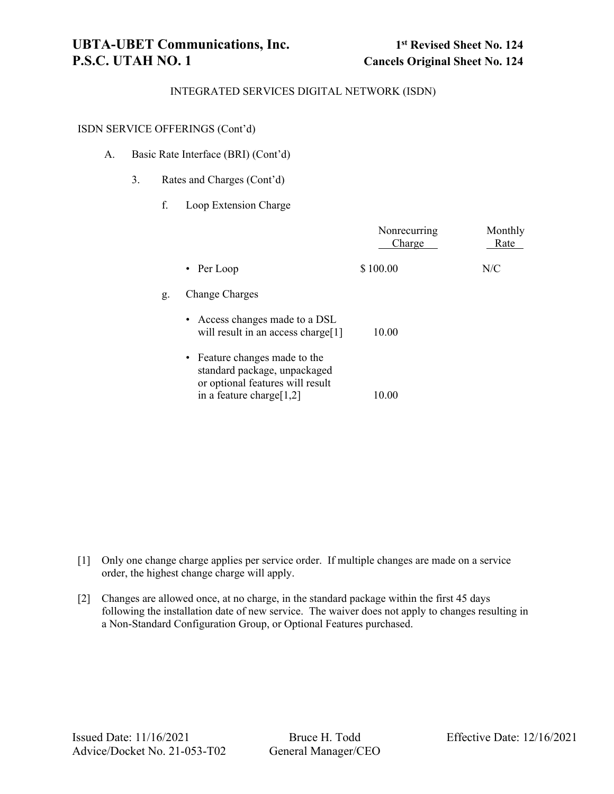#### ISDN SERVICE OFFERINGS (Cont'd)

- A. Basic Rate Interface (BRI) (Cont'd)
	- 3. Rates and Charges (Cont'd)
		- f. Loop Extension Charge

|    |                                                                                                   | Nonrecurring<br>Charge | Monthly<br>Rate |
|----|---------------------------------------------------------------------------------------------------|------------------------|-----------------|
|    | • Per Loop                                                                                        | \$100.00               | N/C             |
| g. | Change Charges                                                                                    |                        |                 |
|    | • Access changes made to a DSL<br>will result in an access charge[1]                              | 10.00                  |                 |
|    | • Feature changes made to the<br>standard package, unpackaged<br>or optional features will result |                        |                 |
|    | in a feature charge $[1,2]$                                                                       | 10.00                  |                 |

- [1] Only one change charge applies per service order. If multiple changes are made on a service order, the highest change charge will apply.
- [2] Changes are allowed once, at no charge, in the standard package within the first 45 days following the installation date of new service. The waiver does not apply to changes resulting in a Non-Standard Configuration Group, or Optional Features purchased.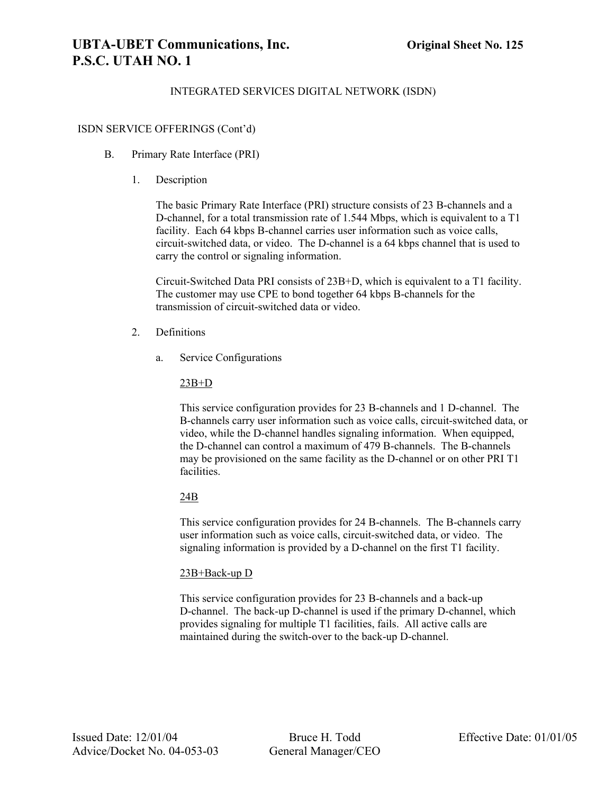# **UBTA-UBET Communications, Inc. Original Sheet No. 125 P.S.C. UTAH NO. 1**

## INTEGRATED SERVICES DIGITAL NETWORK (ISDN)

### ISDN SERVICE OFFERINGS (Cont'd)

- B. Primary Rate Interface (PRI)
	- 1. Description

The basic Primary Rate Interface (PRI) structure consists of 23 B-channels and a D-channel, for a total transmission rate of 1.544 Mbps, which is equivalent to a T1 facility. Each 64 kbps B-channel carries user information such as voice calls, circuit-switched data, or video. The D-channel is a 64 kbps channel that is used to carry the control or signaling information.

Circuit-Switched Data PRI consists of 23B+D, which is equivalent to a T1 facility. The customer may use CPE to bond together 64 kbps B-channels for the transmission of circuit-switched data or video.

- 2. Definitions
	- a. Service Configurations

23B+D

This service configuration provides for 23 B-channels and 1 D-channel. The B-channels carry user information such as voice calls, circuit-switched data, or video, while the D-channel handles signaling information. When equipped, the D-channel can control a maximum of 479 B-channels. The B-channels may be provisioned on the same facility as the D-channel or on other PRI T1 facilities.

## 24B

This service configuration provides for 24 B-channels. The B-channels carry user information such as voice calls, circuit-switched data, or video. The signaling information is provided by a D-channel on the first T1 facility.

## 23B+Back-up D

This service configuration provides for 23 B-channels and a back-up D-channel. The back-up D-channel is used if the primary D-channel, which provides signaling for multiple T1 facilities, fails. All active calls are maintained during the switch-over to the back-up D-channel.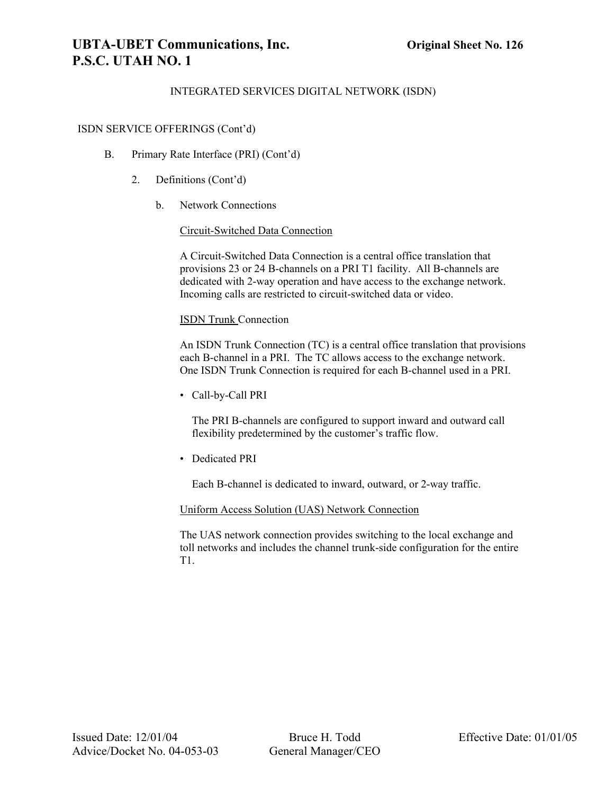# **UBTA-UBET Communications, Inc. Original Sheet No. 126 P.S.C. UTAH NO. 1**

## INTEGRATED SERVICES DIGITAL NETWORK (ISDN)

#### ISDN SERVICE OFFERINGS (Cont'd)

- B. Primary Rate Interface (PRI) (Cont'd)
	- 2. Definitions (Cont'd)
		- b. Network Connections

Circuit-Switched Data Connection

A Circuit-Switched Data Connection is a central office translation that provisions 23 or 24 B-channels on a PRI T1 facility. All B-channels are dedicated with 2-way operation and have access to the exchange network. Incoming calls are restricted to circuit-switched data or video.

#### ISDN Trunk Connection

An ISDN Trunk Connection (TC) is a central office translation that provisions each B-channel in a PRI. The TC allows access to the exchange network. One ISDN Trunk Connection is required for each B-channel used in a PRI.

• Call-by-Call PRI

The PRI B-channels are configured to support inward and outward call flexibility predetermined by the customer's traffic flow.

• Dedicated PRI

Each B-channel is dedicated to inward, outward, or 2-way traffic.

#### Uniform Access Solution (UAS) Network Connection

The UAS network connection provides switching to the local exchange and toll networks and includes the channel trunk-side configuration for the entire T1.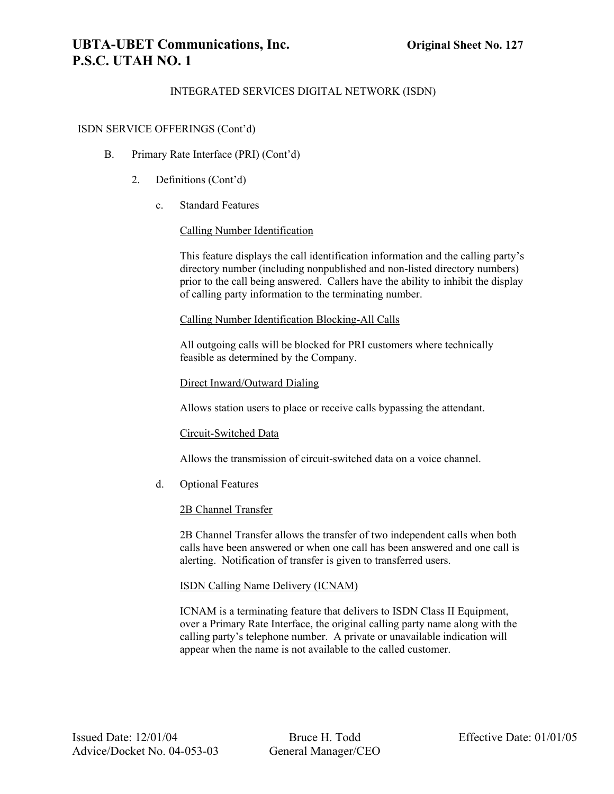# **UBTA-UBET Communications, Inc. Original Sheet No. 127 P.S.C. UTAH NO. 1**

## INTEGRATED SERVICES DIGITAL NETWORK (ISDN)

#### ISDN SERVICE OFFERINGS (Cont'd)

- B. Primary Rate Interface (PRI) (Cont'd)
	- 2. Definitions (Cont'd)
		- c. Standard Features

### Calling Number Identification

This feature displays the call identification information and the calling party's directory number (including nonpublished and non-listed directory numbers) prior to the call being answered. Callers have the ability to inhibit the display of calling party information to the terminating number.

#### Calling Number Identification Blocking-All Calls

All outgoing calls will be blocked for PRI customers where technically feasible as determined by the Company.

#### Direct Inward/Outward Dialing

Allows station users to place or receive calls bypassing the attendant.

### Circuit-Switched Data

Allows the transmission of circuit-switched data on a voice channel.

d. Optional Features

#### 2B Channel Transfer

2B Channel Transfer allows the transfer of two independent calls when both calls have been answered or when one call has been answered and one call is alerting. Notification of transfer is given to transferred users.

#### ISDN Calling Name Delivery (ICNAM)

ICNAM is a terminating feature that delivers to ISDN Class II Equipment, over a Primary Rate Interface, the original calling party name along with the calling party's telephone number. A private or unavailable indication will appear when the name is not available to the called customer.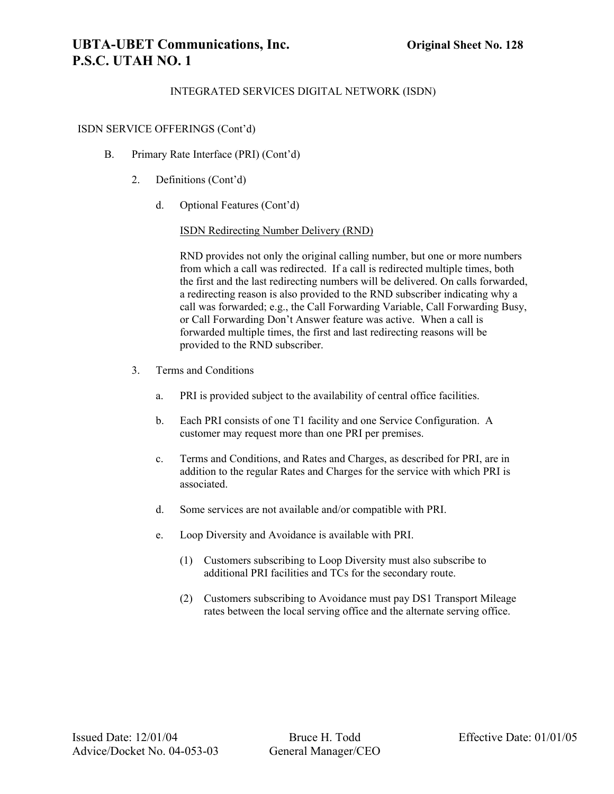# **UBTA-UBET Communications, Inc. Original Sheet No. 128 P.S.C. UTAH NO. 1**

### INTEGRATED SERVICES DIGITAL NETWORK (ISDN)

#### ISDN SERVICE OFFERINGS (Cont'd)

- B. Primary Rate Interface (PRI) (Cont'd)
	- 2. Definitions (Cont'd)
		- d. Optional Features (Cont'd)

#### ISDN Redirecting Number Delivery (RND)

RND provides not only the original calling number, but one or more numbers from which a call was redirected. If a call is redirected multiple times, both the first and the last redirecting numbers will be delivered. On calls forwarded, a redirecting reason is also provided to the RND subscriber indicating why a call was forwarded; e.g., the Call Forwarding Variable, Call Forwarding Busy, or Call Forwarding Don't Answer feature was active. When a call is forwarded multiple times, the first and last redirecting reasons will be provided to the RND subscriber.

- 3. Terms and Conditions
	- a. PRI is provided subject to the availability of central office facilities.
	- b. Each PRI consists of one T1 facility and one Service Configuration. A customer may request more than one PRI per premises.
	- c. Terms and Conditions, and Rates and Charges, as described for PRI, are in addition to the regular Rates and Charges for the service with which PRI is associated.
	- d. Some services are not available and/or compatible with PRI.
	- e. Loop Diversity and Avoidance is available with PRI.
		- (1) Customers subscribing to Loop Diversity must also subscribe to additional PRI facilities and TCs for the secondary route.
		- (2) Customers subscribing to Avoidance must pay DS1 Transport Mileage rates between the local serving office and the alternate serving office.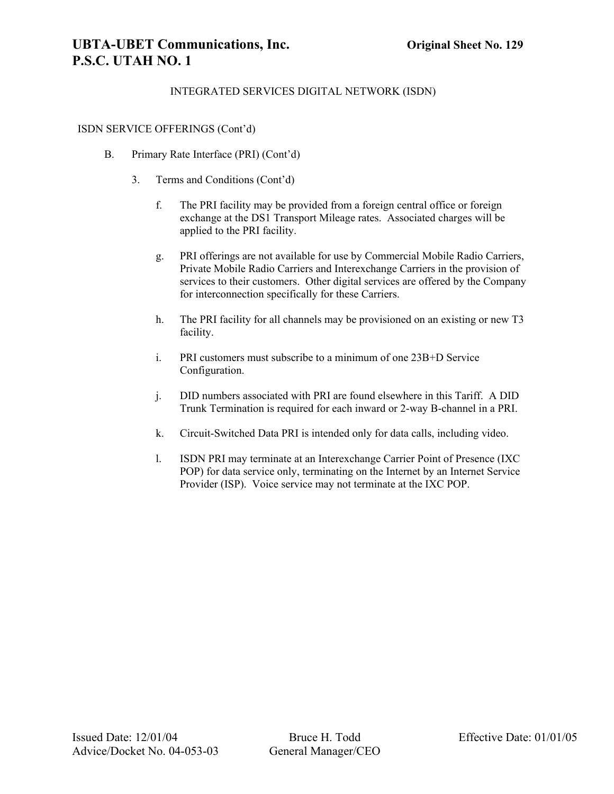# **UBTA-UBET Communications, Inc. Original Sheet No. 129 P.S.C. UTAH NO. 1**

## INTEGRATED SERVICES DIGITAL NETWORK (ISDN)

#### ISDN SERVICE OFFERINGS (Cont'd)

- B. Primary Rate Interface (PRI) (Cont'd)
	- 3. Terms and Conditions (Cont'd)
		- f. The PRI facility may be provided from a foreign central office or foreign exchange at the DS1 Transport Mileage rates. Associated charges will be applied to the PRI facility.
		- g. PRI offerings are not available for use by Commercial Mobile Radio Carriers, Private Mobile Radio Carriers and Interexchange Carriers in the provision of services to their customers. Other digital services are offered by the Company for interconnection specifically for these Carriers.
		- h. The PRI facility for all channels may be provisioned on an existing or new T3 facility.
		- i. PRI customers must subscribe to a minimum of one 23B+D Service Configuration.
		- j. DID numbers associated with PRI are found elsewhere in this Tariff. A DID Trunk Termination is required for each inward or 2-way B-channel in a PRI.
		- k. Circuit-Switched Data PRI is intended only for data calls, including video.
		- l. ISDN PRI may terminate at an Interexchange Carrier Point of Presence (IXC POP) for data service only, terminating on the Internet by an Internet Service Provider (ISP). Voice service may not terminate at the IXC POP.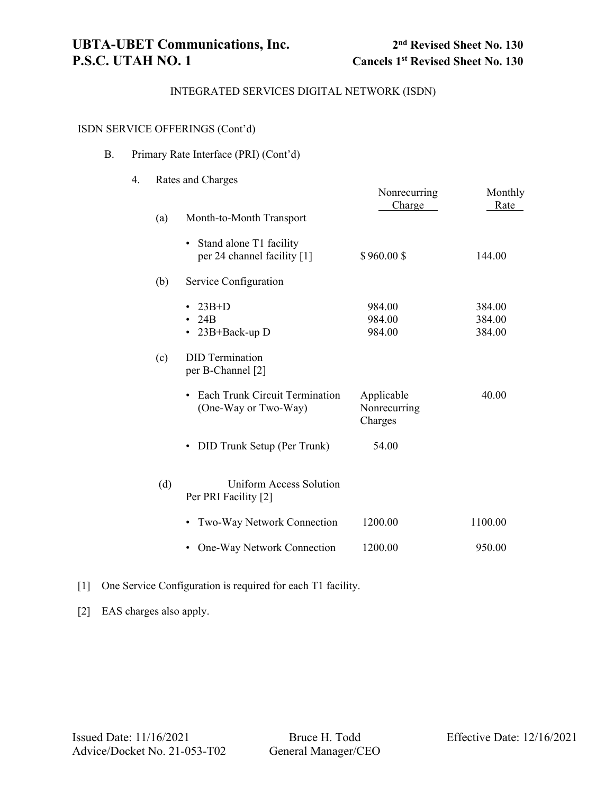# ISDN SERVICE OFFERINGS (Cont'd)

| В. |  | Primary Rate Interface (PRI) (Cont'd) |  |  |
|----|--|---------------------------------------|--|--|
|    |  |                                       |  |  |

| 4. |     | Rates and Charges                                                          | Nonrecurring                          | Monthly                    |
|----|-----|----------------------------------------------------------------------------|---------------------------------------|----------------------------|
|    | (a) | Month-to-Month Transport                                                   | Charge                                | Rate                       |
|    |     | Stand alone T1 facility<br>$\bullet$<br>per 24 channel facility [1]        | \$960.00\$                            | 144.00                     |
|    | (b) | Service Configuration                                                      |                                       |                            |
|    |     | $23B+D$<br>24B<br>23B+Back-up D                                            | 984.00<br>984.00<br>984.00            | 384.00<br>384.00<br>384.00 |
|    | (c) | <b>DID</b> Termination<br>per B-Channel [2]                                |                                       |                            |
|    |     | <b>Each Trunk Circuit Termination</b><br>$\bullet$<br>(One-Way or Two-Way) | Applicable<br>Nonrecurring<br>Charges | 40.00                      |
|    |     | DID Trunk Setup (Per Trunk)<br>$\bullet$                                   | 54.00                                 |                            |
|    | (d) | Uniform Access Solution<br>Per PRI Facility [2]                            |                                       |                            |
|    |     | Two-Way Network Connection<br>$\bullet$                                    | 1200.00                               | 1100.00                    |
|    |     | One-Way Network Connection                                                 | 1200.00                               | 950.00                     |
|    |     |                                                                            |                                       |                            |

## [1] One Service Configuration is required for each T1 facility.

[2] EAS charges also apply.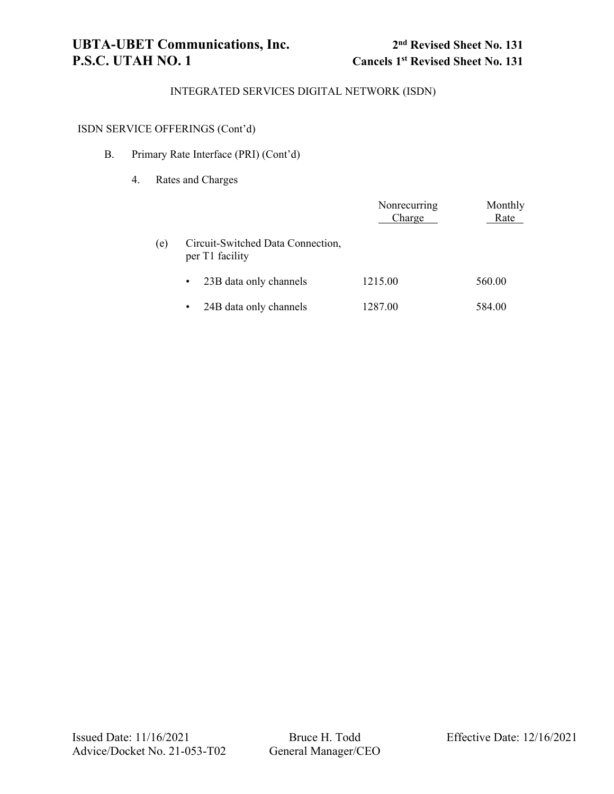# ISDN SERVICE OFFERINGS (Cont'd)

## B. Primary Rate Interface (PRI) (Cont'd)

4. Rates and Charges

|     |                                                      | Nonrecurring<br>Charge | Monthly<br>Rate |
|-----|------------------------------------------------------|------------------------|-----------------|
| (e) | Circuit-Switched Data Connection,<br>per T1 facility |                        |                 |
|     | 23B data only channels<br>$\bullet$                  | 1215.00                | 560.00          |
|     | 24B data only channels<br>$\bullet$                  | 1287.00                | 584.00          |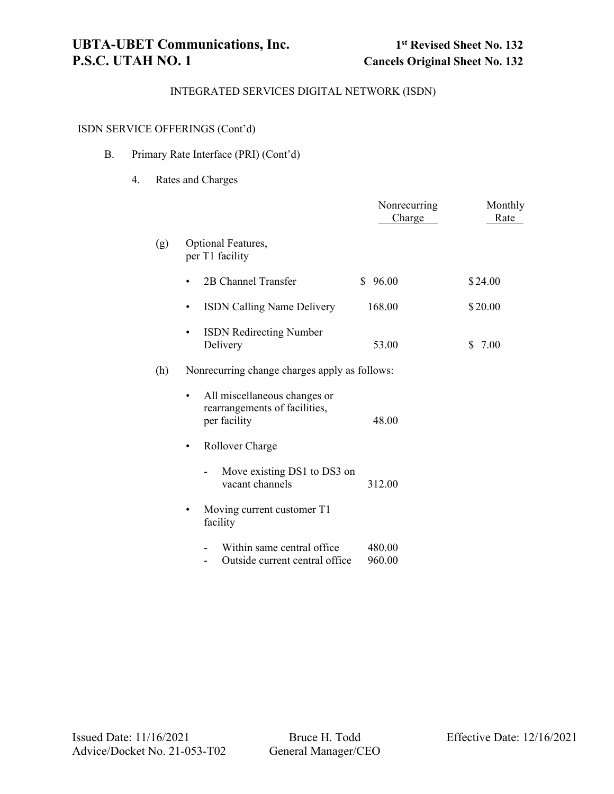# ISDN SERVICE OFFERINGS (Cont'd)

## B. Primary Rate Interface (PRI) (Cont'd)

## 4. Rates and Charges

|     |                                                                                    | Nonrecurring<br>Charge | Monthly<br>Rate |  |  |
|-----|------------------------------------------------------------------------------------|------------------------|-----------------|--|--|
| (g) | Optional Features,<br>per T1 facility                                              |                        |                 |  |  |
|     | 2B Channel Transfer<br>$\bullet$                                                   | \$96.00                | \$24.00         |  |  |
|     | ISDN Calling Name Delivery<br>$\bullet$                                            | 168.00                 | \$20.00         |  |  |
|     | <b>ISDN</b> Redirecting Number<br>$\bullet$<br>Delivery                            | 53.00                  | 7.00<br>S.      |  |  |
| (h) | Nonrecurring change charges apply as follows:                                      |                        |                 |  |  |
|     | All miscellaneous changes or<br>٠<br>rearrangements of facilities,<br>per facility | 48.00                  |                 |  |  |
|     | Rollover Charge<br>$\bullet$                                                       |                        |                 |  |  |
|     | Move existing DS1 to DS3 on<br>vacant channels                                     | 312.00                 |                 |  |  |
|     | Moving current customer T1<br>٠<br>facility                                        |                        |                 |  |  |
|     | Within same central office<br>Outside current central office                       | 480.00<br>960.00       |                 |  |  |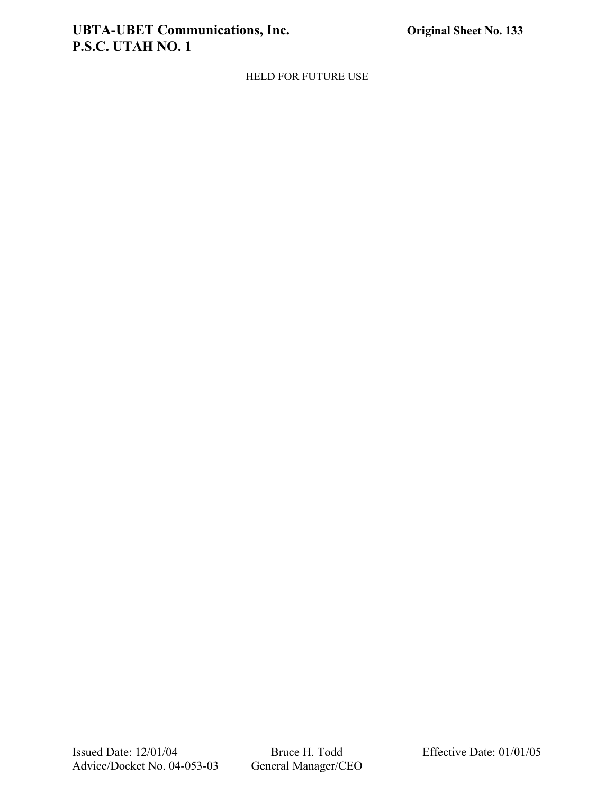# **UBTA-UBET Communications, Inc. Original Sheet No. 133 P.S.C. UTAH NO. 1**

## HELD FOR FUTURE USE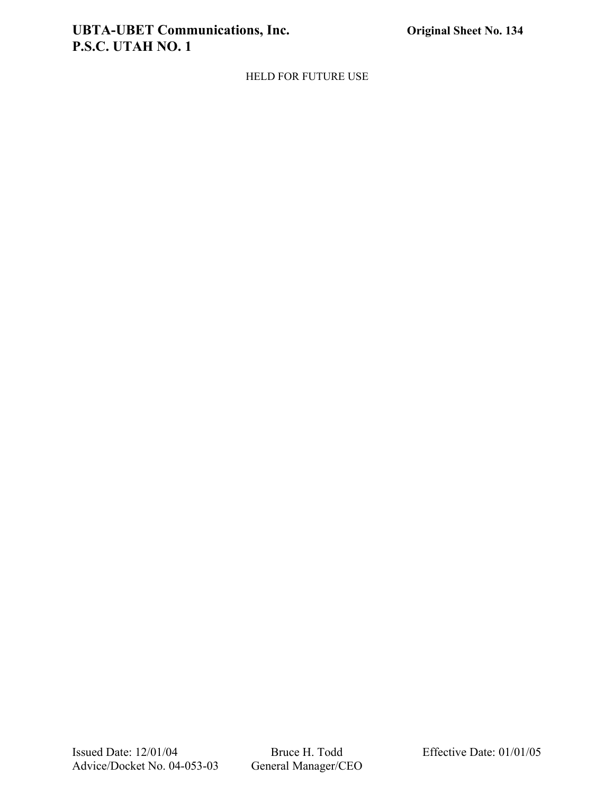# **UBTA-UBET Communications, Inc. Original Sheet No. 134 P.S.C. UTAH NO. 1**

## HELD FOR FUTURE USE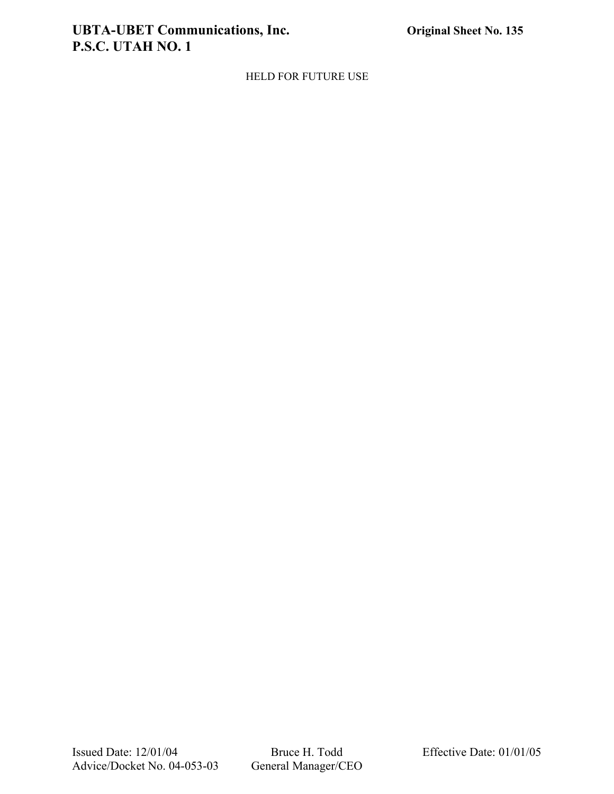# **UBTA-UBET Communications, Inc. Original Sheet No. 135 P.S.C. UTAH NO. 1**

HELD FOR FUTURE USE